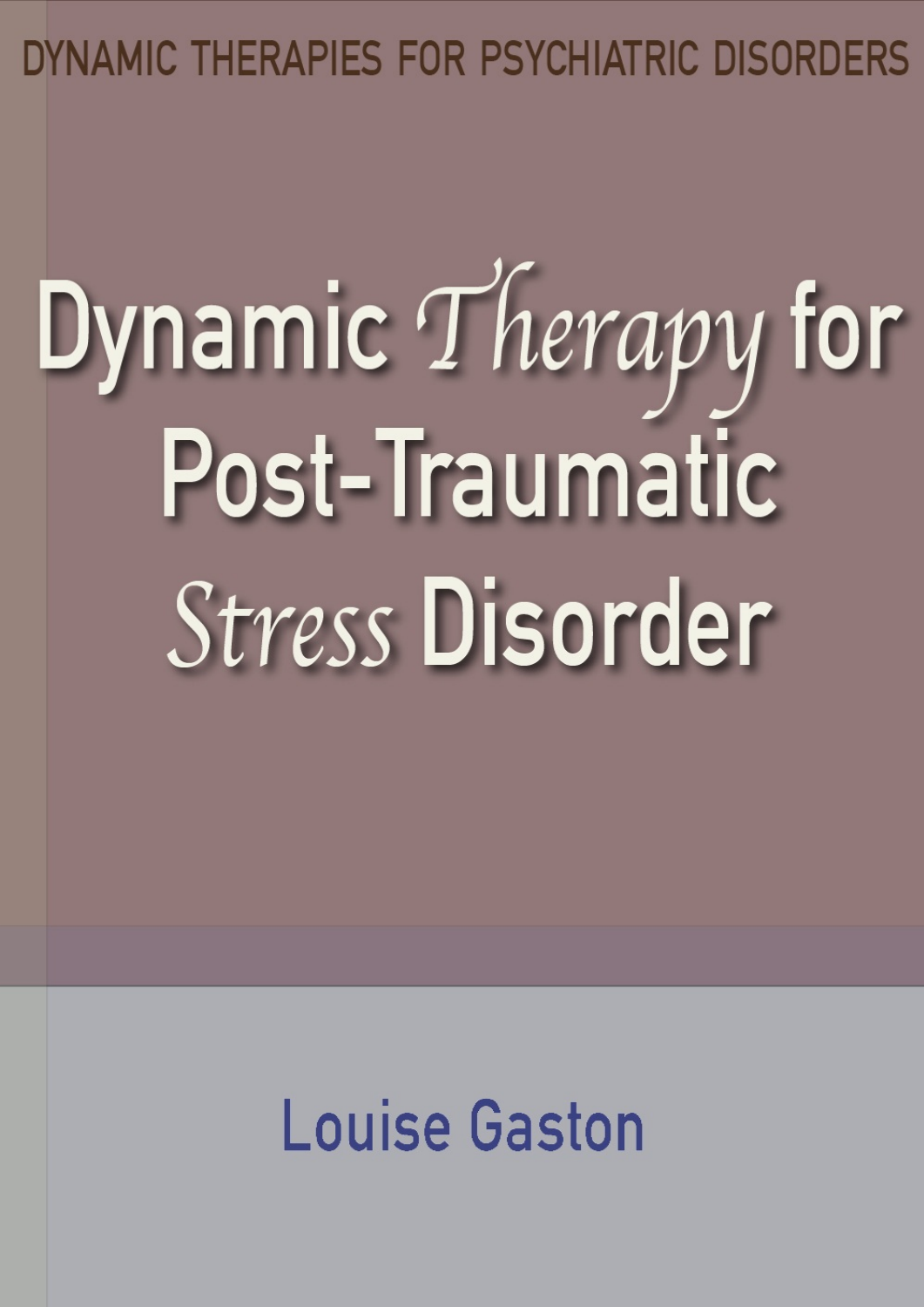DYNAMIC THERAPIES FOR PSYCHIATRIC DISORDERS

# Dynamic Therapy for Post-Traumatic **Stress Disorder**

# **Louise Gaston**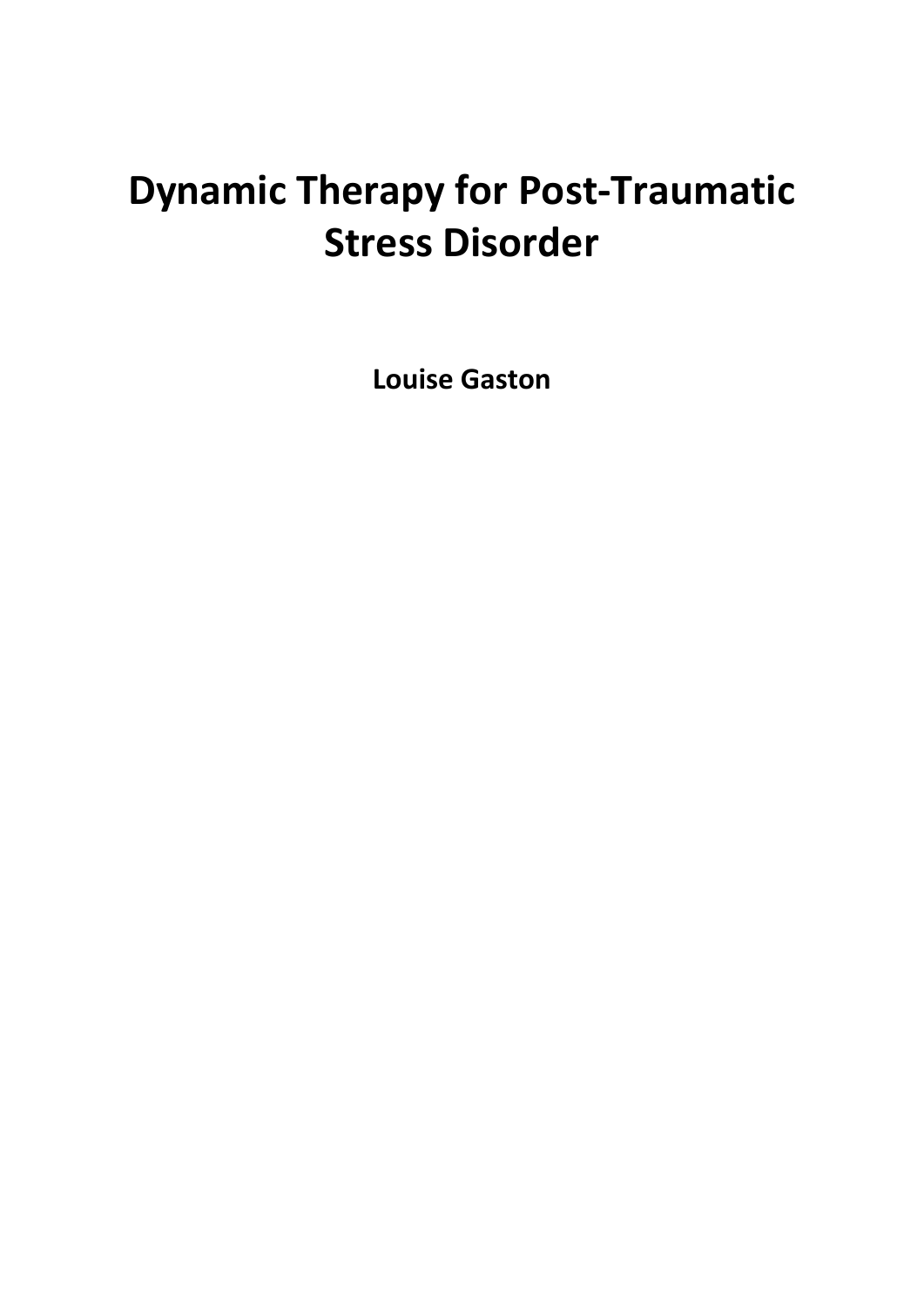## **Dynamic Therapy for Post-Traumatic Stress Disorder**

**Louise Gaston**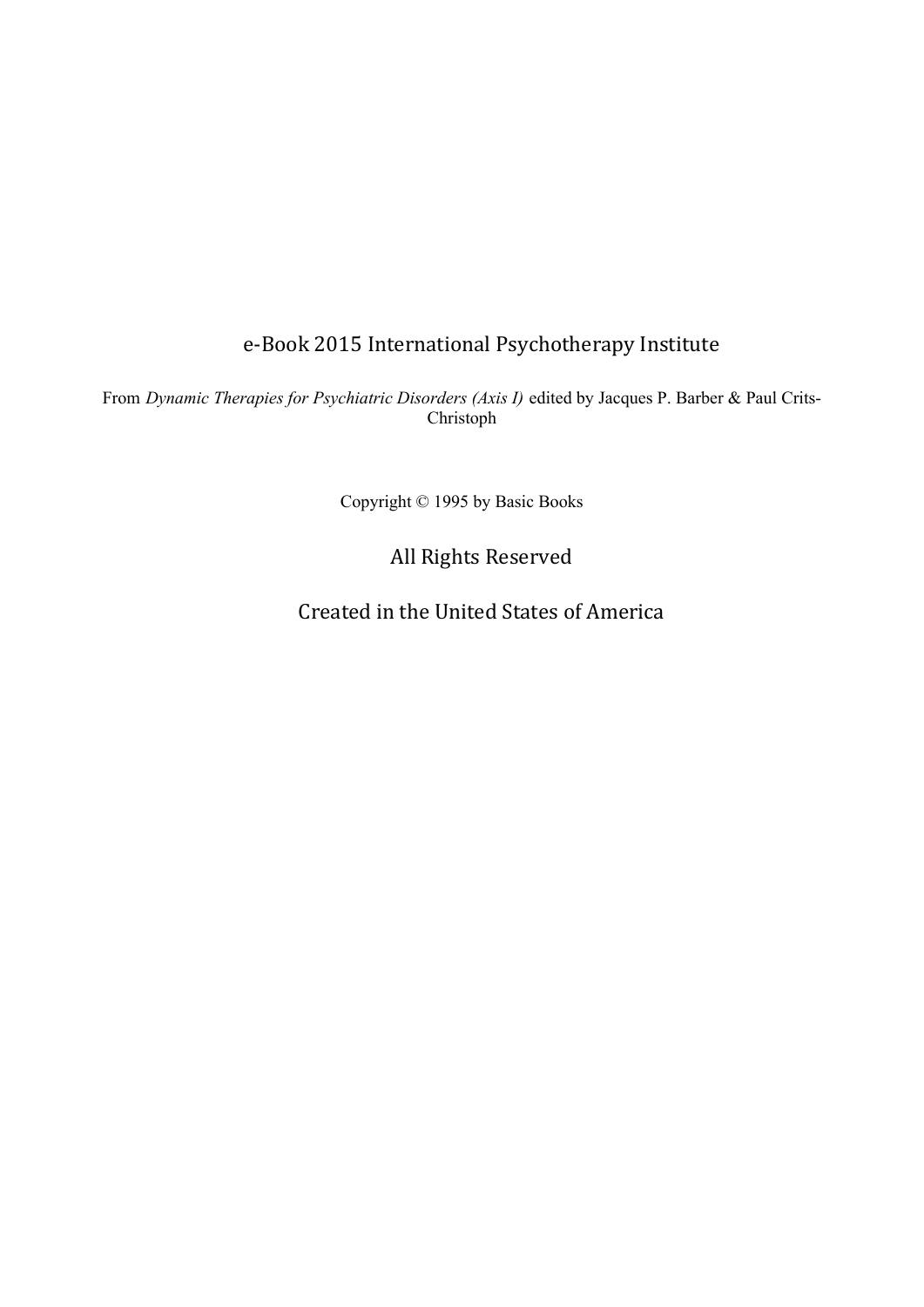#### e-Book 2015 International Psychotherapy Institute

From *Dynamic Therapies for Psychiatric Disorders (Axis I)* edited by Jacques P. Barber & Paul Crits-Christoph

Copyright © 1995 by Basic Books

All Rights Reserved

Created in the United States of America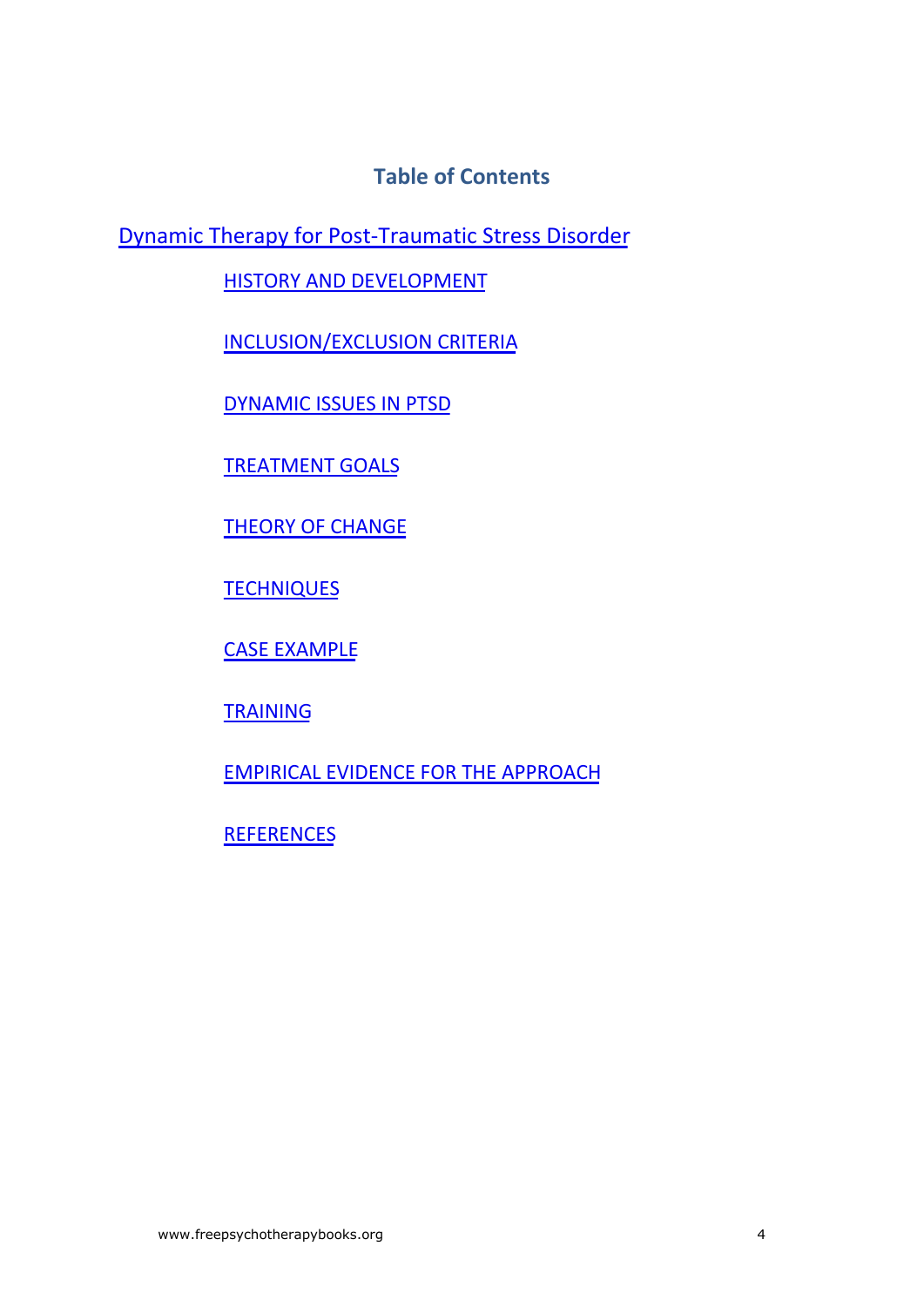#### **Table of Contents**

**Dynamic Therapy for Post-Traumatic Stress Disorder** 

**HISTORY AND DEVELOPMENT** 

**INCLUSION/EXCLUSION CRITERIA** 

DYNAMIC ISSUES IN PTSD

**TREATMENT GOALS** 

**THEORY OF CHANGE** 

**TECHNIQUES** 

**CASE EXAMPLE** 

**TRAINING** 

**EMPIRICAL EVIDENCE FOR THE APPROACH** 

**REFERENCES**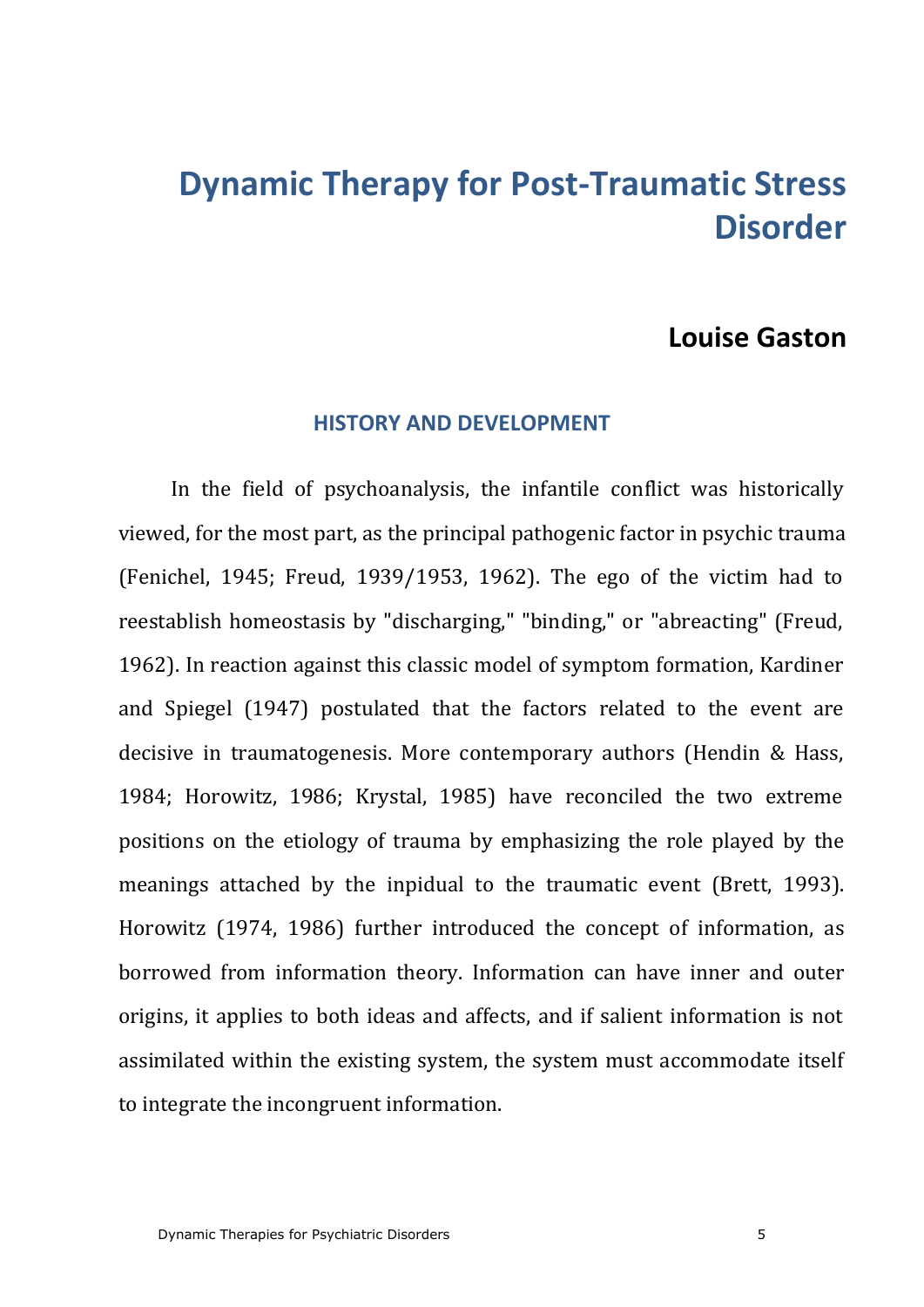### **Dynamic Therapy for Post-Traumatic Stress Disorder**

#### **Louise Gaston**

#### **HISTORY AND DEVELOPMENT**

In the field of psychoanalysis, the infantile conflict was historically viewed, for the most part, as the principal pathogenic factor in psychic trauma (Fenichel,  $1945$ ; Freud,  $1939/1953$ ,  $1962$ ). The ego of the victim had to reestablish homeostasis by "discharging," "binding," or "abreacting" (Freud, 1962). In reaction against this classic model of symptom formation, Kardiner and Spiegel (1947) postulated that the factors related to the event are decisive in traumatogenesis. More contemporary authors (Hendin & Hass, 1984; Horowitz, 1986; Krystal, 1985) have reconciled the two extreme positions on the etiology of trauma by emphasizing the role played by the meanings attached by the inpidual to the traumatic event (Brett, 1993). Horowitz (1974, 1986) further introduced the concept of information, as borrowed from information theory. Information can have inner and outer origins, it applies to both ideas and affects, and if salient information is not assimilated within the existing system, the system must accommodate itself to integrate the incongruent information.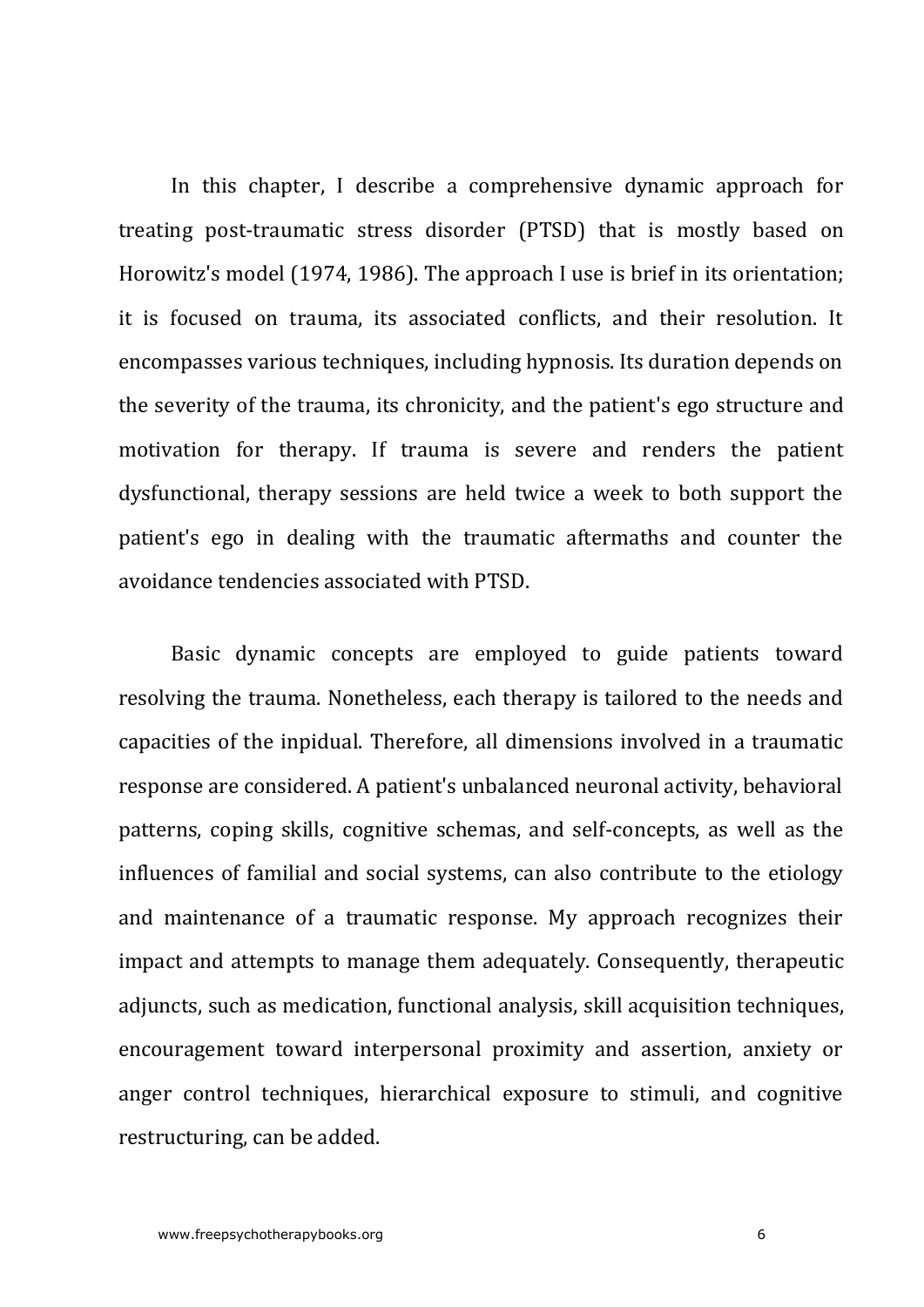In this chapter, I describe a comprehensive dynamic approach for treating post-traumatic stress disorder (PTSD) that is mostly based on Horowitz's model (1974, 1986). The approach I use is brief in its orientation; it is focused on trauma, its associated conflicts, and their resolution. It encompasses various techniques, including hypnosis. Its duration depends on the severity of the trauma, its chronicity, and the patient's ego structure and motivation for therapy. If trauma is severe and renders the patient dysfunctional, therapy sessions are held twice a week to both support the patient's ego in dealing with the traumatic aftermaths and counter the avoidance tendencies associated with PTSD.

Basic dynamic concepts are employed to guide patients toward resolving the trauma. Nonetheless, each therapy is tailored to the needs and capacities of the inpidual. Therefore, all dimensions involved in a traumatic response are considered. A patient's unbalanced neuronal activity, behavioral patterns, coping skills, cognitive schemas, and self-concepts, as well as the influences of familial and social systems, can also contribute to the etiology and maintenance of a traumatic response. My approach recognizes their impact and attempts to manage them adequately. Consequently, therapeutic adjuncts, such as medication, functional analysis, skill acquisition techniques, encouragement toward interpersonal proximity and assertion, anxiety or anger control techniques, hierarchical exposure to stimuli, and cognitive restructuring, can be added.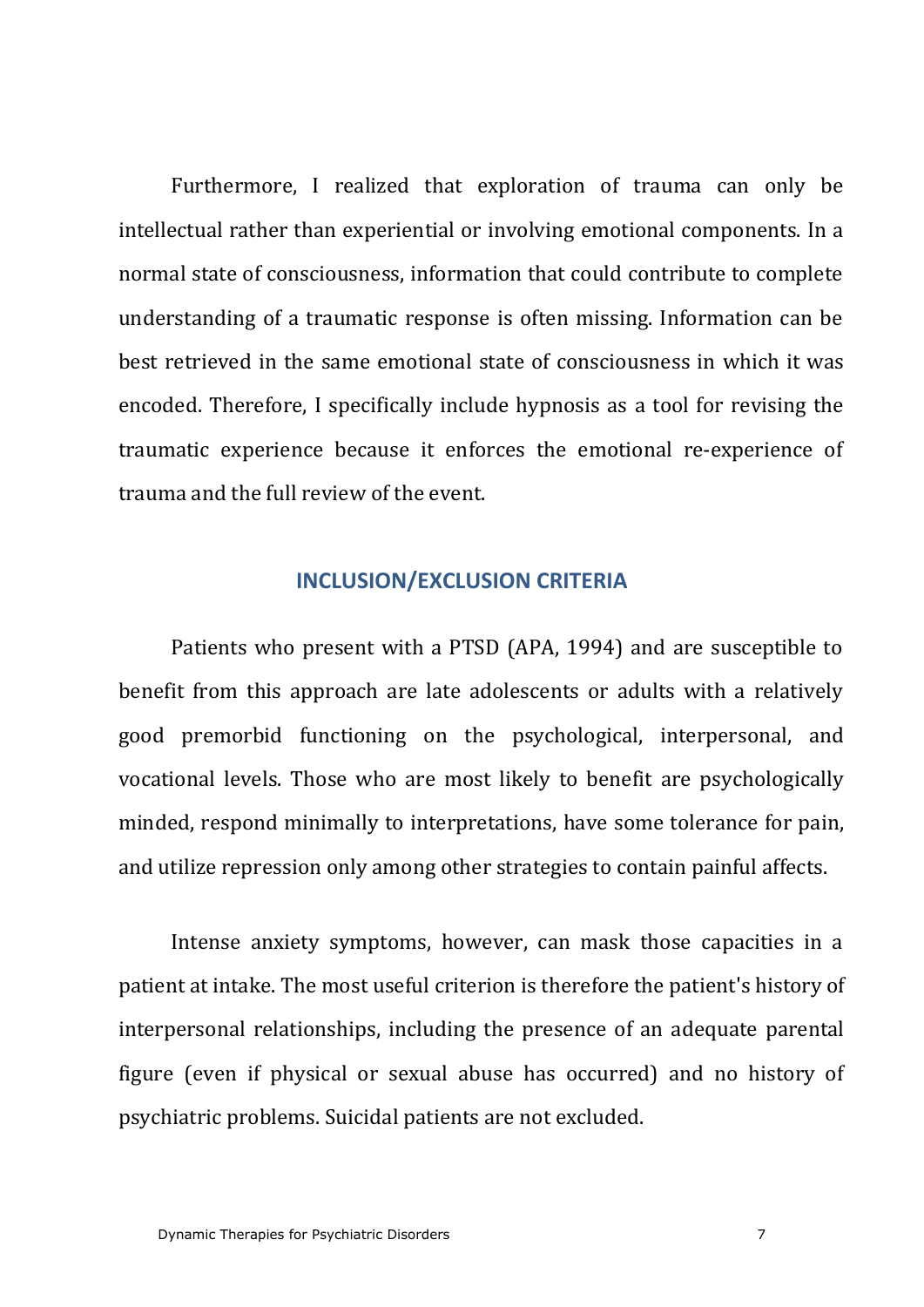Furthermore. I realized that exploration of trauma can only be intellectual rather than experiential or involving emotional components. In a normal state of consciousness, information that could contribute to complete understanding of a traumatic response is often missing. Information can be best retrieved in the same emotional state of consciousness in which it was encoded. Therefore, I specifically include hypnosis as a tool for revising the traumatic experience because it enforces the emotional re-experience of trauma and the full review of the event.

#### **INCLUSION/EXCLUSION CRITERIA**

Patients who present with a PTSD (APA, 1994) and are susceptible to benefit from this approach are late adolescents or adults with a relatively good premorbid functioning on the psychological, interpersonal, and vocational levels. Those who are most likely to benefit are psychologically minded, respond minimally to interpretations, have some tolerance for pain. and utilize repression only among other strategies to contain painful affects.

Intense anxiety symptoms, however, can mask those capacities in a patient at intake. The most useful criterion is therefore the patient's history of interpersonal relationships, including the presence of an adequate parental figure (even if physical or sexual abuse has occurred) and no history of psychiatric problems. Suicidal patients are not excluded.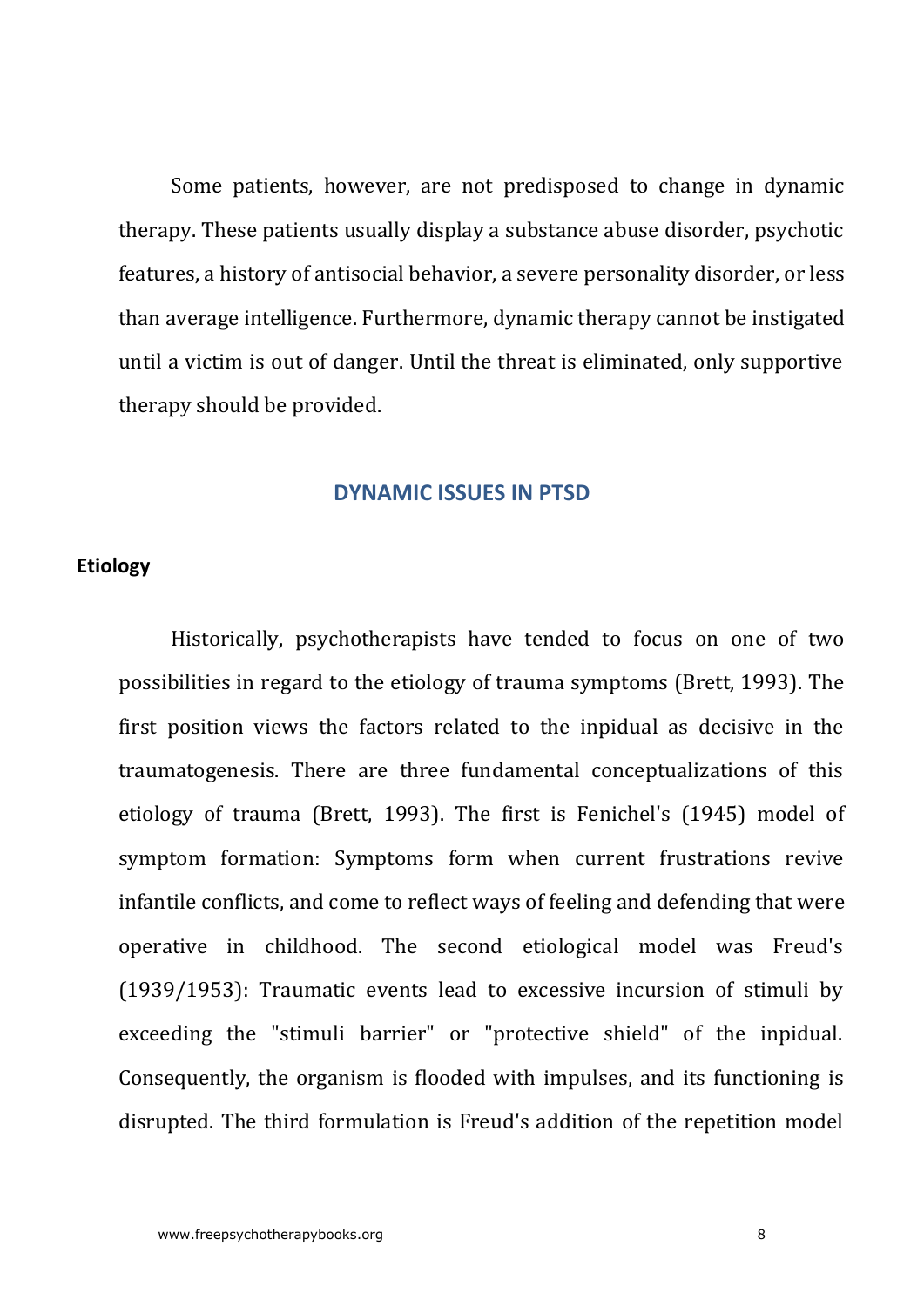Some patients, however, are not predisposed to change in dynamic therapy. These patients usually display a substance abuse disorder, psychotic features, a history of antisocial behavior, a severe personality disorder, or less than average intelligence. Furthermore, dynamic therapy cannot be instigated until a victim is out of danger. Until the threat is eliminated, only supportive therapy should be provided.

#### **DYNAMIC ISSUES IN PTSD**

#### **Etiology**

Historically, psychotherapists have tended to focus on one of two possibilities in regard to the etiology of trauma symptoms (Brett, 1993). The first position views the factors related to the inpidual as decisive in the traumatogenesis. There are three fundamental conceptualizations of this etiology of trauma (Brett, 1993). The first is Fenichel's (1945) model of symptom formation: Symptoms form when current frustrations revive infantile conflicts, and come to reflect ways of feeling and defending that were operative in childhood. The second etiological model was Freud's  $(1939/1953)$ : Traumatic events lead to excessive incursion of stimuli by exceeding the "stimuli barrier" or "protective shield" of the inpidual. Consequently, the organism is flooded with impulses, and its functioning is disrupted. The third formulation is Freud's addition of the repetition model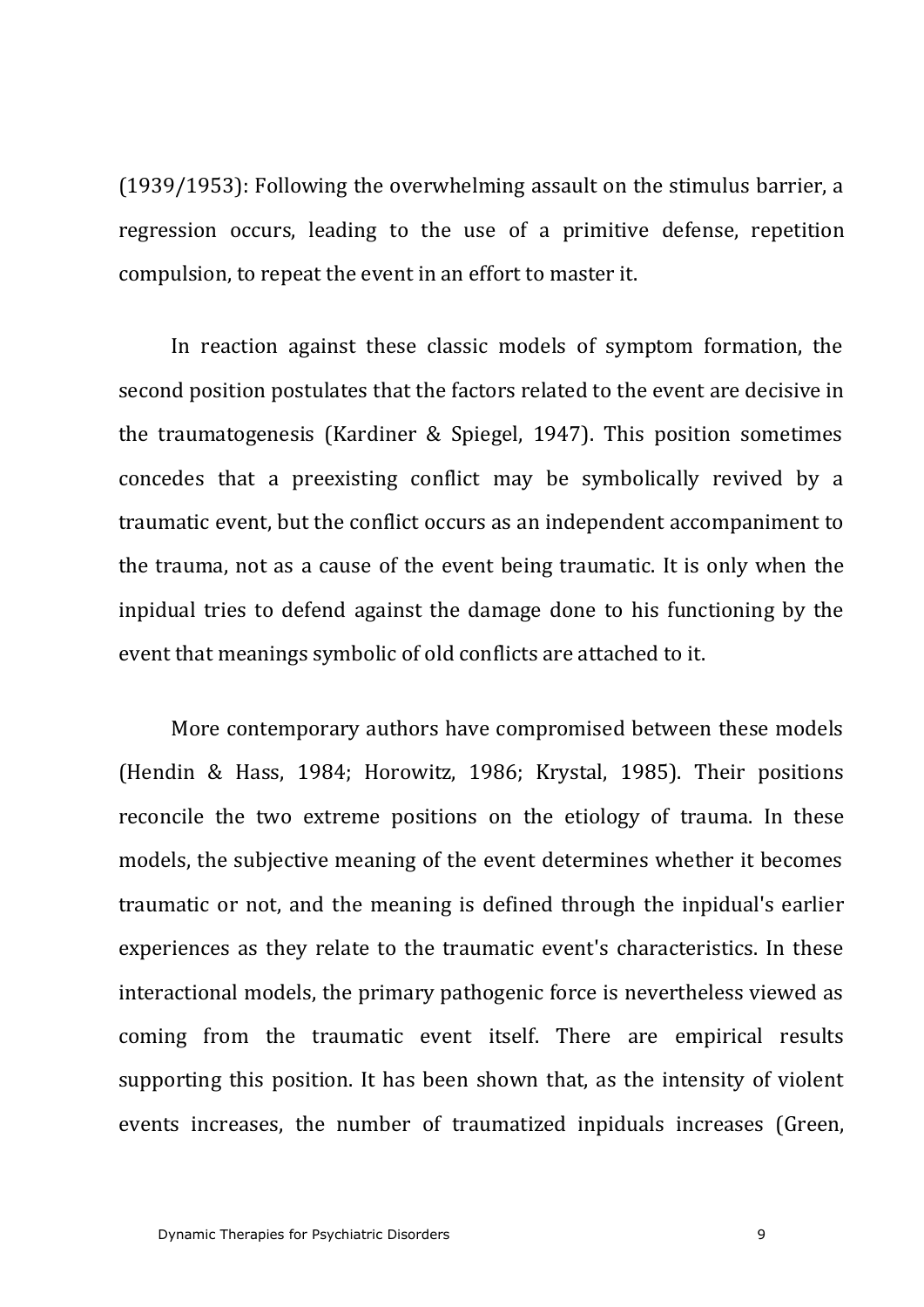$(1939/1953)$ : Following the overwhelming assault on the stimulus barrier, a regression occurs, leading to the use of a primitive defense, repetition compulsion, to repeat the event in an effort to master it.

In reaction against these classic models of symptom formation, the second position postulates that the factors related to the event are decisive in the traumatogenesis (Kardiner & Spiegel, 1947). This position sometimes concedes that a preexisting conflict may be symbolically revived by a traumatic event, but the conflict occurs as an independent accompaniment to the trauma, not as a cause of the event being traumatic. It is only when the inpidual tries to defend against the damage done to his functioning by the event that meanings symbolic of old conflicts are attached to it.

More contemporary authors have compromised between these models (Hendin & Hass, 1984; Horowitz, 1986; Krystal, 1985). Their positions reconcile the two extreme positions on the etiology of trauma. In these models, the subjective meaning of the event determines whether it becomes traumatic or not, and the meaning is defined through the inpidual's earlier experiences as they relate to the traumatic event's characteristics. In these interactional models, the primary pathogenic force is nevertheless viewed as coming from the traumatic event itself. There are empirical results supporting this position. It has been shown that, as the intensity of violent events increases, the number of traumatized inpiduals increases (Green,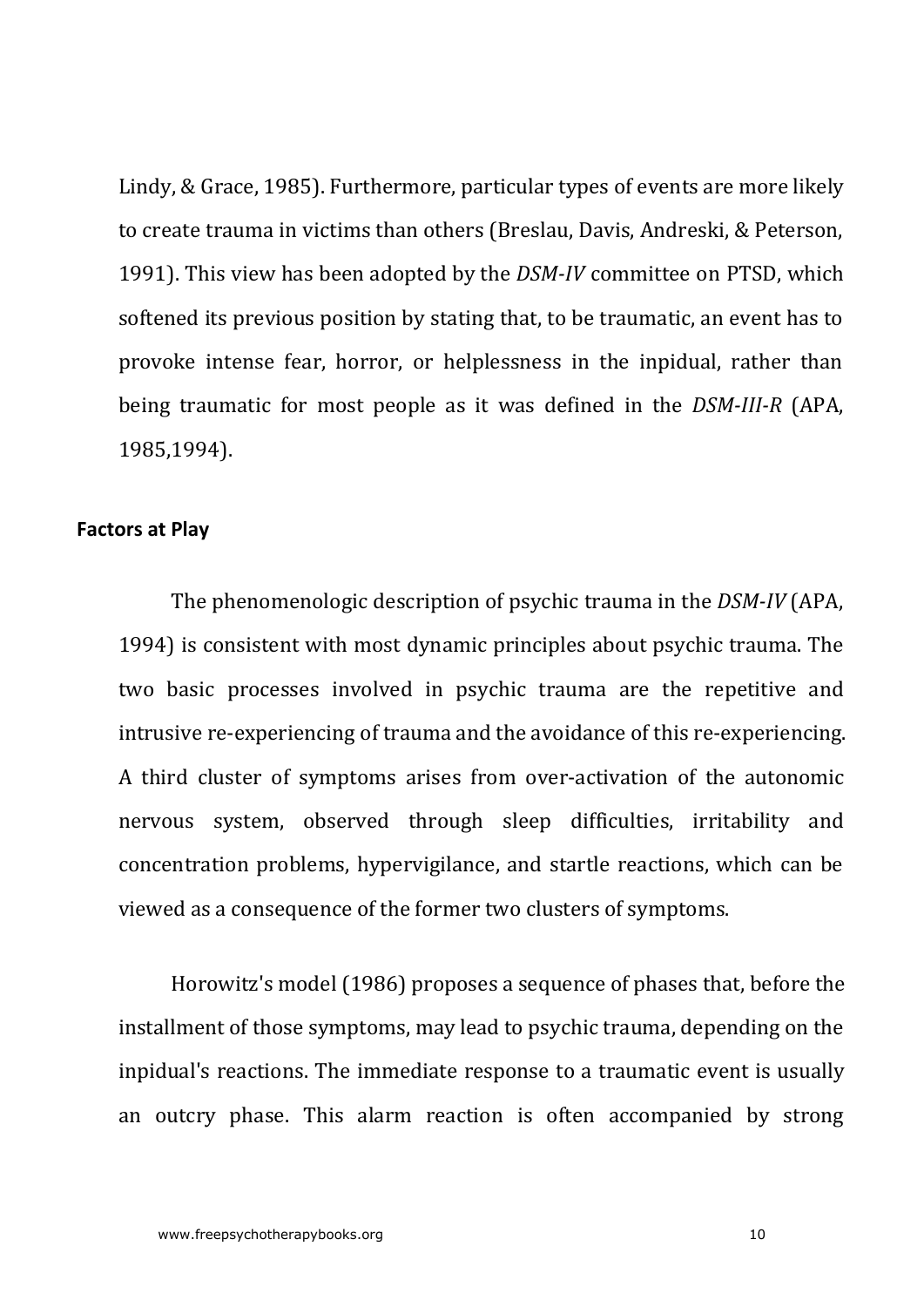Lindy, & Grace, 1985). Furthermore, particular types of events are more likely to create trauma in victims than others (Breslau, Davis, Andreski, & Peterson, 1991). This view has been adopted by the *DSM-IV* committee on PTSD, which softened its previous position by stating that, to be traumatic, an event has to provoke intense fear, horror, or helplessness in the inpidual, rather than being traumatic for most people as it was defined in the *DSM-III-R* (APA, 1985,1994).

#### **Factors at Play**

The phenomenologic description of psychic trauma in the *DSM-IV* (APA, 1994) is consistent with most dynamic principles about psychic trauma. The two basic processes involved in psychic trauma are the repetitive and intrusive re-experiencing of trauma and the avoidance of this re-experiencing. A third cluster of symptoms arises from over-activation of the autonomic nervous system, observed through sleep difficulties, irritability and concentration problems, hypervigilance, and startle reactions, which can be viewed as a consequence of the former two clusters of symptoms.

Horowitz's model (1986) proposes a sequence of phases that, before the installment of those symptoms, may lead to psychic trauma, depending on the inpidual's reactions. The immediate response to a traumatic event is usually an outcry phase. This alarm reaction is often accompanied by strong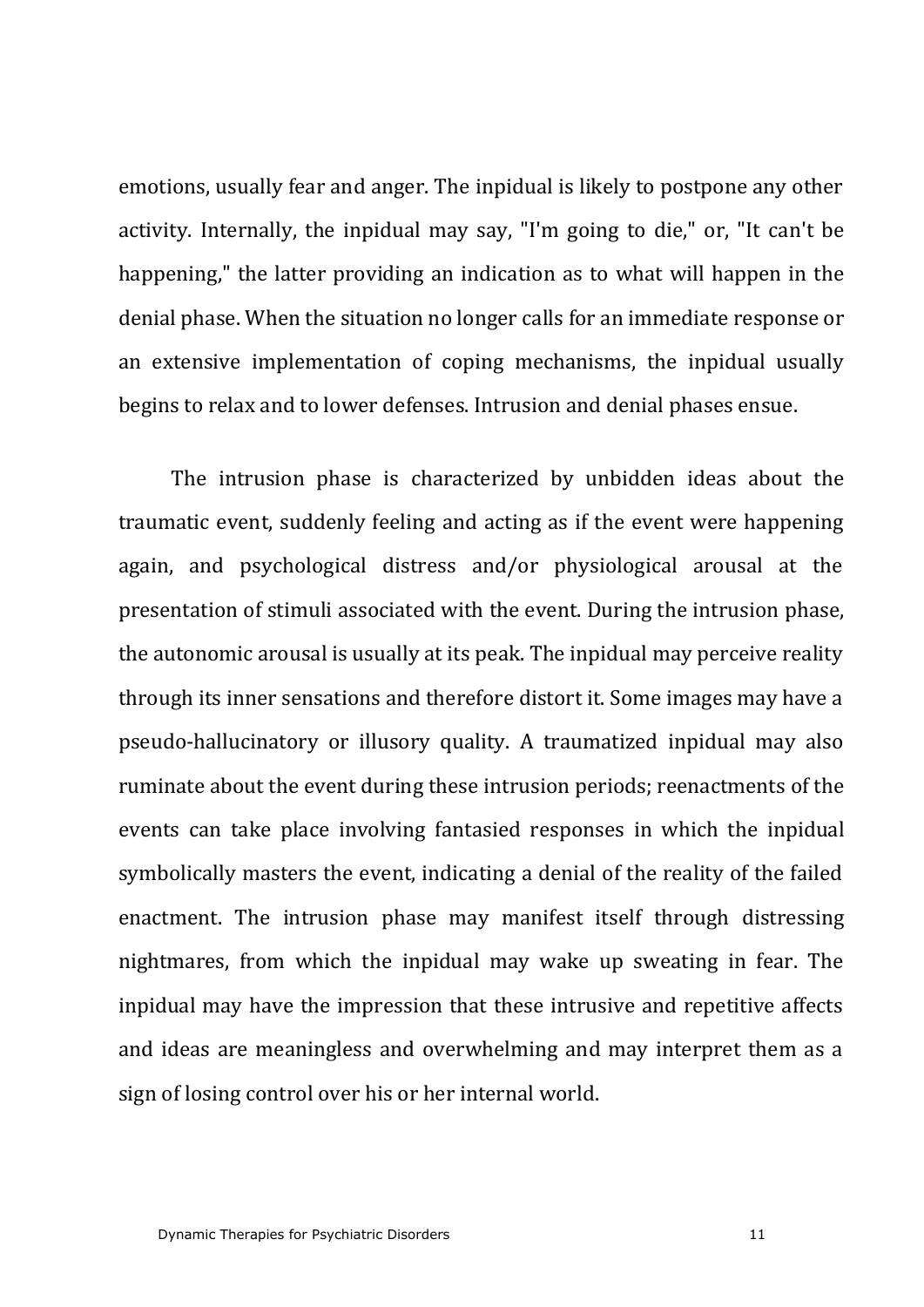emotions, usually fear and anger. The inpidual is likely to postpone any other activity. Internally, the inpidual may say, "I'm going to die," or, "It can't be happening," the latter providing an indication as to what will happen in the denial phase. When the situation no longer calls for an immediate response or an extensive implementation of coping mechanisms, the inpidual usually begins to relax and to lower defenses. Intrusion and denial phases ensue.

The intrusion phase is characterized by unbidden ideas about the traumatic event, suddenly feeling and acting as if the event were happening again, and psychological distress and/or physiological arousal at the presentation of stimuli associated with the event. During the intrusion phase, the autonomic arousal is usually at its peak. The inpidual may perceive reality through its inner sensations and therefore distort it. Some images may have a pseudo-hallucinatory or illusory quality. A traumatized inpidual may also ruminate about the event during these intrusion periods; reenactments of the events can take place involving fantasied responses in which the inpidual symbolically masters the event, indicating a denial of the reality of the failed enactment. The intrusion phase may manifest itself through distressing nightmares, from which the inpidual may wake up sweating in fear. The inpidual may have the impression that these intrusive and repetitive affects and ideas are meaningless and overwhelming and may interpret them as a sign of losing control over his or her internal world.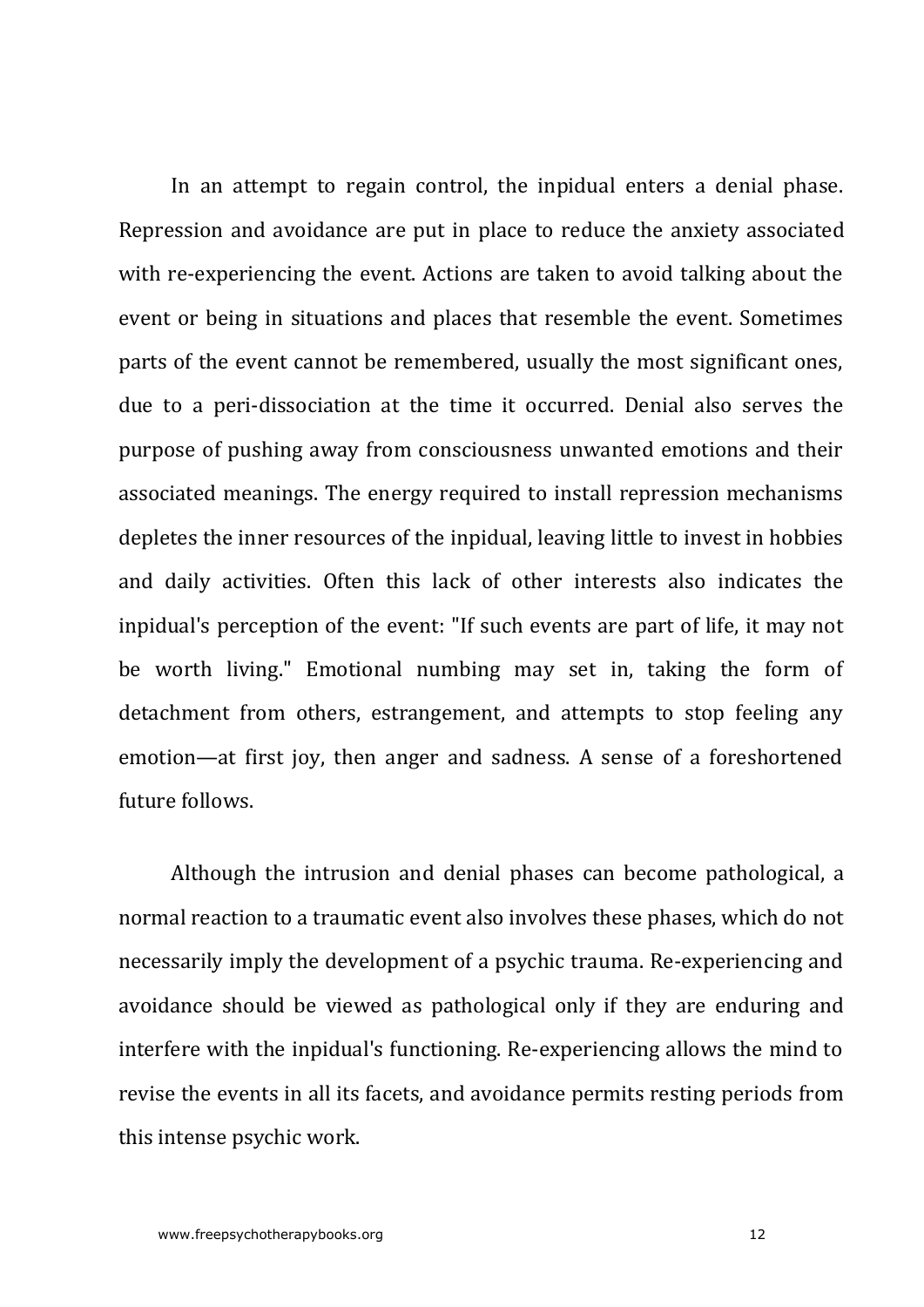In an attempt to regain control, the inpidual enters a denial phase. Repression and avoidance are put in place to reduce the anxiety associated with re-experiencing the event. Actions are taken to avoid talking about the event or being in situations and places that resemble the event. Sometimes parts of the event cannot be remembered, usually the most significant ones, due to a peri-dissociation at the time it occurred. Denial also serves the purpose of pushing away from consciousness unwanted emotions and their associated meanings. The energy required to install repression mechanisms depletes the inner resources of the inpidual, leaving little to invest in hobbies and daily activities. Often this lack of other interests also indicates the inpidual's perception of the event: "If such events are part of life, it may not be worth living." Emotional numbing may set in, taking the form of detachment from others, estrangement, and attempts to stop feeling any emotion—at first joy, then anger and sadness. A sense of a foreshortened future follows.

Although the intrusion and denial phases can become pathological, a normal reaction to a traumatic event also involves these phases, which do not necessarily imply the development of a psychic trauma. Re-experiencing and avoidance should be viewed as pathological only if they are enduring and interfere with the inpidual's functioning. Re-experiencing allows the mind to revise the events in all its facets, and avoidance permits resting periods from this intense psychic work.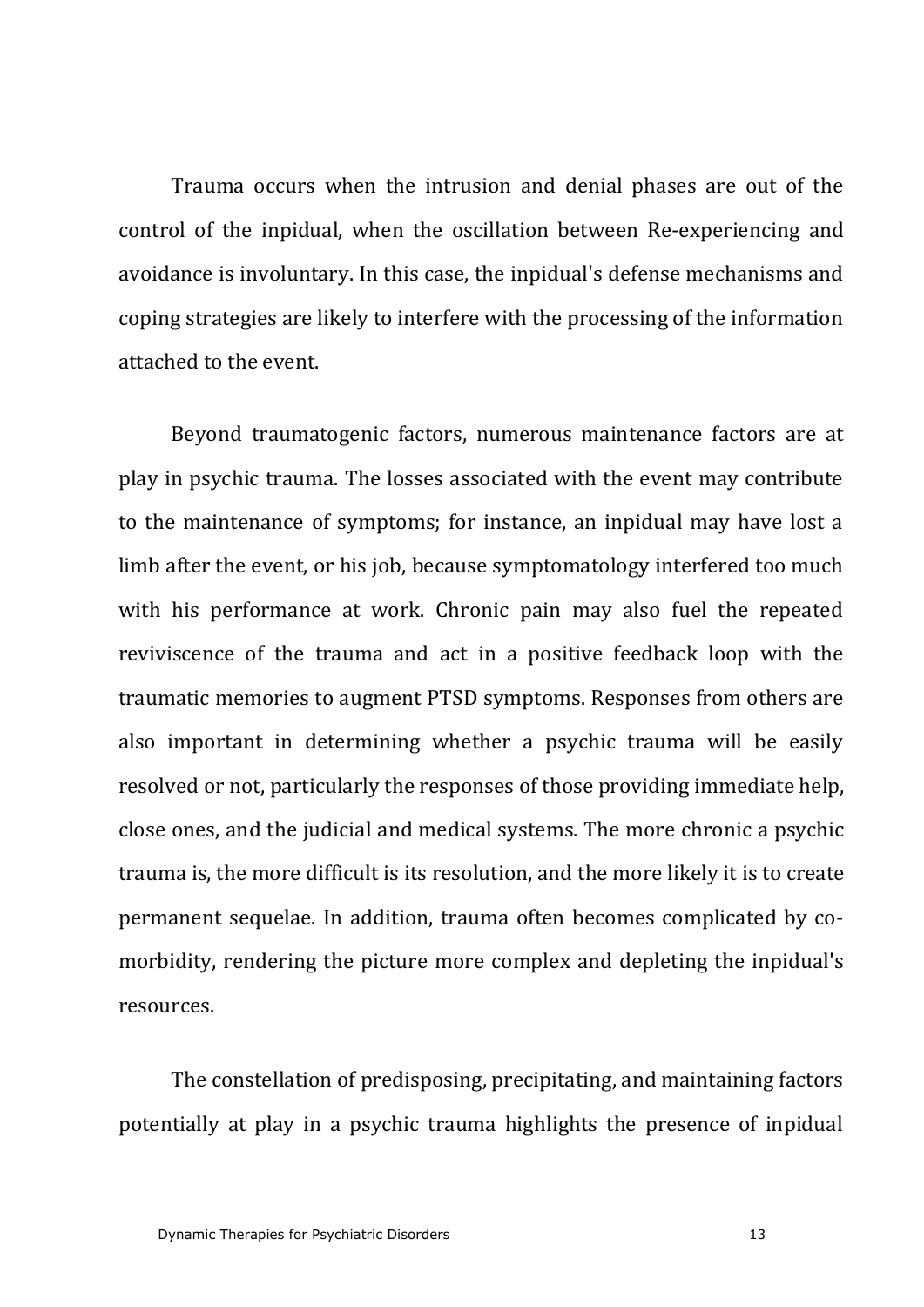Trauma occurs when the intrusion and denial phases are out of the control of the inpidual, when the oscillation between Re-experiencing and avoidance is involuntary. In this case, the inpidual's defense mechanisms and coping strategies are likely to interfere with the processing of the information attached to the event.

Beyond traumatogenic factors, numerous maintenance factors are at play in psychic trauma. The losses associated with the event may contribute to the maintenance of symptoms; for instance, an inpidual may have lost a limb after the event, or his job, because symptomatology interfered too much with his performance at work. Chronic pain may also fuel the repeated reviviscence of the trauma and act in a positive feedback loop with the traumatic memories to augment PTSD symptoms. Responses from others are also important in determining whether a psychic trauma will be easily resolved or not, particularly the responses of those providing immediate help, close ones, and the judicial and medical systems. The more chronic a psychic trauma is, the more difficult is its resolution, and the more likely it is to create permanent sequelae. In addition, trauma often becomes complicated by comorbidity, rendering the picture more complex and depleting the inpidual's resources.

The constellation of predisposing, precipitating, and maintaining factors potentially at play in a psychic trauma highlights the presence of inpidual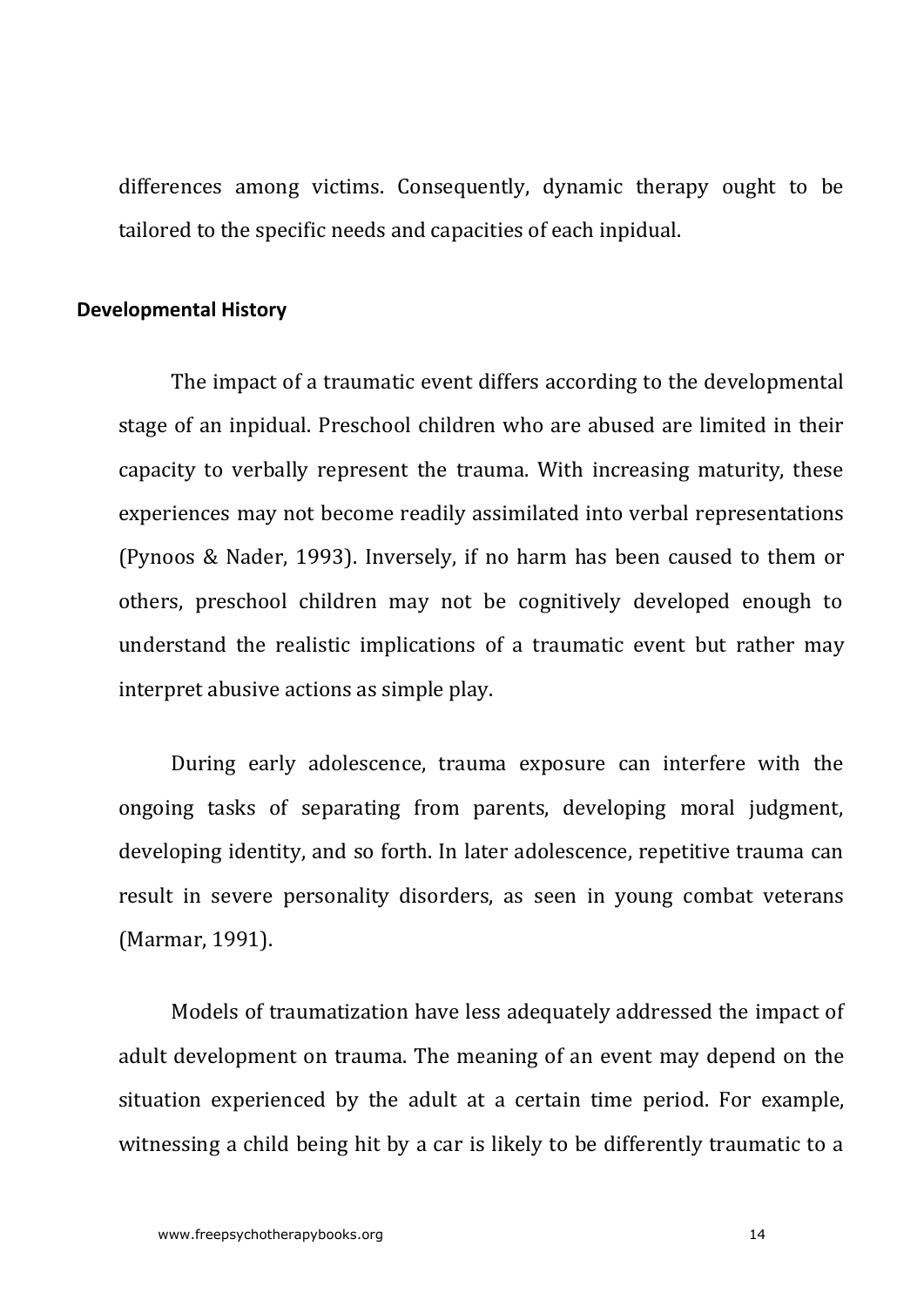differences among victims. Consequently, dynamic therapy ought to be tailored to the specific needs and capacities of each inpidual.

#### **Developmental History**

The impact of a traumatic event differs according to the developmental stage of an inpidual. Preschool children who are abused are limited in their capacity to verbally represent the trauma. With increasing maturity, these experiences may not become readily assimilated into verbal representations (Pynoos & Nader, 1993). Inversely, if no harm has been caused to them or others, preschool children may not be cognitively developed enough to understand the realistic implications of a traumatic event but rather may interpret abusive actions as simple play.

During early adolescence, trauma exposure can interfere with the ongoing tasks of separating from parents, developing moral judgment, developing identity, and so forth. In later adolescence, repetitive trauma can result in severe personality disorders, as seen in young combat veterans (Marmar, 1991).

Models of traumatization have less adequately addressed the impact of adult development on trauma. The meaning of an event may depend on the situation experienced by the adult at a certain time period. For example, witnessing a child being hit by a car is likely to be differently traumatic to a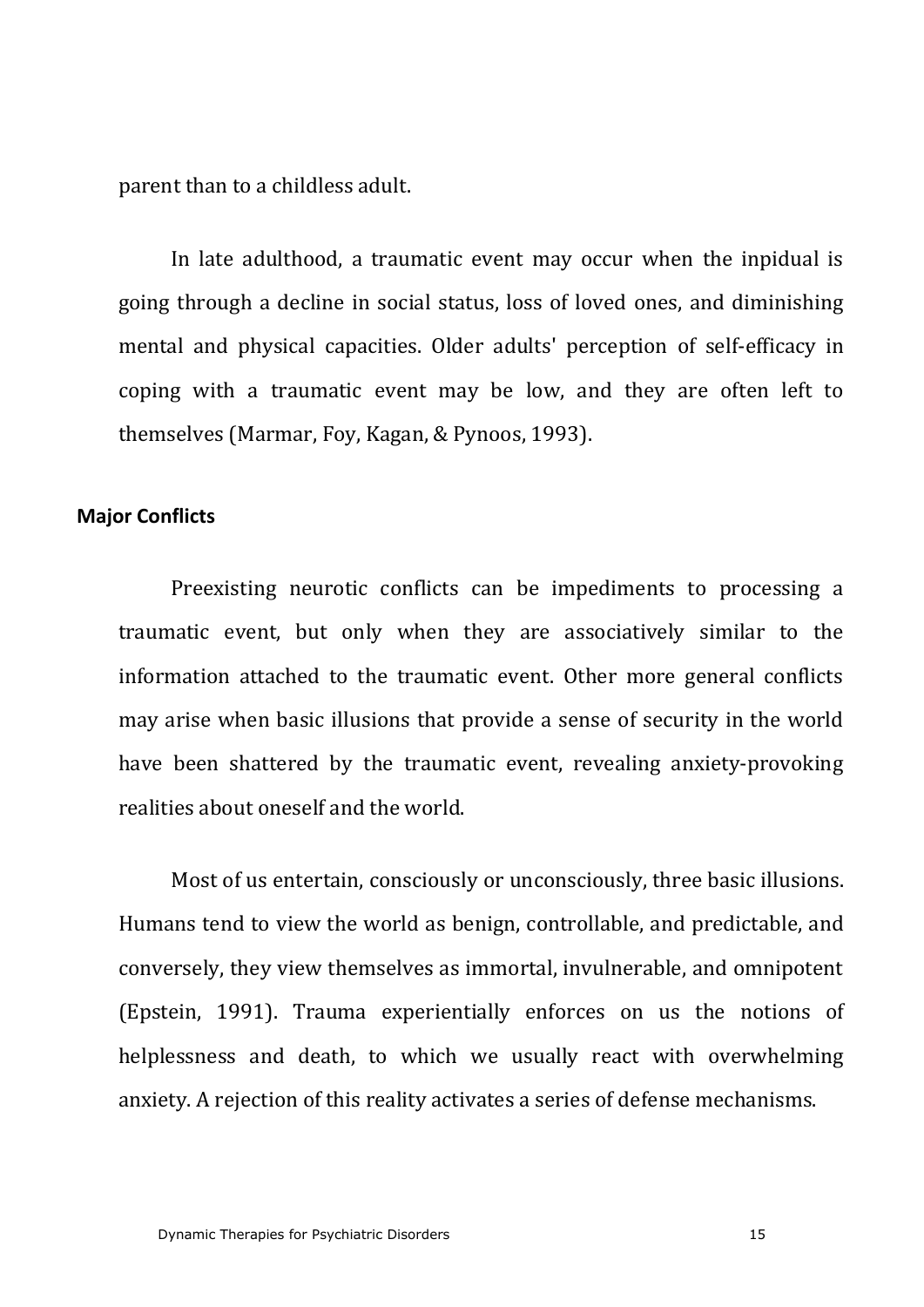parent than to a childless adult.

In late adulthood, a traumatic event may occur when the inpidual is going through a decline in social status, loss of loved ones, and diminishing mental and physical capacities. Older adults' perception of self-efficacy in coping with a traumatic event may be low, and they are often left to themselves (Marmar, Foy, Kagan, & Pynoos, 1993).

#### **Major Conflicts**

Preexisting neurotic conflicts can be impediments to processing a traumatic event, but only when they are associatively similar to the information attached to the traumatic event. Other more general conflicts may arise when basic illusions that provide a sense of security in the world have been shattered by the traumatic event, revealing anxiety-provoking realities about oneself and the world.

Most of us entertain, consciously or unconsciously, three basic illusions. Humans tend to view the world as benign, controllable, and predictable, and conversely, they view themselves as immortal, invulnerable, and omnipotent (Epstein, 1991). Trauma experientially enforces on us the notions of helplessness and death, to which we usually react with overwhelming anxiety. A rejection of this reality activates a series of defense mechanisms.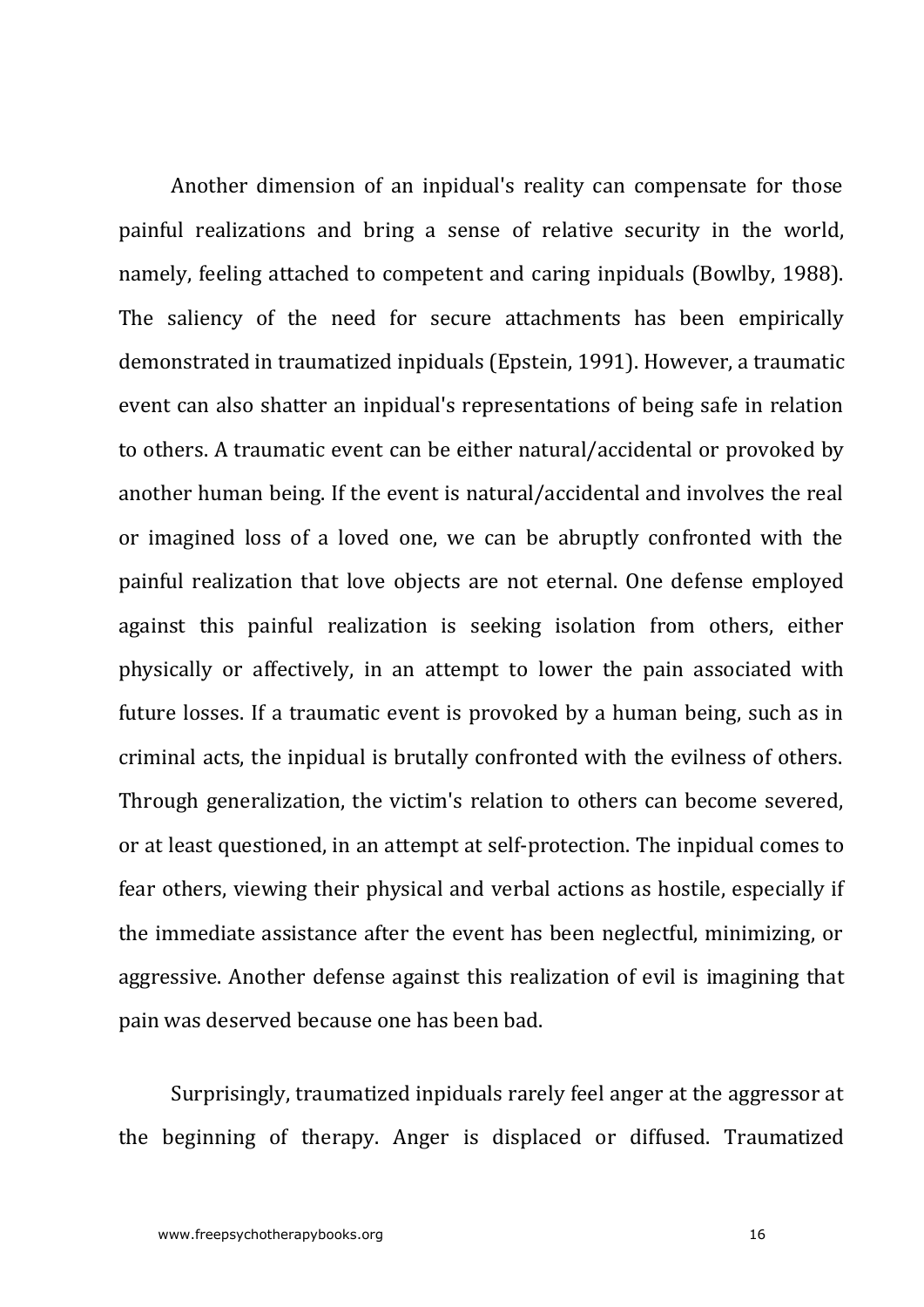Another dimension of an inpidual's reality can compensate for those painful realizations and bring a sense of relative security in the world, namely, feeling attached to competent and caring inpiduals (Bowlby, 1988). The saliency of the need for secure attachments has been empirically demonstrated in traumatized inpiduals (Epstein, 1991). However, a traumatic event can also shatter an inpidual's representations of being safe in relation to others. A traumatic event can be either natural/accidental or provoked by another human being. If the event is natural/accidental and involves the real or imagined loss of a loved one, we can be abruptly confronted with the painful realization that love objects are not eternal. One defense employed against this painful realization is seeking isolation from others, either physically or affectively, in an attempt to lower the pain associated with future losses. If a traumatic event is provoked by a human being, such as in criminal acts, the inpidual is brutally confronted with the evilness of others. Through generalization, the victim's relation to others can become severed, or at least questioned, in an attempt at self-protection. The inpidual comes to fear others, viewing their physical and verbal actions as hostile, especially if the immediate assistance after the event has been neglectful, minimizing, or aggressive. Another defense against this realization of evil is imagining that pain was deserved because one has been bad.

Surprisingly, traumatized inpiduals rarely feel anger at the aggressor at the beginning of therapy. Anger is displaced or diffused. Traumatized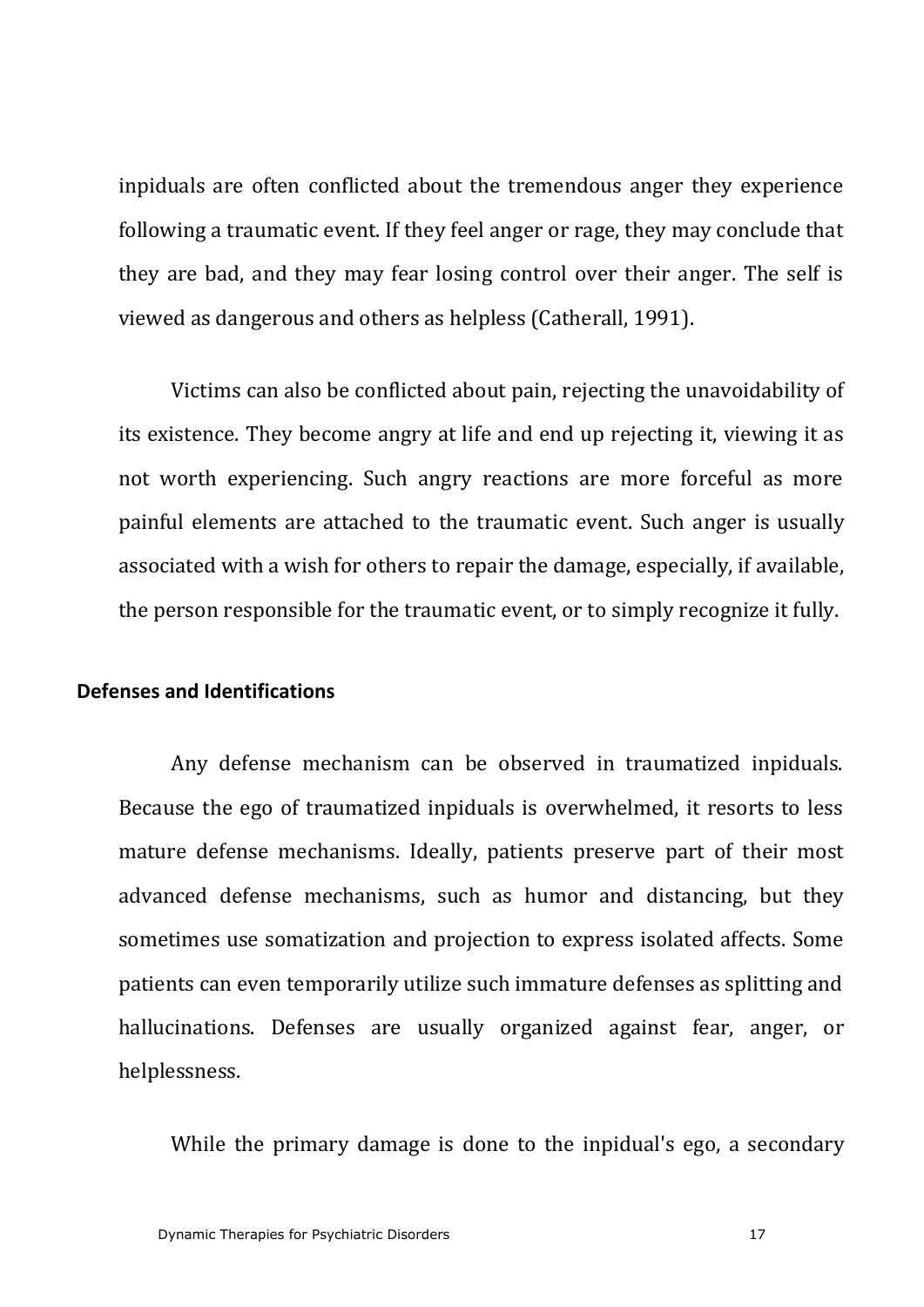inpiduals are often conflicted about the tremendous anger they experience following a traumatic event. If they feel anger or rage, they may conclude that they are bad, and they may fear losing control over their anger. The self is viewed as dangerous and others as helpless (Catherall, 1991).

Victims can also be conflicted about pain, rejecting the unavoidability of its existence. They become angry at life and end up rejecting it, viewing it as not worth experiencing. Such angry reactions are more forceful as more painful elements are attached to the traumatic event. Such anger is usually associated with a wish for others to repair the damage, especially, if available, the person responsible for the traumatic event, or to simply recognize it fully.

#### **Defenses and Identifications**

Any defense mechanism can be observed in traumatized inpiduals. Because the ego of traumatized inpiduals is overwhelmed, it resorts to less mature defense mechanisms. Ideally, patients preserve part of their most advanced defense mechanisms, such as humor and distancing, but they sometimes use somatization and projection to express isolated affects. Some patients can even temporarily utilize such immature defenses as splitting and hallucinations. Defenses are usually organized against fear, anger, or helplessness.

While the primary damage is done to the inpidual's ego, a secondary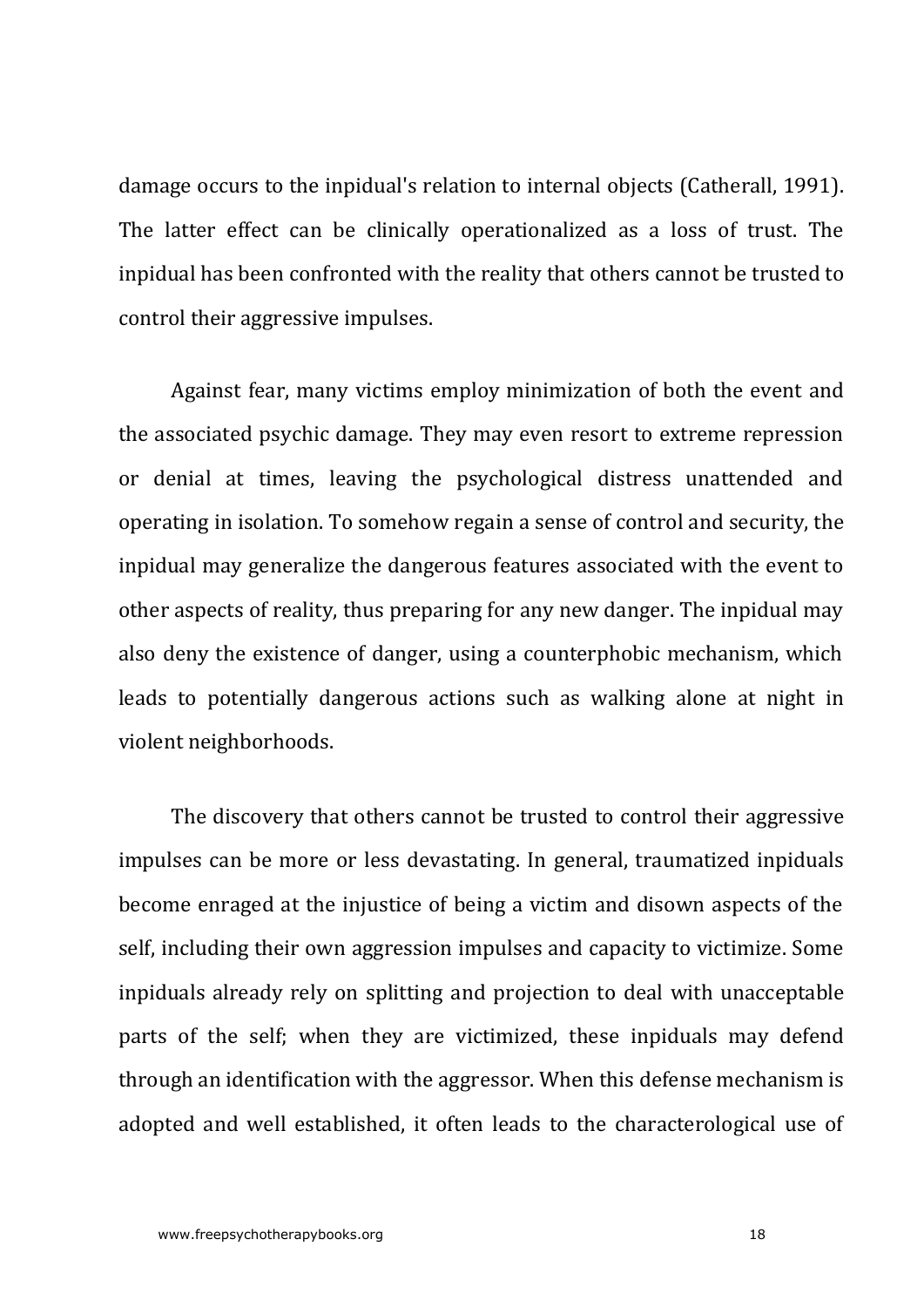damage occurs to the inpidual's relation to internal objects (Catherall, 1991). The latter effect can be clinically operationalized as a loss of trust. The inpidual has been confronted with the reality that others cannot be trusted to control their aggressive impulses.

Against fear, many victims employ minimization of both the event and the associated psychic damage. They may even resort to extreme repression or denial at times, leaving the psychological distress unattended and operating in isolation. To somehow regain a sense of control and security, the inpidual may generalize the dangerous features associated with the event to other aspects of reality, thus preparing for any new danger. The inpidual may also deny the existence of danger, using a counterphobic mechanism, which leads to potentially dangerous actions such as walking alone at night in violent neighborhoods.

The discovery that others cannot be trusted to control their aggressive impulses can be more or less devastating. In general, traumatized inpiduals become enraged at the injustice of being a victim and disown aspects of the self, including their own aggression impulses and capacity to victimize. Some inpiduals already rely on splitting and projection to deal with unacceptable parts of the self; when they are victimized, these inpiduals may defend through an identification with the aggressor. When this defense mechanism is adopted and well established, it often leads to the characterological use of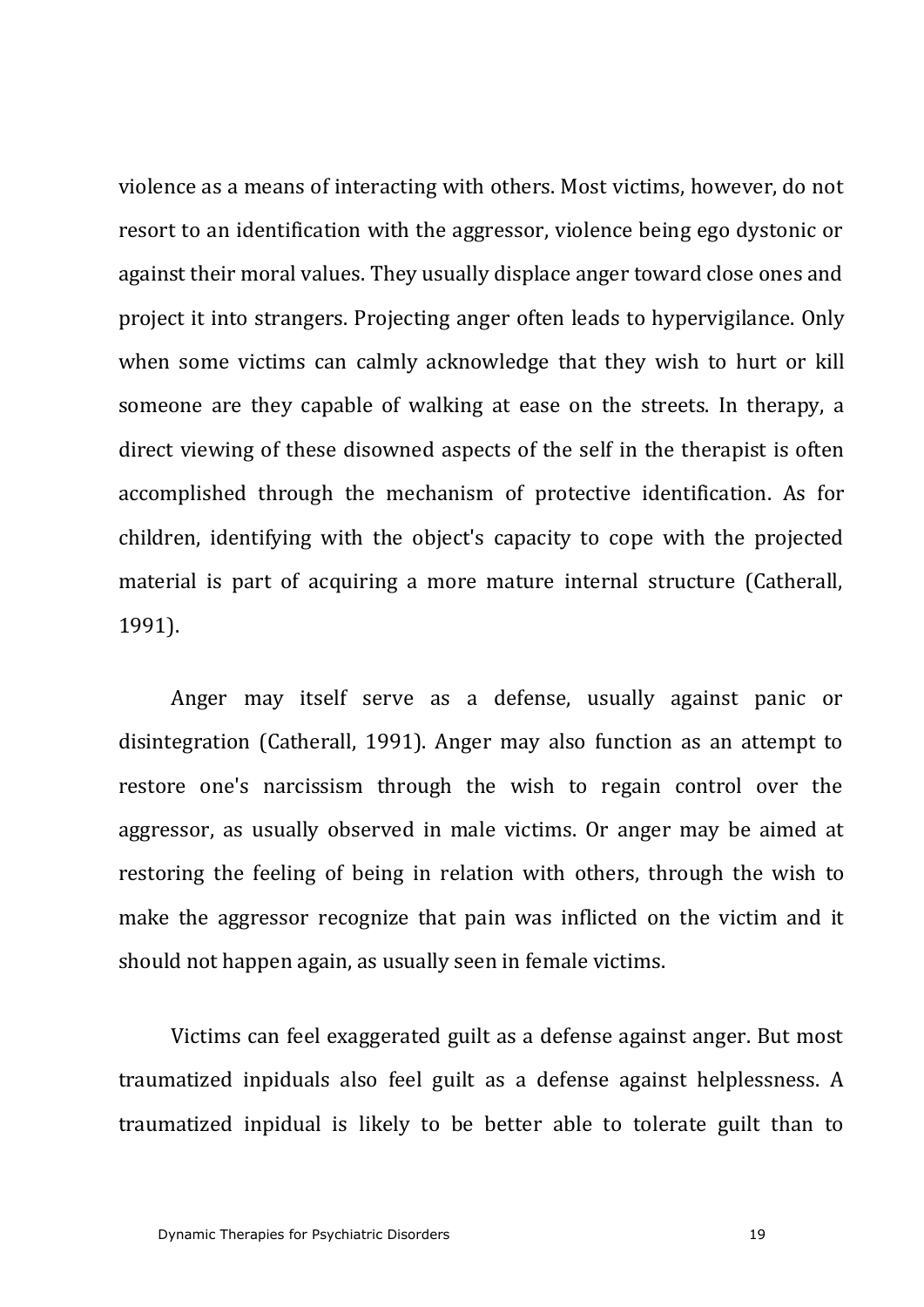violence as a means of interacting with others. Most victims, however, do not resort to an identification with the aggressor, violence being ego dystonic or against their moral values. They usually displace anger toward close ones and project it into strangers. Projecting anger often leads to hypervigilance. Only when some victims can calmly acknowledge that they wish to hurt or kill someone are they capable of walking at ease on the streets. In therapy, a direct viewing of these disowned aspects of the self in the therapist is often accomplished through the mechanism of protective identification. As for children, identifying with the object's capacity to cope with the projected material is part of acquiring a more mature internal structure (Catherall, 1991).

Anger may itself serve as a defense, usually against panic or disintegration (Catherall, 1991). Anger may also function as an attempt to restore one's narcissism through the wish to regain control over the aggressor, as usually observed in male victims. Or anger may be aimed at restoring the feeling of being in relation with others, through the wish to make the aggressor recognize that pain was inflicted on the victim and it should not happen again, as usually seen in female victims.

Victims can feel exaggerated guilt as a defense against anger. But most traumatized inpiduals also feel guilt as a defense against helplessness. A traumatized inpidual is likely to be better able to tolerate guilt than to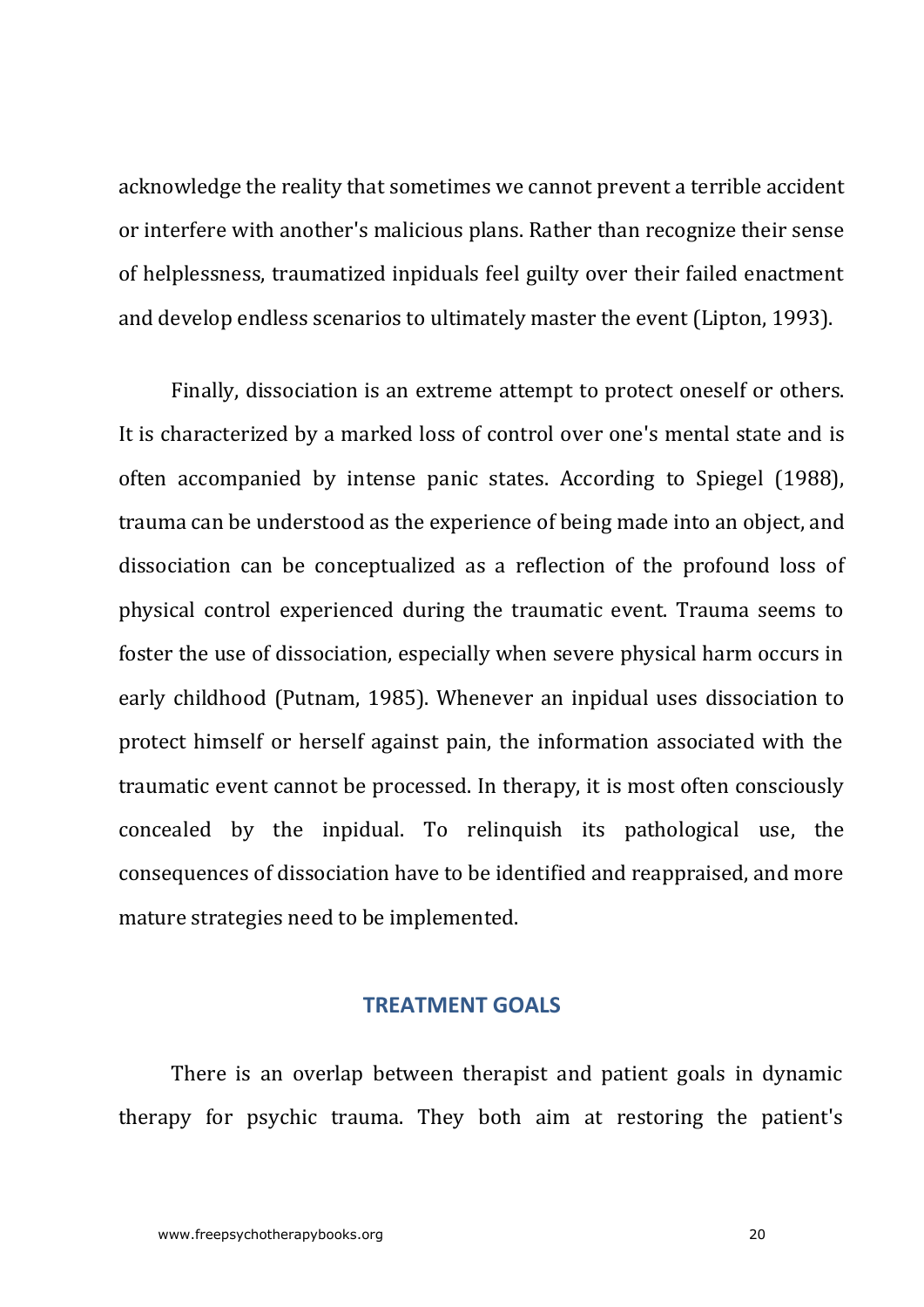acknowledge the reality that sometimes we cannot prevent a terrible accident or interfere with another's malicious plans. Rather than recognize their sense of helplessness, traumatized inpiduals feel guilty over their failed enactment and develop endless scenarios to ultimately master the event (Lipton, 1993).

Finally, dissociation is an extreme attempt to protect oneself or others. It is characterized by a marked loss of control over one's mental state and is often accompanied by intense panic states. According to Spiegel (1988), trauma can be understood as the experience of being made into an object, and dissociation can be conceptualized as a reflection of the profound loss of physical control experienced during the traumatic event. Trauma seems to foster the use of dissociation, especially when severe physical harm occurs in early childhood (Putnam, 1985). Whenever an inpidual uses dissociation to protect himself or herself against pain, the information associated with the traumatic event cannot be processed. In therapy, it is most often consciously concealed by the inpidual. To relinquish its pathological use, the consequences of dissociation have to be identified and reappraised, and more mature strategies need to be implemented.

#### **TREATMENT GOALS**

There is an overlap between therapist and patient goals in dynamic therapy for psychic trauma. They both aim at restoring the patient's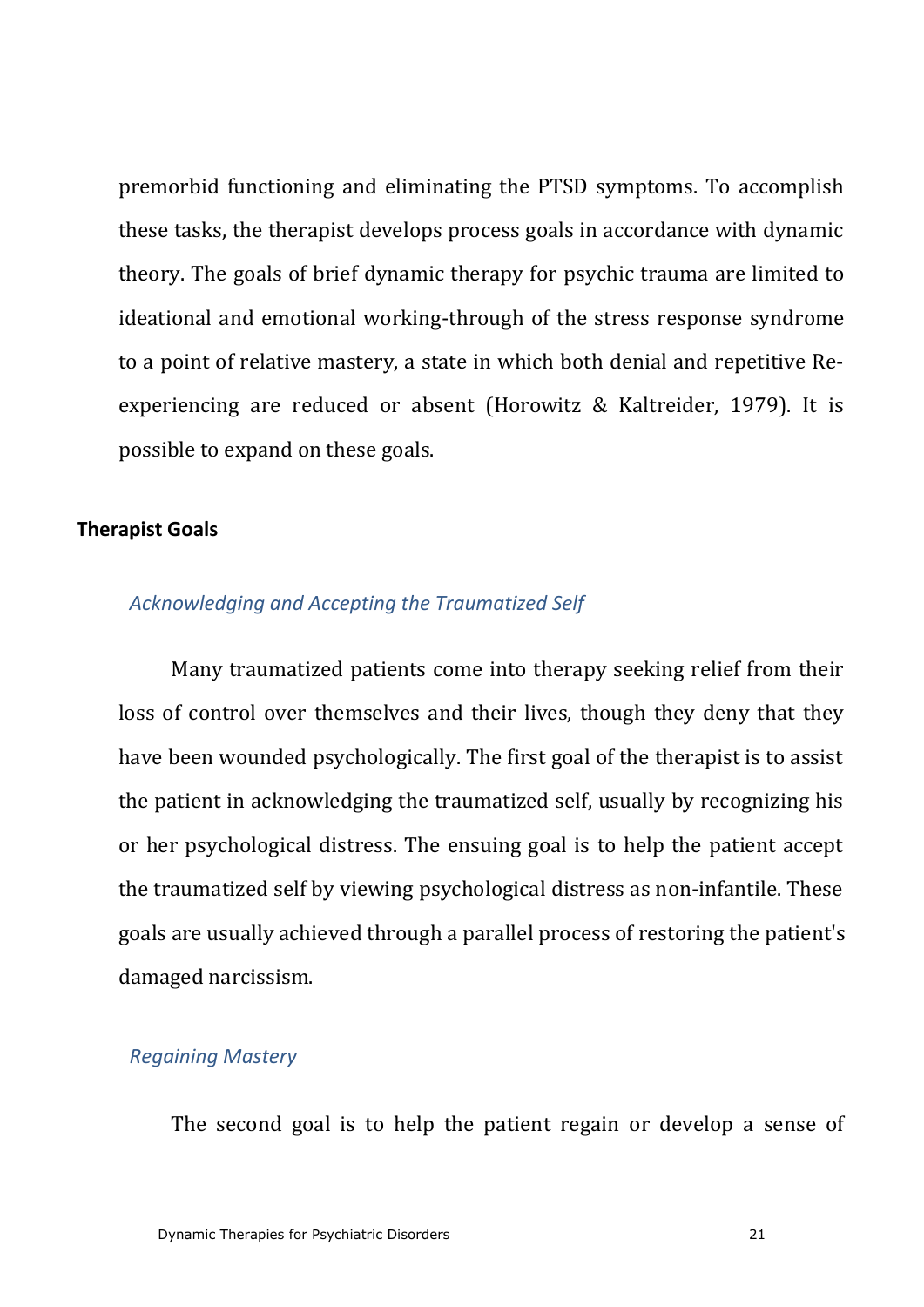premorbid functioning and eliminating the PTSD symptoms. To accomplish these tasks, the therapist develops process goals in accordance with dynamic theory. The goals of brief dynamic therapy for psychic trauma are limited to ideational and emotional working-through of the stress response syndrome to a point of relative mastery, a state in which both denial and repetitive Reexperiencing are reduced or absent (Horowitz & Kaltreider, 1979). It is possible to expand on these goals.

#### **Therapist Goals**

#### Acknowledging and Accepting the Traumatized Self

Many traumatized patients come into therapy seeking relief from their loss of control over themselves and their lives, though they deny that they have been wounded psychologically. The first goal of the therapist is to assist the patient in acknowledging the traumatized self, usually by recognizing his or her psychological distress. The ensuing goal is to help the patient accept the traumatized self by viewing psychological distress as non-infantile. These goals are usually achieved through a parallel process of restoring the patient's damaged narcissism.

#### *Regaining Mastery*

The second goal is to help the patient regain or develop a sense of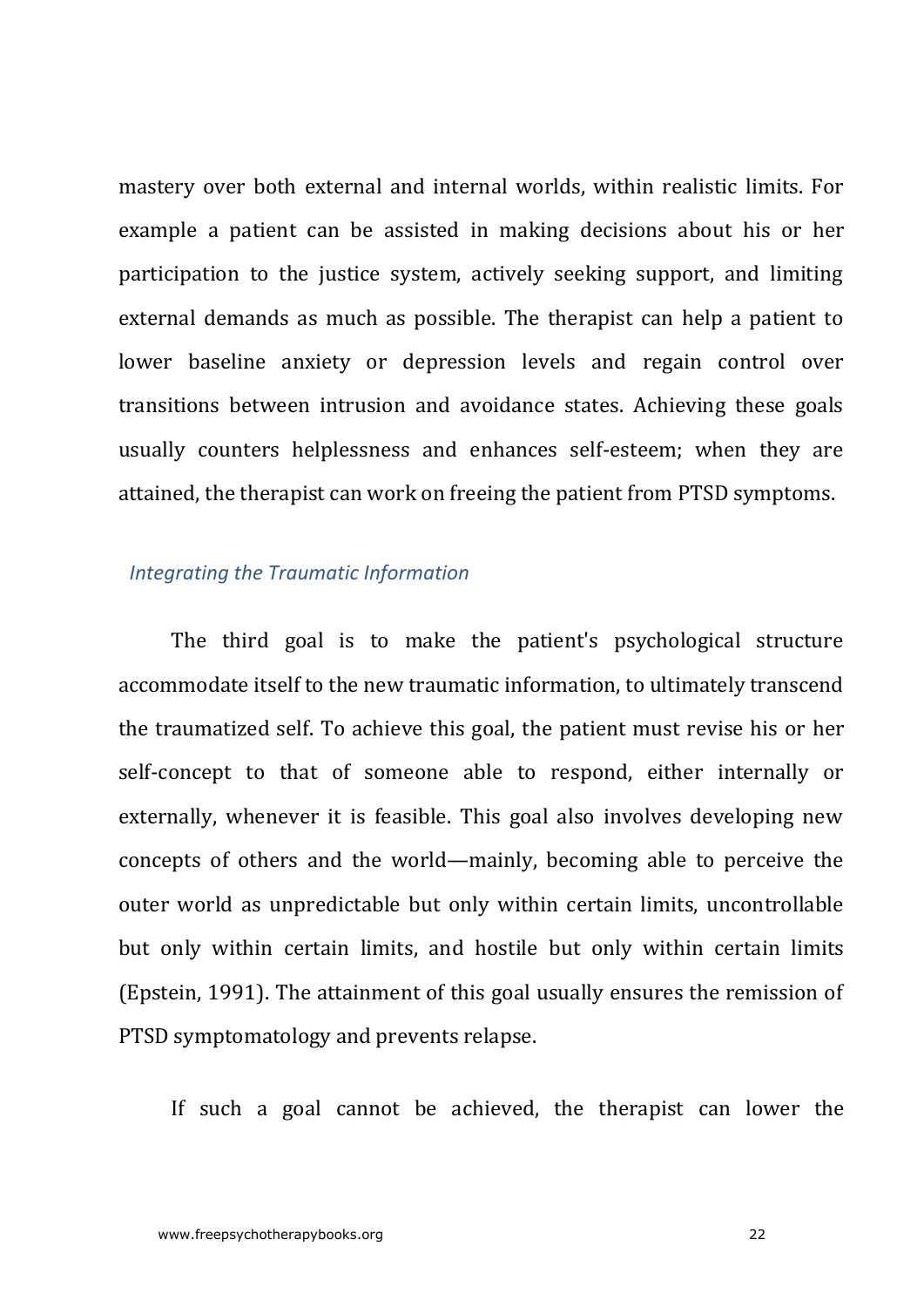mastery over both external and internal worlds, within realistic limits. For example a patient can be assisted in making decisions about his or her participation to the justice system, actively seeking support, and limiting external demands as much as possible. The therapist can help a patient to lower baseline anxiety or depression levels and regain control over transitions between intrusion and avoidance states. Achieving these goals usually counters helplessness and enhances self-esteem; when they are attained, the therapist can work on freeing the patient from PTSD symptoms.

#### *Integrating the Traumatic Information*

The third goal is to make the patient's psychological structure accommodate itself to the new traumatic information, to ultimately transcend the traumatized self. To achieve this goal, the patient must revise his or her self-concept to that of someone able to respond, either internally or externally, whenever it is feasible. This goal also involves developing new concepts of others and the world—mainly, becoming able to perceive the outer world as unpredictable but only within certain limits, uncontrollable but only within certain limits, and hostile but only within certain limits (Epstein, 1991). The attainment of this goal usually ensures the remission of PTSD symptomatology and prevents relapse.

If such a goal cannot be achieved, the therapist can lower the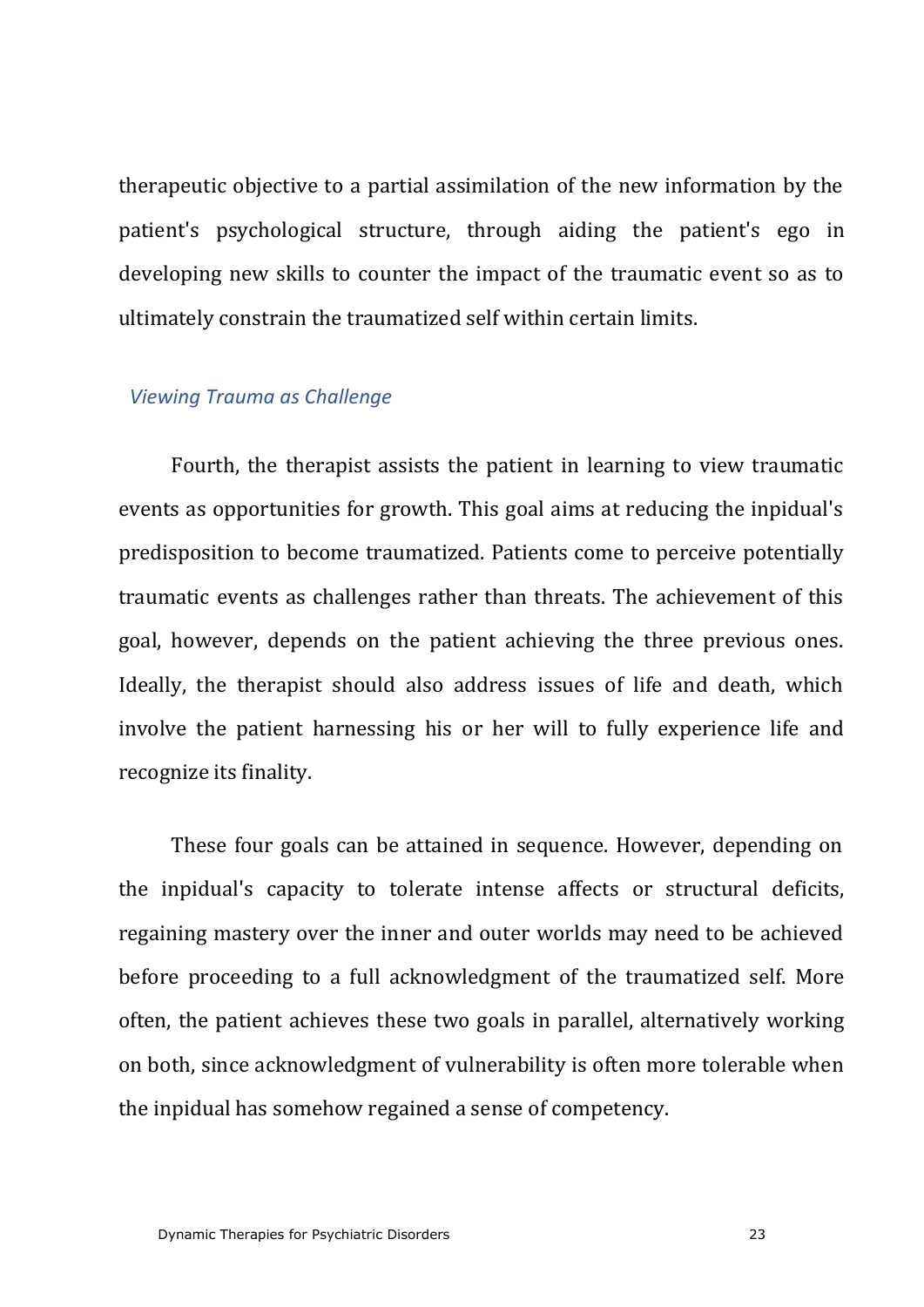therapeutic objective to a partial assimilation of the new information by the patient's psychological structure, through aiding the patient's ego in developing new skills to counter the impact of the traumatic event so as to ultimately constrain the traumatized self within certain limits.

#### *Viewing Trauma as Challenge*

Fourth, the therapist assists the patient in learning to view traumatic events as opportunities for growth. This goal aims at reducing the inpidual's predisposition to become traumatized. Patients come to perceive potentially traumatic events as challenges rather than threats. The achievement of this goal, however, depends on the patient achieving the three previous ones. Ideally, the therapist should also address issues of life and death, which involve the patient harnessing his or her will to fully experience life and recognize its finality.

These four goals can be attained in sequence. However, depending on the inpidual's capacity to tolerate intense affects or structural deficits, regaining mastery over the inner and outer worlds may need to be achieved before proceeding to a full acknowledgment of the traumatized self. More often, the patient achieves these two goals in parallel, alternatively working on both, since acknowledgment of vulnerability is often more tolerable when the inpidual has somehow regained a sense of competency.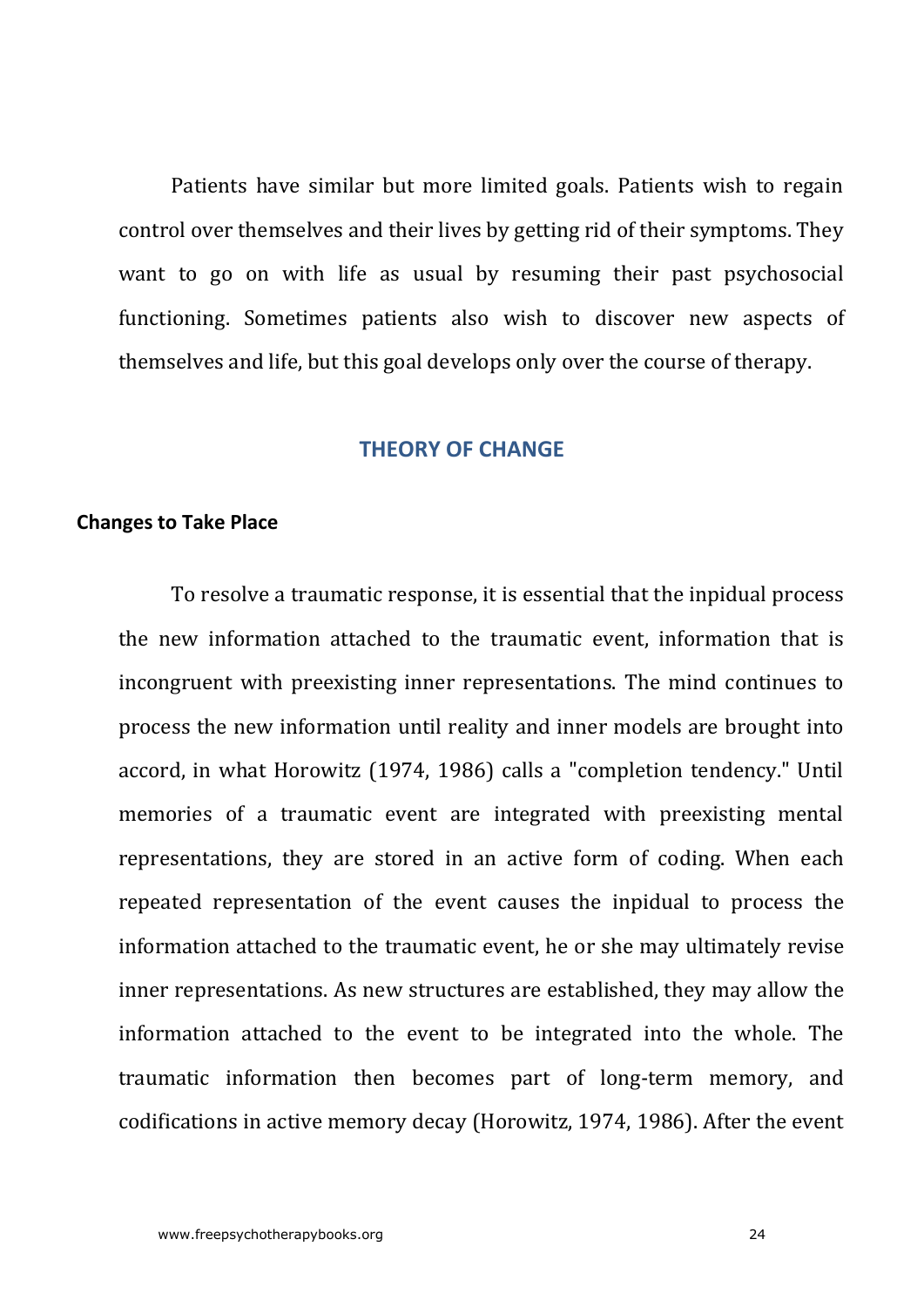Patients have similar but more limited goals. Patients wish to regain control over themselves and their lives by getting rid of their symptoms. They want to go on with life as usual by resuming their past psychosocial functioning. Sometimes patients also wish to discover new aspects of themselves and life, but this goal develops only over the course of therapy.

#### **THEORY OF CHANGE**

#### **Changes to Take Place**

To resolve a traumatic response, it is essential that the inpidual process the new information attached to the traumatic event, information that is incongruent with preexisting inner representations. The mind continues to process the new information until reality and inner models are brought into accord, in what Horowitz (1974, 1986) calls a "completion tendency." Until memories of a traumatic event are integrated with preexisting mental representations, they are stored in an active form of coding. When each repeated representation of the event causes the inpidual to process the information attached to the traumatic event, he or she may ultimately revise inner representations. As new structures are established, they may allow the information attached to the event to be integrated into the whole. The traumatic information then becomes part of long-term memory, and codifications in active memory decay (Horowitz, 1974, 1986). After the event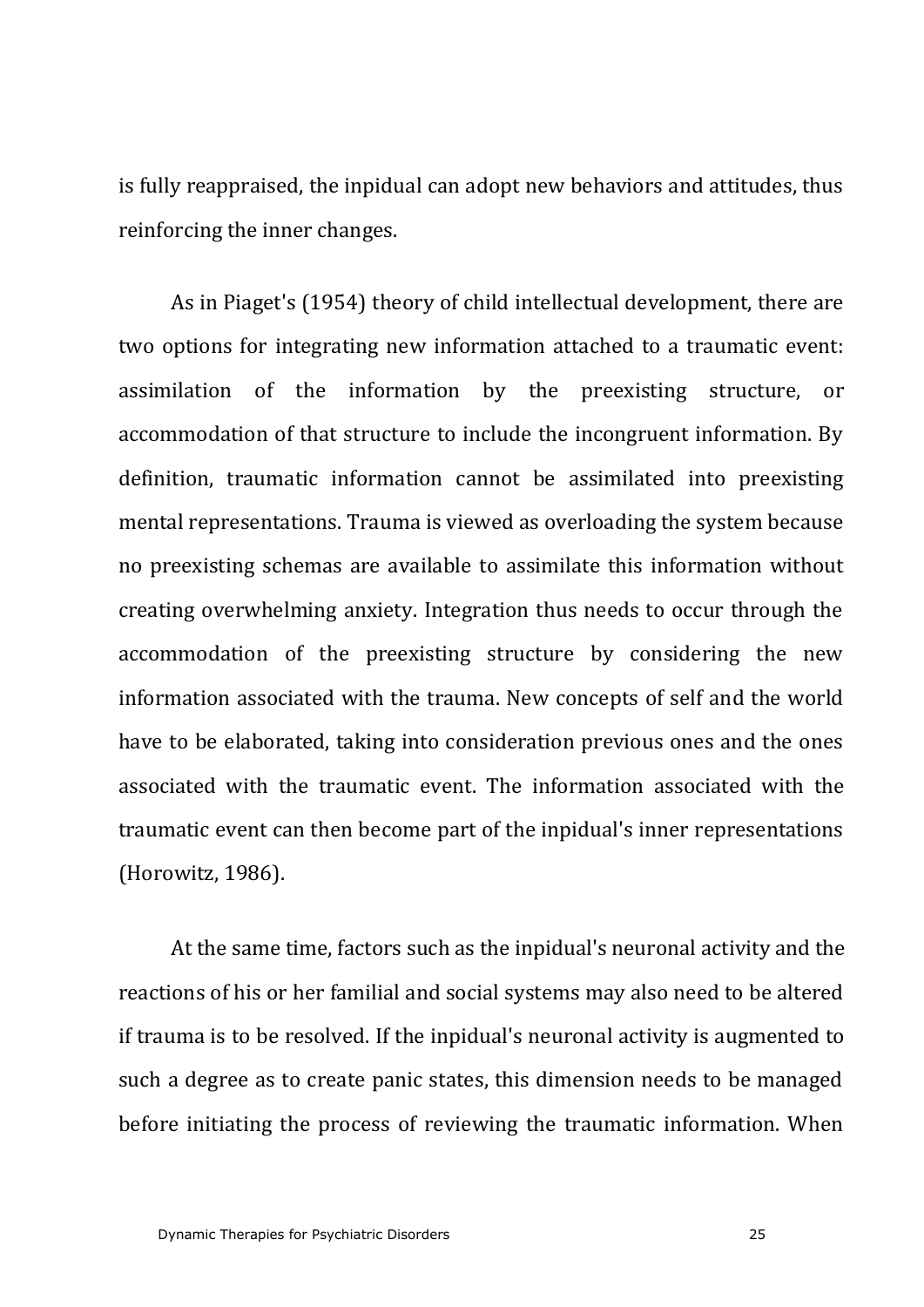is fully reappraised, the inpidual can adopt new behaviors and attitudes, thus reinforcing the inner changes.

As in Piaget's (1954) theory of child intellectual development, there are two options for integrating new information attached to a traumatic event: assimilation of the information by the preexisting structure, or accommodation of that structure to include the incongruent information. By definition, traumatic information cannot be assimilated into preexisting mental representations. Trauma is viewed as overloading the system because no preexisting schemas are available to assimilate this information without creating overwhelming anxiety. Integration thus needs to occur through the accommodation of the preexisting structure by considering the new information associated with the trauma. New concepts of self and the world have to be elaborated, taking into consideration previous ones and the ones associated with the traumatic event. The information associated with the traumatic event can then become part of the inpidual's inner representations (Horowitz, 1986).

At the same time, factors such as the inpidual's neuronal activity and the reactions of his or her familial and social systems may also need to be altered if trauma is to be resolved. If the inpidual's neuronal activity is augmented to such a degree as to create panic states, this dimension needs to be managed before initiating the process of reviewing the traumatic information. When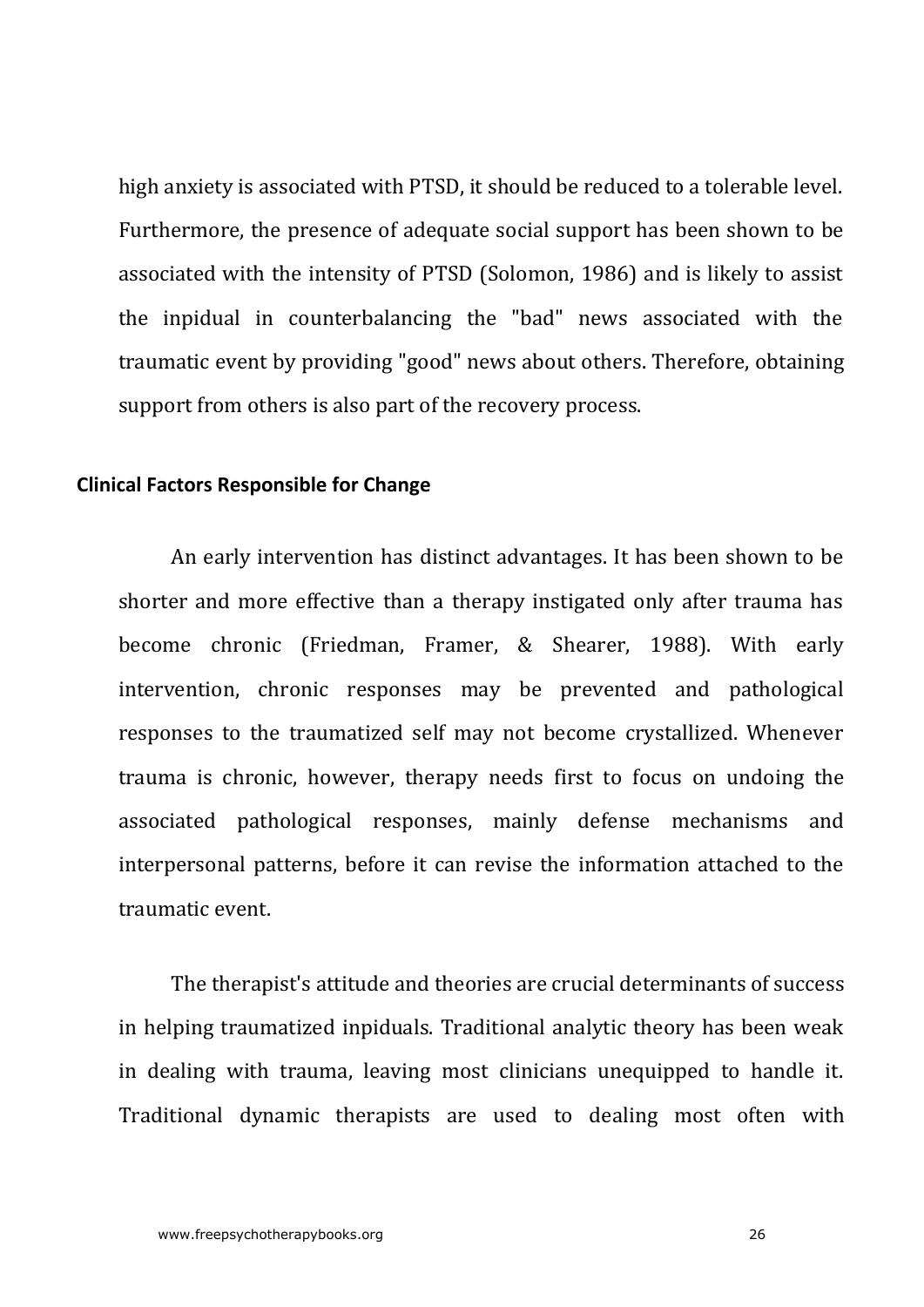high anxiety is associated with PTSD, it should be reduced to a tolerable level. Furthermore, the presence of adequate social support has been shown to be associated with the intensity of PTSD (Solomon, 1986) and is likely to assist the inpidual in counterbalancing the "bad" news associated with the traumatic event by providing "good" news about others. Therefore, obtaining support from others is also part of the recovery process.

#### **Clinical Factors Responsible for Change**

An early intervention has distinct advantages. It has been shown to be shorter and more effective than a therapy instigated only after trauma has become chronic (Friedman, Framer, & Shearer, 1988). With early intervention, chronic responses may be prevented and pathological responses to the traumatized self may not become crystallized. Whenever trauma is chronic, however, therapy needs first to focus on undoing the associated pathological responses, mainly defense mechanisms and interpersonal patterns, before it can revise the information attached to the traumatic event.

The therapist's attitude and theories are crucial determinants of success in helping traumatized inpiduals. Traditional analytic theory has been weak in dealing with trauma, leaving most clinicians unequipped to handle it. Traditional dynamic therapists are used to dealing most often with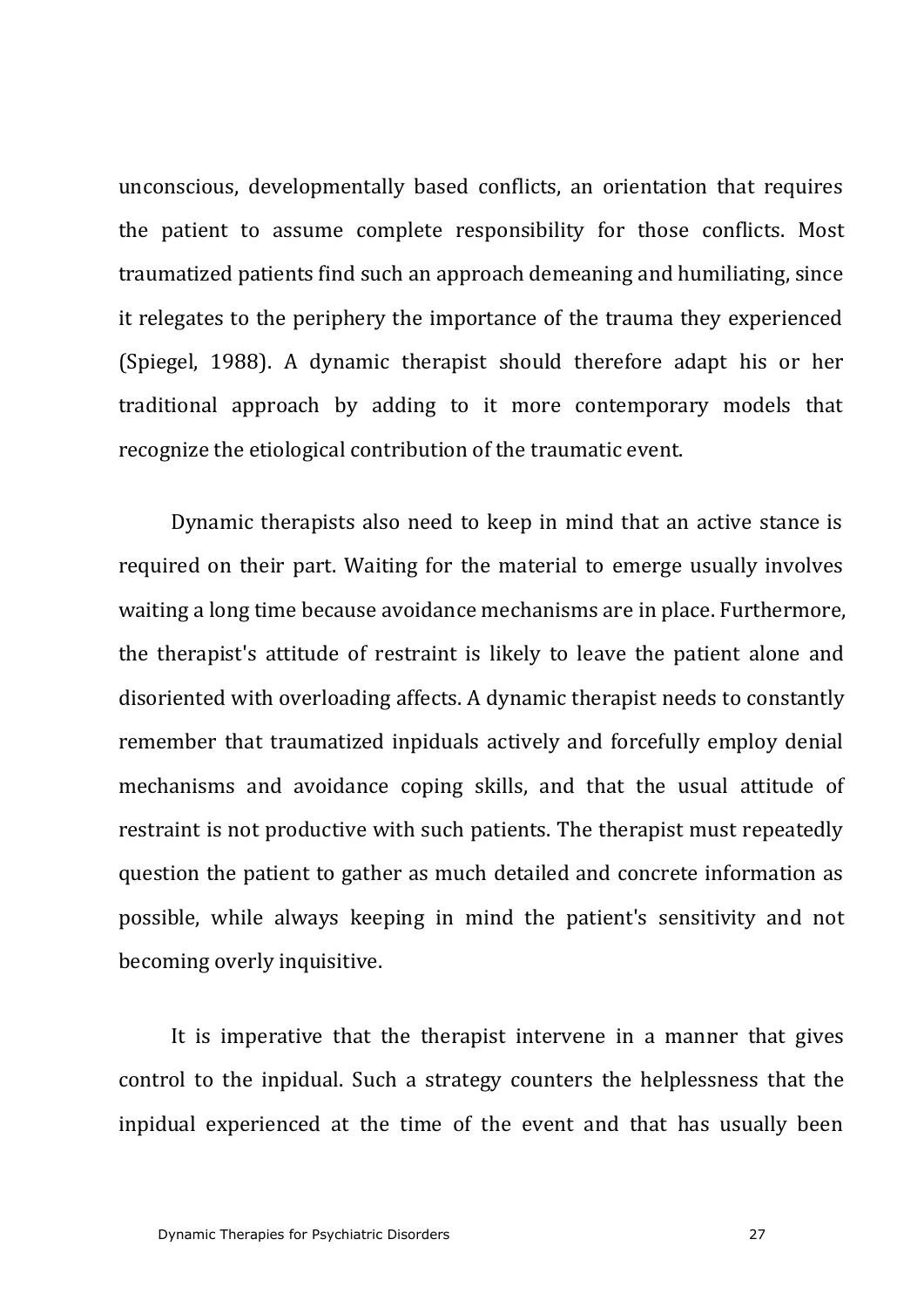unconscious, developmentally based conflicts, an orientation that requires the patient to assume complete responsibility for those conflicts. Most traumatized patients find such an approach demeaning and humiliating, since it relegates to the periphery the importance of the trauma they experienced (Spiegel, 1988). A dynamic therapist should therefore adapt his or her traditional approach by adding to it more contemporary models that recognize the etiological contribution of the traumatic event.

Dynamic therapists also need to keep in mind that an active stance is required on their part. Waiting for the material to emerge usually involves waiting a long time because avoidance mechanisms are in place. Furthermore, the therapist's attitude of restraint is likely to leave the patient alone and disoriented with overloading affects. A dynamic therapist needs to constantly remember that traumatized inpiduals actively and forcefully employ denial mechanisms and avoidance coping skills, and that the usual attitude of restraint is not productive with such patients. The therapist must repeatedly question the patient to gather as much detailed and concrete information as possible, while always keeping in mind the patient's sensitivity and not becoming overly inquisitive.

It is imperative that the therapist intervene in a manner that gives control to the inpidual. Such a strategy counters the helplessness that the inpidual experienced at the time of the event and that has usually been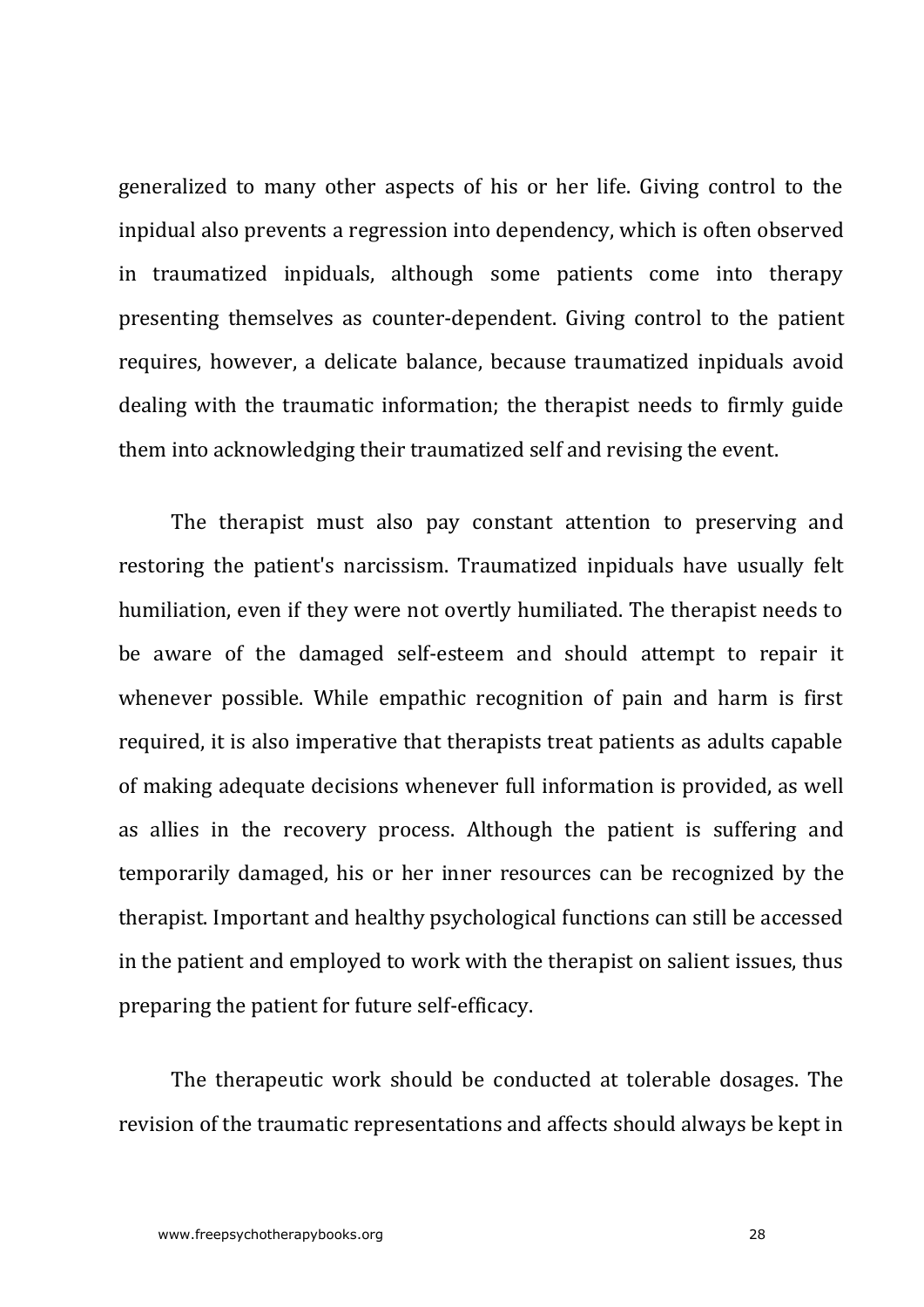generalized to many other aspects of his or her life. Giving control to the inpidual also prevents a regression into dependency, which is often observed in traumatized inpiduals, although some patients come into therapy presenting themselves as counter-dependent. Giving control to the patient requires, however, a delicate balance, because traumatized inpiduals avoid dealing with the traumatic information; the therapist needs to firmly guide them into acknowledging their traumatized self and revising the event.

The therapist must also pay constant attention to preserving and restoring the patient's narcissism. Traumatized inpiduals have usually felt humiliation, even if they were not overtly humiliated. The therapist needs to be aware of the damaged self-esteem and should attempt to repair it whenever possible. While empathic recognition of pain and harm is first required, it is also imperative that therapists treat patients as adults capable of making adequate decisions whenever full information is provided, as well as allies in the recovery process. Although the patient is suffering and temporarily damaged, his or her inner resources can be recognized by the therapist. Important and healthy psychological functions can still be accessed in the patient and employed to work with the therapist on salient issues, thus preparing the patient for future self-efficacy.

The therapeutic work should be conducted at tolerable dosages. The revision of the traumatic representations and affects should always be kept in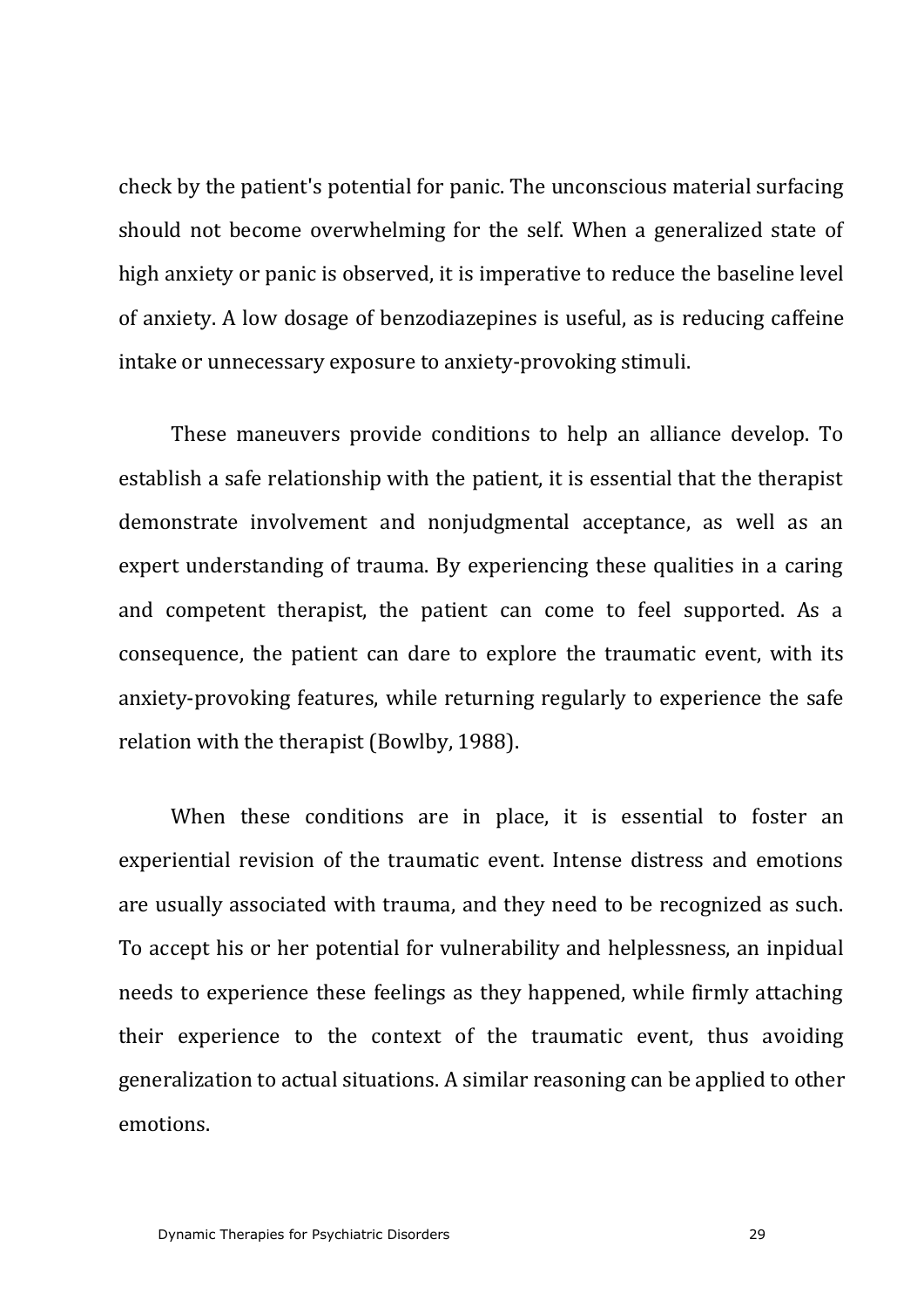check by the patient's potential for panic. The unconscious material surfacing should not become overwhelming for the self. When a generalized state of high anxiety or panic is observed, it is imperative to reduce the baseline level of anxiety. A low dosage of benzodiazepines is useful, as is reducing caffeine intake or unnecessary exposure to anxiety-provoking stimuli.

These maneuvers provide conditions to help an alliance develop. To establish a safe relationship with the patient, it is essential that the therapist demonstrate involvement and nonjudgmental acceptance, as well as an expert understanding of trauma. By experiencing these qualities in a caring and competent therapist, the patient can come to feel supported. As a consequence, the patient can dare to explore the traumatic event, with its anxiety-provoking features, while returning regularly to experience the safe relation with the therapist (Bowlby, 1988).

When these conditions are in place, it is essential to foster an experiential revision of the traumatic event. Intense distress and emotions are usually associated with trauma, and they need to be recognized as such. To accept his or her potential for vulnerability and helplessness, an inpidual needs to experience these feelings as they happened, while firmly attaching their experience to the context of the traumatic event, thus avoiding generalization to actual situations. A similar reasoning can be applied to other emotions.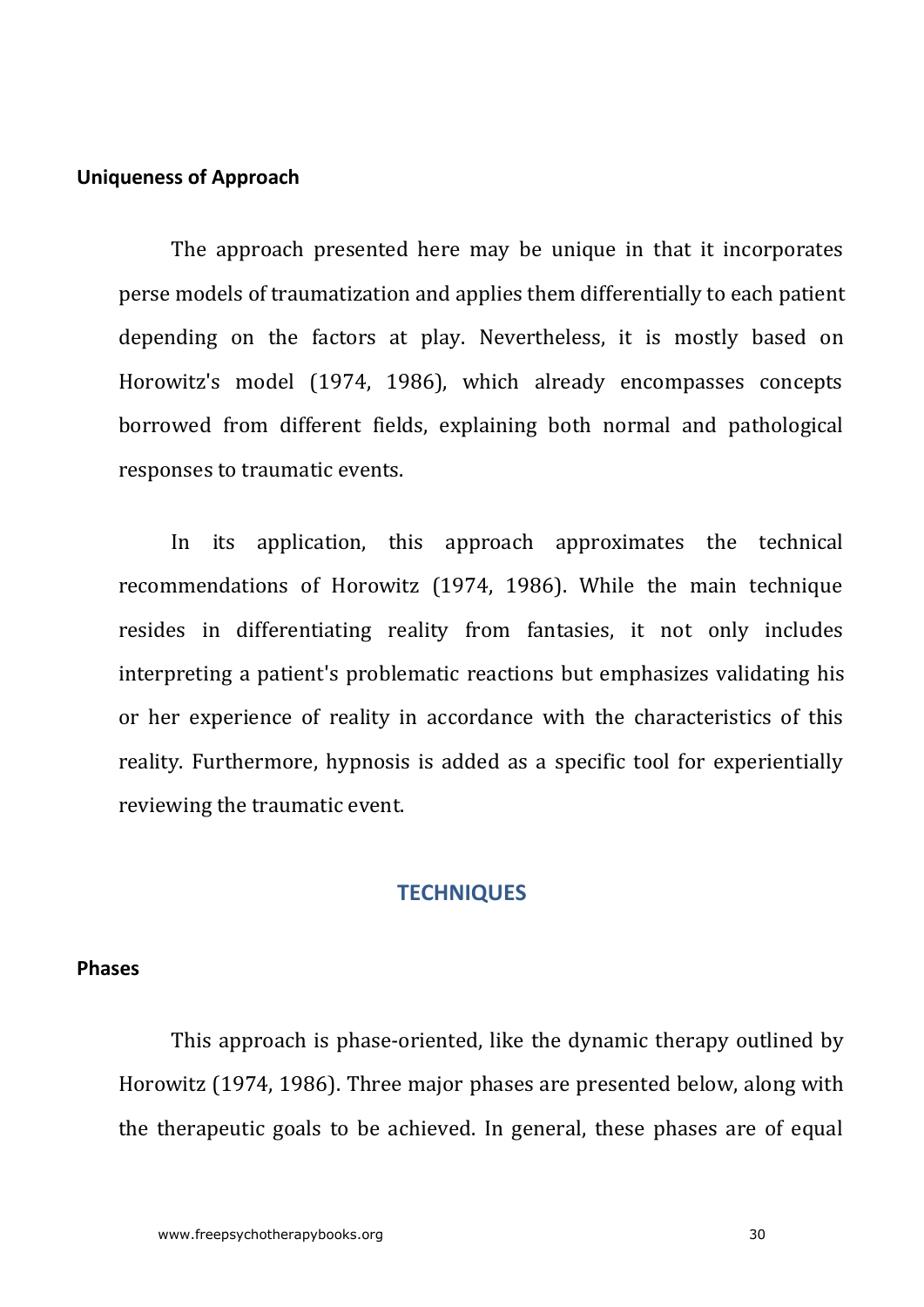#### **Uniqueness of Approach**

The approach presented here may be unique in that it incorporates perse models of traumatization and applies them differentially to each patient depending on the factors at play. Nevertheless, it is mostly based on Horowitz's model (1974, 1986), which already encompasses concepts borrowed from different fields, explaining both normal and pathological responses to traumatic events.

In its application, this approach approximates the technical recommendations of Horowitz (1974, 1986). While the main technique resides in differentiating reality from fantasies, it not only includes interpreting a patient's problematic reactions but emphasizes validating his or her experience of reality in accordance with the characteristics of this reality. Furthermore, hypnosis is added as a specific tool for experientially reviewing the traumatic event.

#### **TECHNIQUES**

#### **Phases**

This approach is phase-oriented, like the dynamic therapy outlined by Horowitz (1974, 1986). Three major phases are presented below, along with the therapeutic goals to be achieved. In general, these phases are of equal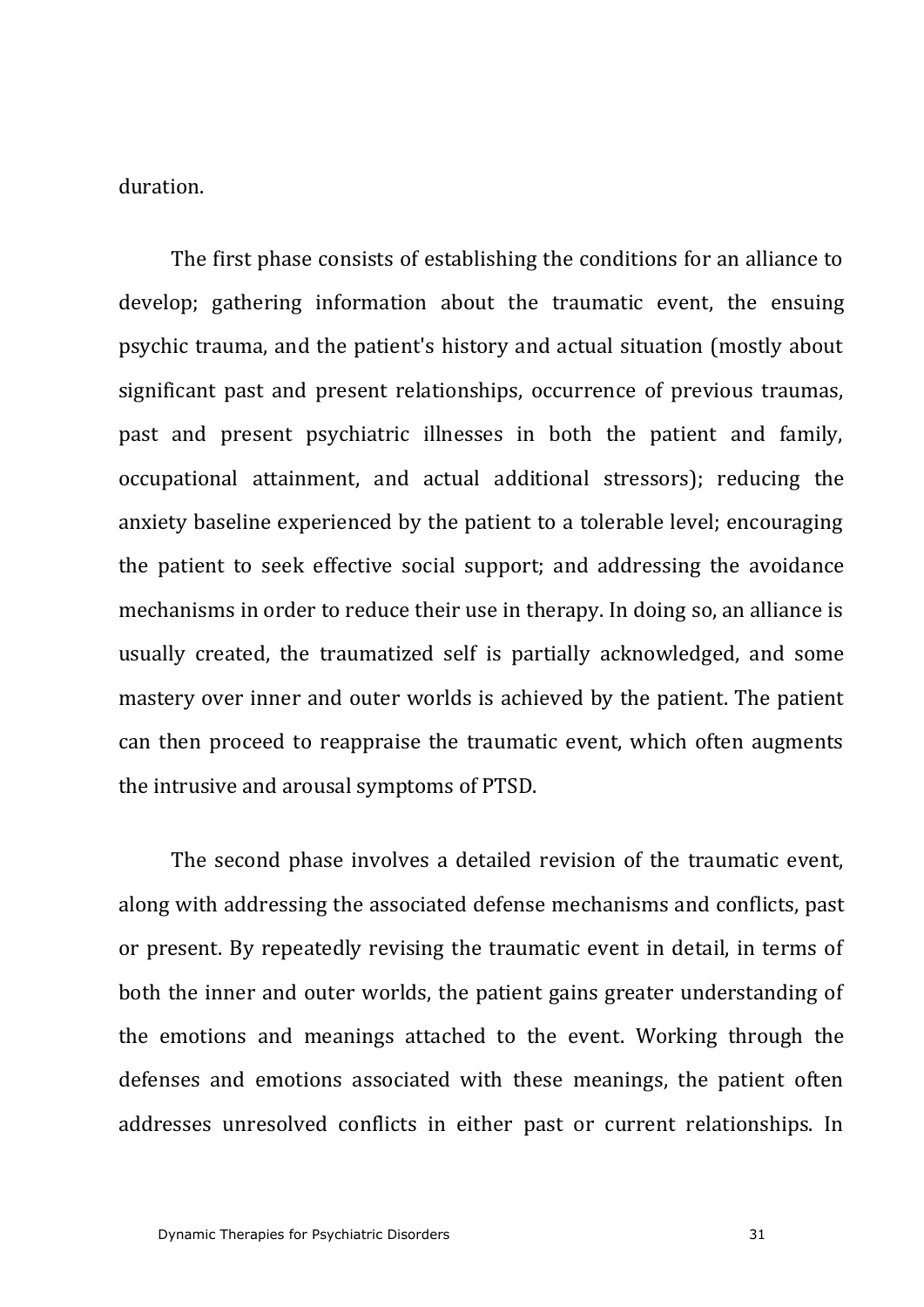duration.

The first phase consists of establishing the conditions for an alliance to develop; gathering information about the traumatic event, the ensuing psychic trauma, and the patient's history and actual situation (mostly about significant past and present relationships, occurrence of previous traumas, past and present psychiatric illnesses in both the patient and family, occupational attainment, and actual additional stressors); reducing the anxiety baseline experienced by the patient to a tolerable level; encouraging the patient to seek effective social support; and addressing the avoidance mechanisms in order to reduce their use in therapy. In doing so, an alliance is usually created, the traumatized self is partially acknowledged, and some mastery over inner and outer worlds is achieved by the patient. The patient can then proceed to reappraise the traumatic event, which often augments the intrusive and arousal symptoms of PTSD.

The second phase involves a detailed revision of the traumatic event, along with addressing the associated defense mechanisms and conflicts, past or present. By repeatedly revising the traumatic event in detail, in terms of both the inner and outer worlds, the patient gains greater understanding of the emotions and meanings attached to the event. Working through the defenses and emotions associated with these meanings, the patient often addresses unresolved conflicts in either past or current relationships. In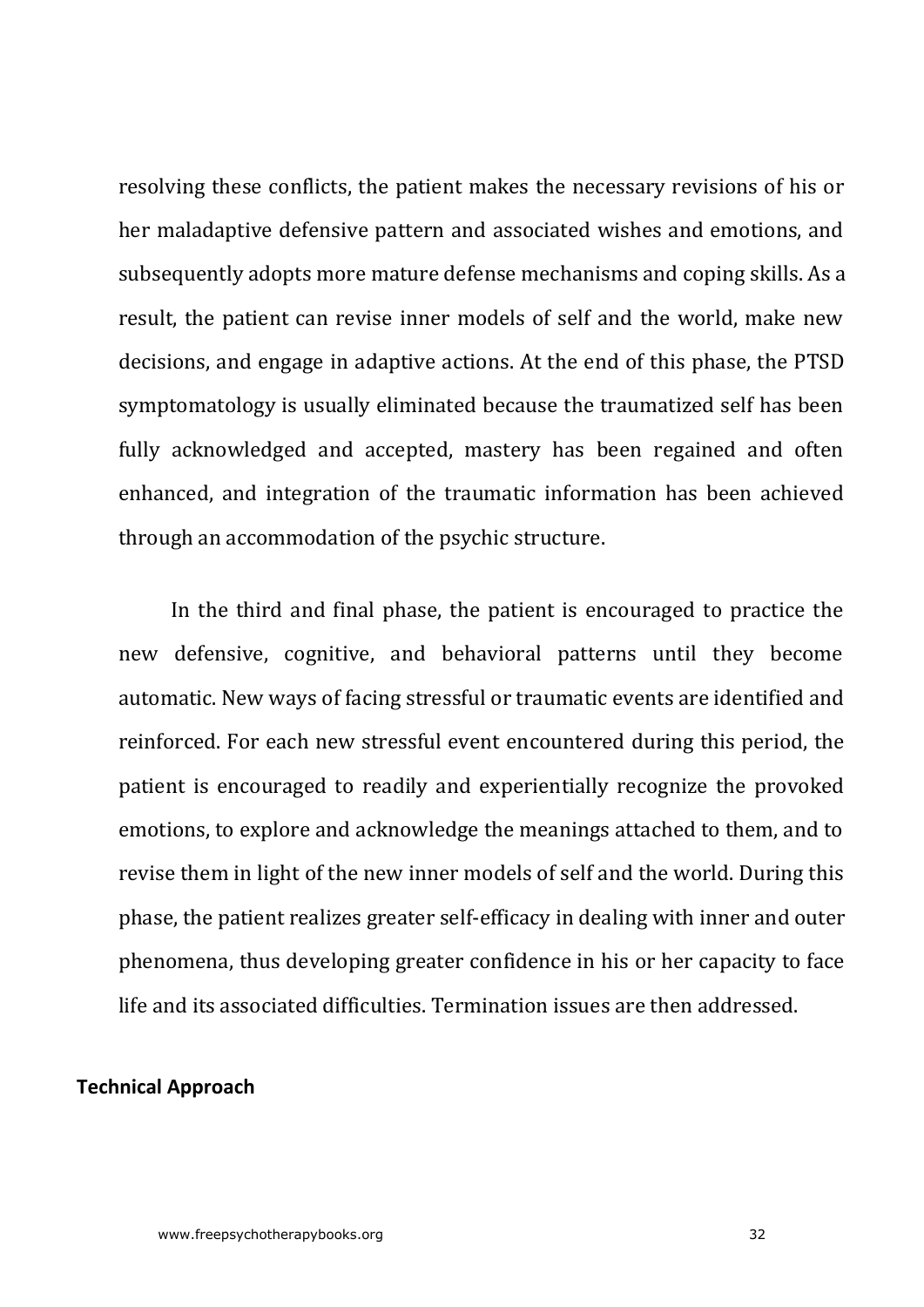resolving these conflicts, the patient makes the necessary revisions of his or her maladaptive defensive pattern and associated wishes and emotions, and subsequently adopts more mature defense mechanisms and coping skills. As a result, the patient can revise inner models of self and the world, make new decisions, and engage in adaptive actions. At the end of this phase, the PTSD symptomatology is usually eliminated because the traumatized self has been fully acknowledged and accepted, mastery has been regained and often enhanced, and integration of the traumatic information has been achieved through an accommodation of the psychic structure.

In the third and final phase, the patient is encouraged to practice the new defensive, cognitive, and behavioral patterns until they become automatic. New ways of facing stressful or traumatic events are identified and reinforced. For each new stressful event encountered during this period, the patient is encouraged to readily and experientially recognize the provoked emotions, to explore and acknowledge the meanings attached to them, and to revise them in light of the new inner models of self and the world. During this phase, the patient realizes greater self-efficacy in dealing with inner and outer phenomena, thus developing greater confidence in his or her capacity to face life and its associated difficulties. Termination issues are then addressed

#### **Technical Approach**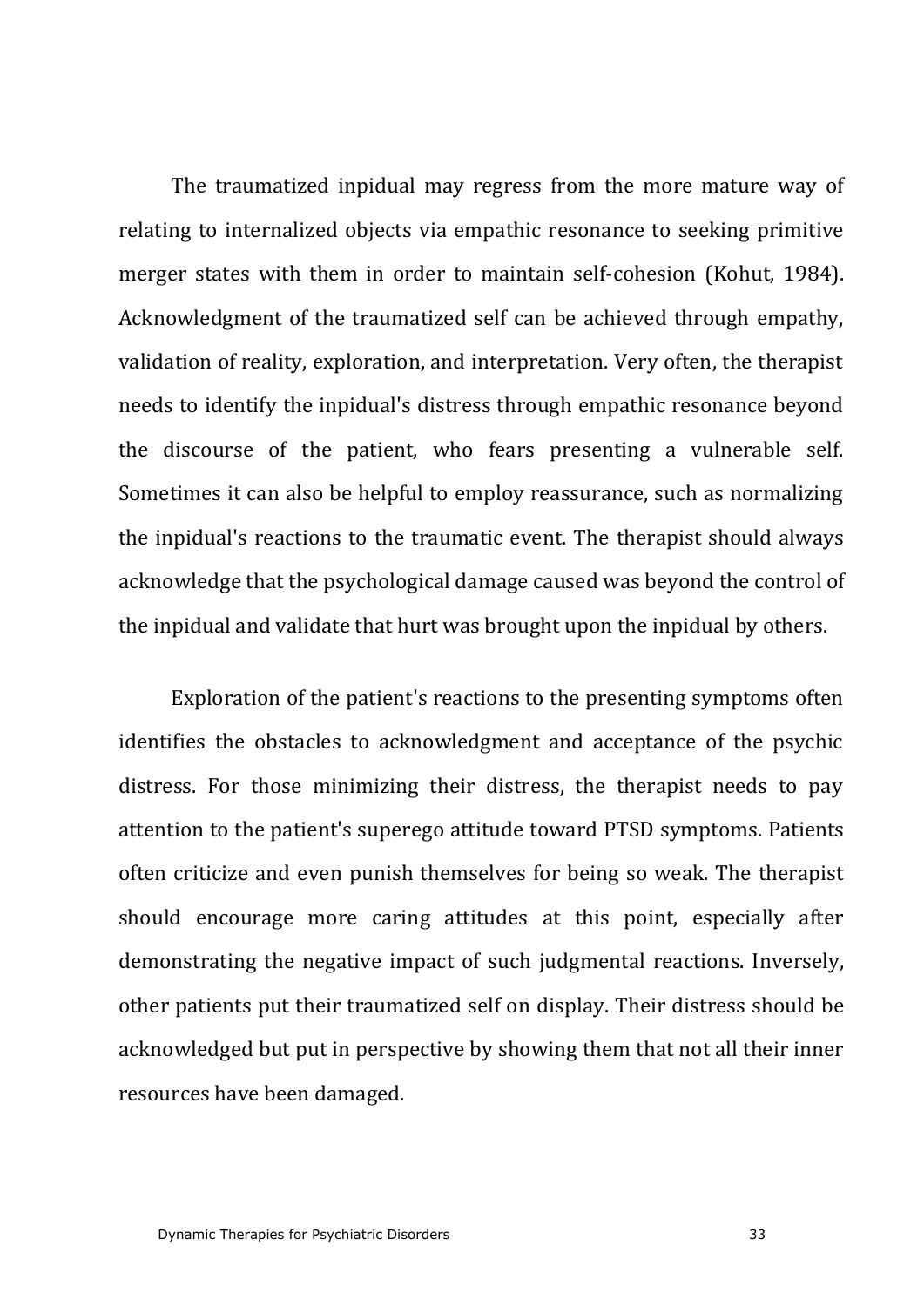The traumatized inpidual may regress from the more mature way of relating to internalized objects via empathic resonance to seeking primitive merger states with them in order to maintain self-cohesion (Kohut, 1984). Acknowledgment of the traumatized self can be achieved through empathy, validation of reality, exploration, and interpretation. Very often, the therapist needs to identify the inpidual's distress through empathic resonance beyond the discourse of the patient, who fears presenting a vulnerable self. Sometimes it can also be helpful to employ reassurance, such as normalizing the inpidual's reactions to the traumatic event. The therapist should always acknowledge that the psychological damage caused was beyond the control of the inpidual and validate that hurt was brought upon the inpidual by others.

Exploration of the patient's reactions to the presenting symptoms often identifies the obstacles to acknowledgment and acceptance of the psychic distress. For those minimizing their distress, the therapist needs to pay attention to the patient's superego attitude toward PTSD symptoms. Patients often criticize and even punish themselves for being so weak. The therapist should encourage more caring attitudes at this point, especially after demonstrating the negative impact of such judgmental reactions. Inversely, other patients put their traumatized self on display. Their distress should be acknowledged but put in perspective by showing them that not all their inner resources have been damaged.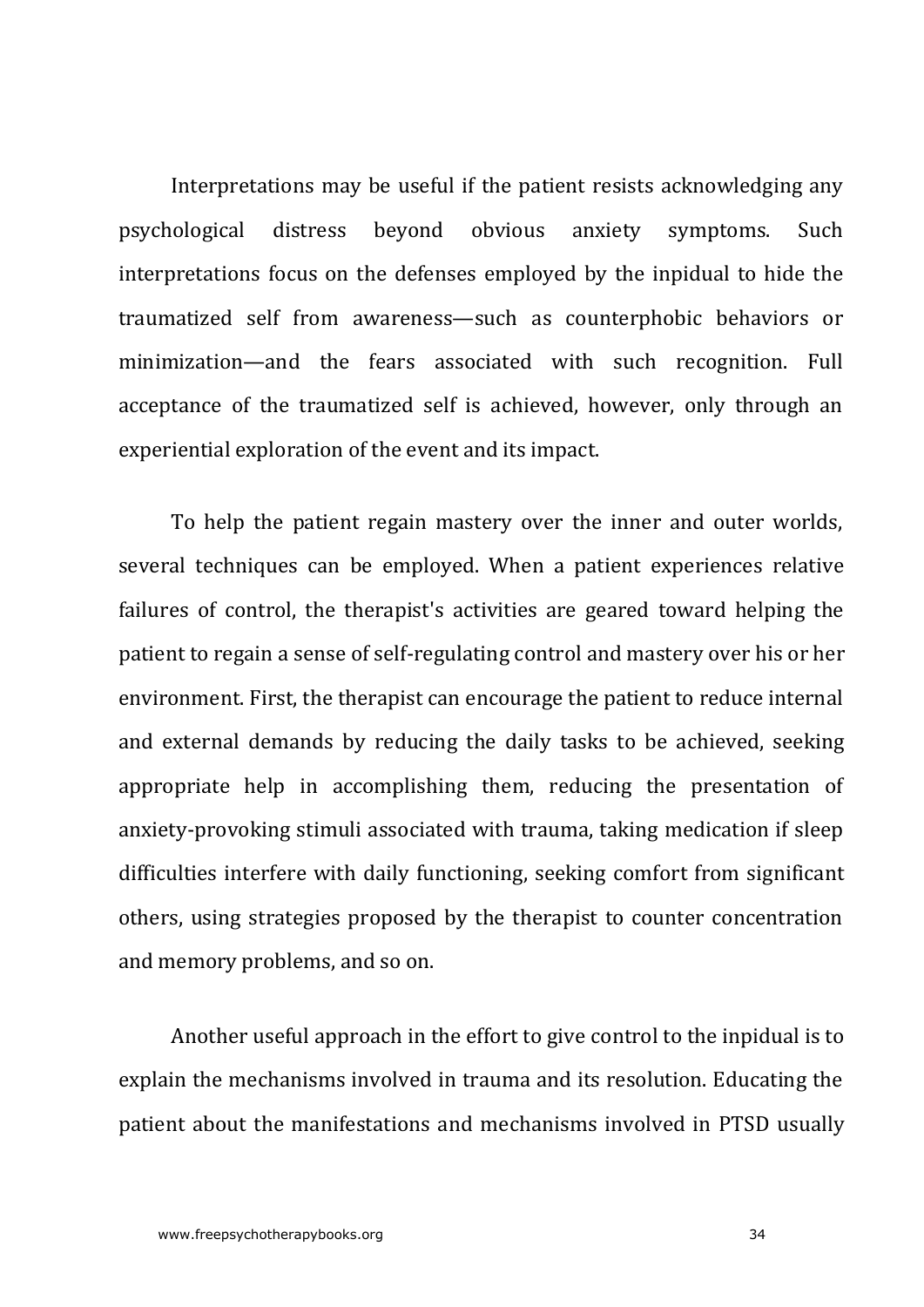Interpretations may be useful if the patient resists acknowledging any psychological distress beyond obvious anxiety symptoms. Such interpretations focus on the defenses employed by the inpidual to hide the traumatized self from awareness—such as counterphobic behaviors or minimization—and the fears associated with such recognition. Full acceptance of the traumatized self is achieved, however, only through an experiential exploration of the event and its impact.

To help the patient regain mastery over the inner and outer worlds, several techniques can be employed. When a patient experiences relative failures of control, the therapist's activities are geared toward helping the patient to regain a sense of self-regulating control and mastery over his or her environment. First, the therapist can encourage the patient to reduce internal and external demands by reducing the daily tasks to be achieved, seeking appropriate help in accomplishing them, reducing the presentation of anxiety-provoking stimuli associated with trauma, taking medication if sleep difficulties interfere with daily functioning, seeking comfort from significant others, using strategies proposed by the therapist to counter concentration and memory problems, and so on.

Another useful approach in the effort to give control to the inpidual is to explain the mechanisms involved in trauma and its resolution. Educating the patient about the manifestations and mechanisms involved in PTSD usually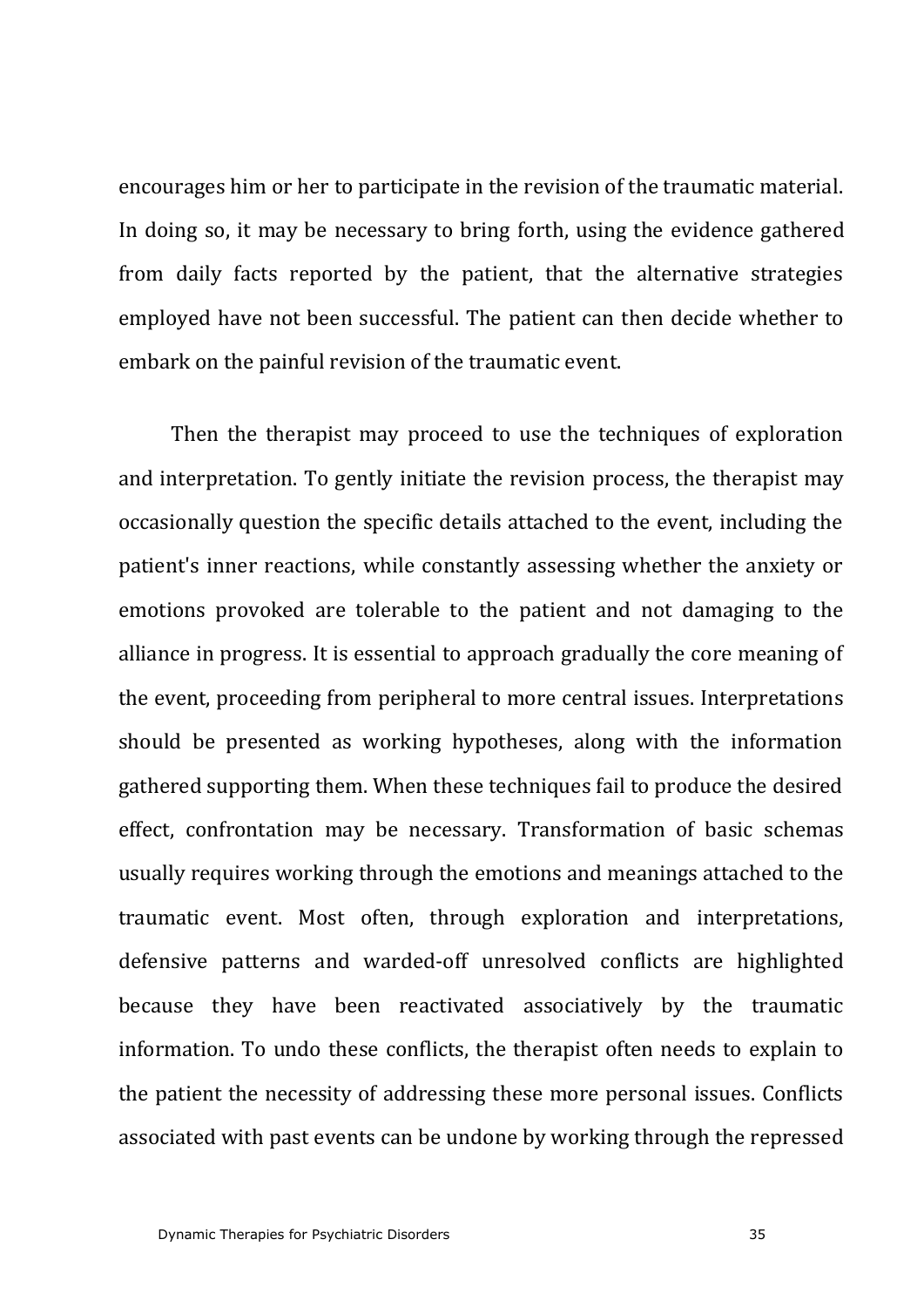encourages him or her to participate in the revision of the traumatic material. In doing so, it may be necessary to bring forth, using the evidence gathered from daily facts reported by the patient, that the alternative strategies employed have not been successful. The patient can then decide whether to embark on the painful revision of the traumatic event.

Then the therapist may proceed to use the techniques of exploration and interpretation. To gently initiate the revision process, the therapist may occasionally question the specific details attached to the event, including the patient's inner reactions, while constantly assessing whether the anxiety or emotions provoked are tolerable to the patient and not damaging to the alliance in progress. It is essential to approach gradually the core meaning of the event, proceeding from peripheral to more central issues. Interpretations should be presented as working hypotheses, along with the information gathered supporting them. When these techniques fail to produce the desired effect, confrontation may be necessary. Transformation of basic schemas usually requires working through the emotions and meanings attached to the traumatic event. Most often, through exploration and interpretations, defensive patterns and warded-off unresolved conflicts are highlighted because they have been reactivated associatively by the traumatic information. To undo these conflicts, the therapist often needs to explain to the patient the necessity of addressing these more personal issues. Conflicts associated with past events can be undone by working through the repressed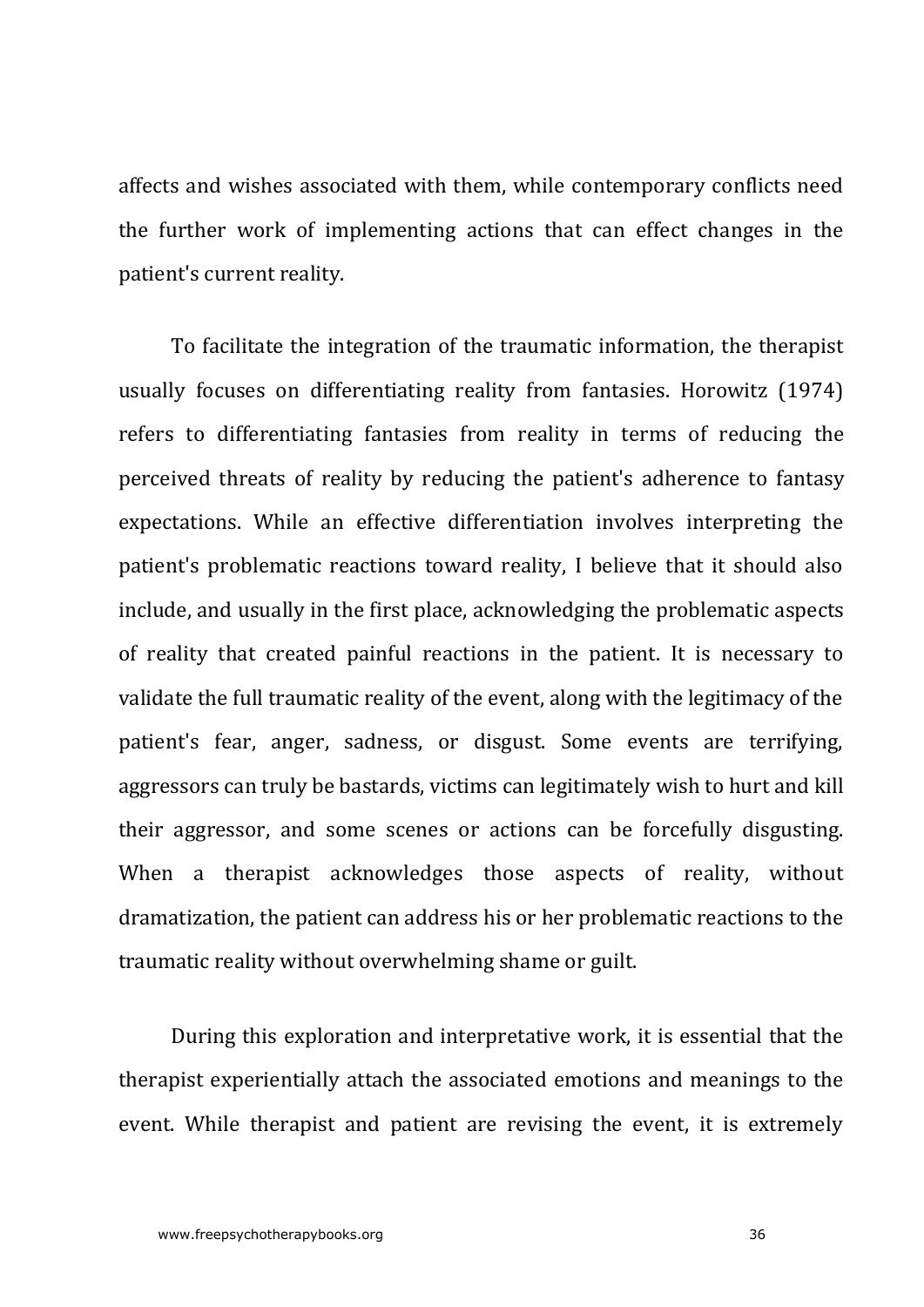affects and wishes associated with them, while contemporary conflicts need the further work of implementing actions that can effect changes in the patient's current reality.

To facilitate the integration of the traumatic information, the therapist usually focuses on differentiating reality from fantasies. Horowitz (1974) refers to differentiating fantasies from reality in terms of reducing the perceived threats of reality by reducing the patient's adherence to fantasy expectations. While an effective differentiation involves interpreting the patient's problematic reactions toward reality, I believe that it should also include, and usually in the first place, acknowledging the problematic aspects of reality that created painful reactions in the patient. It is necessary to validate the full traumatic reality of the event, along with the legitimacy of the patient's fear, anger, sadness, or disgust. Some events are terrifying, aggressors can truly be bastards, victims can legitimately wish to hurt and kill their aggressor, and some scenes or actions can be forcefully disgusting. When a therapist acknowledges those aspects of reality, without dramatization, the patient can address his or her problematic reactions to the traumatic reality without overwhelming shame or guilt.

During this exploration and interpretative work, it is essential that the therapist experientially attach the associated emotions and meanings to the event. While therapist and patient are revising the event, it is extremely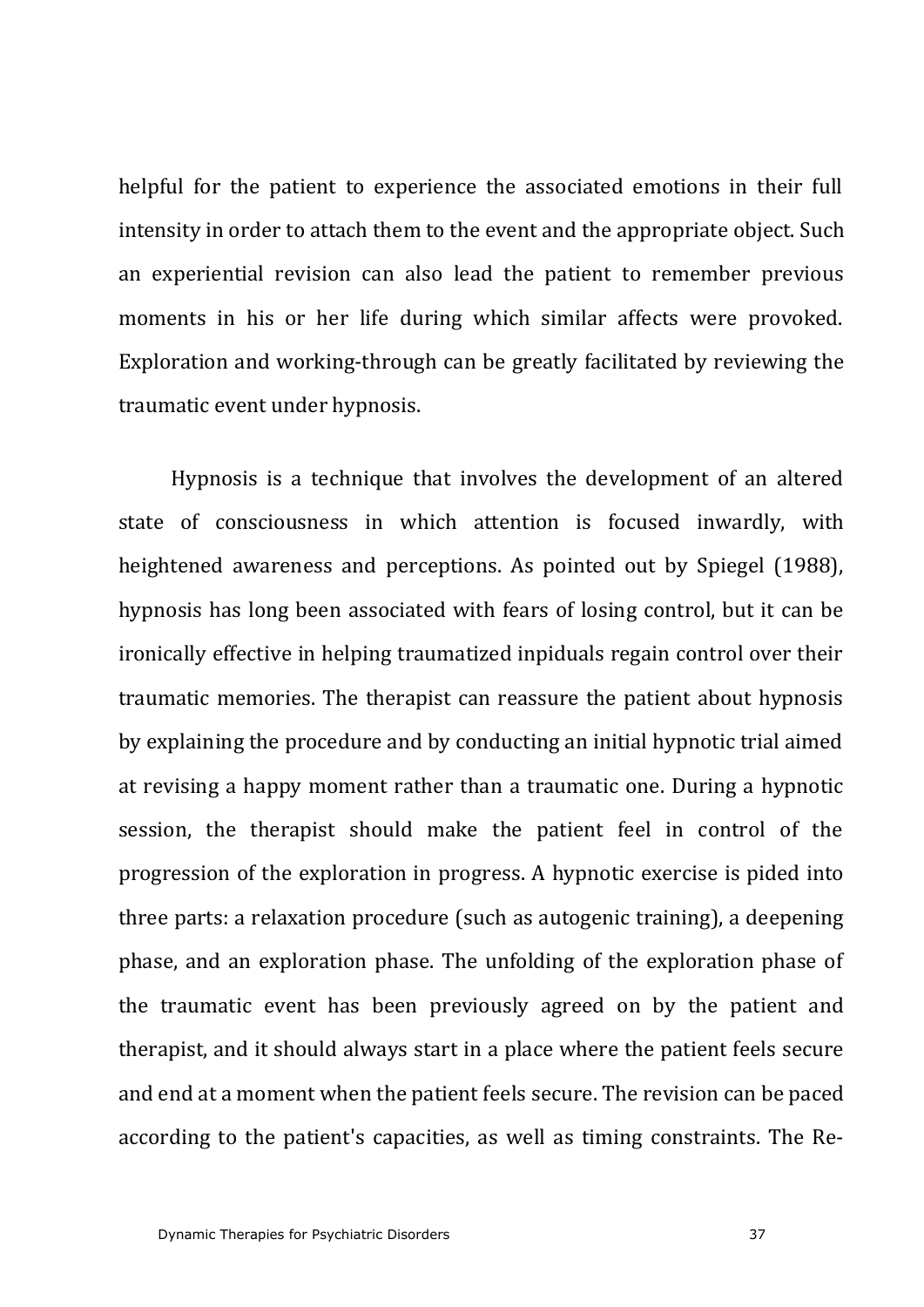helpful for the patient to experience the associated emotions in their full intensity in order to attach them to the event and the appropriate object. Such an experiential revision can also lead the patient to remember previous moments in his or her life during which similar affects were provoked. Exploration and working-through can be greatly facilitated by reviewing the traumatic event under hypnosis.

Hypnosis is a technique that involves the development of an altered state of consciousness in which attention is focused inwardly, with heightened awareness and perceptions. As pointed out by Spiegel (1988), hypnosis has long been associated with fears of losing control, but it can be ironically effective in helping traumatized inpiduals regain control over their traumatic memories. The therapist can reassure the patient about hypnosis by explaining the procedure and by conducting an initial hypnotic trial aimed at revising a happy moment rather than a traumatic one. During a hypnotic session, the therapist should make the patient feel in control of the progression of the exploration in progress. A hypnotic exercise is pided into three parts: a relaxation procedure (such as autogenic training), a deepening phase, and an exploration phase. The unfolding of the exploration phase of the traumatic event has been previously agreed on by the patient and therapist, and it should always start in a place where the patient feels secure and end at a moment when the patient feels secure. The revision can be paced according to the patient's capacities, as well as timing constraints. The Re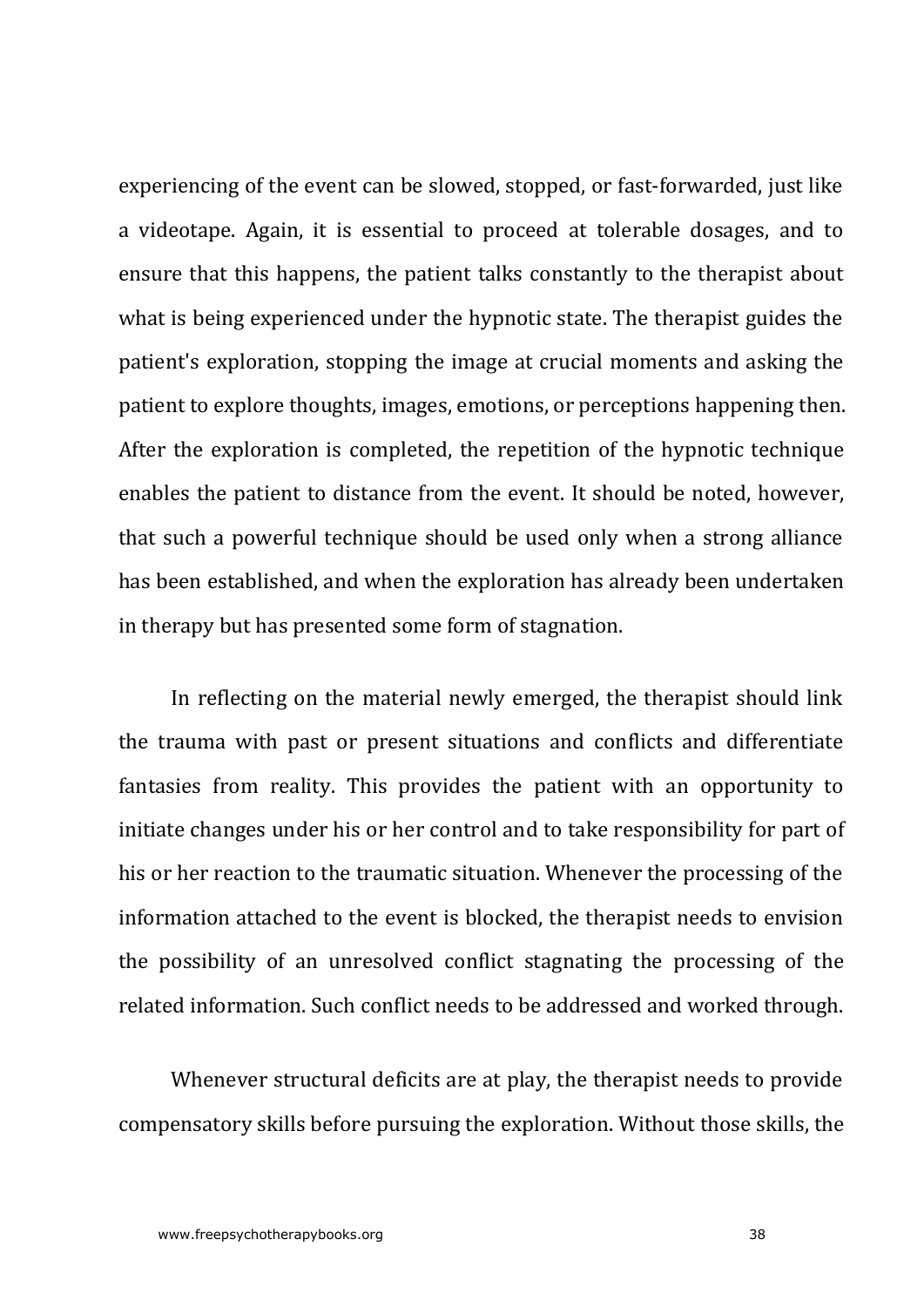experiencing of the event can be slowed, stopped, or fast-forwarded, just like a videotape. Again, it is essential to proceed at tolerable dosages, and to ensure that this happens, the patient talks constantly to the therapist about what is being experienced under the hypnotic state. The therapist guides the patient's exploration, stopping the image at crucial moments and asking the patient to explore thoughts, images, emotions, or perceptions happening then. After the exploration is completed, the repetition of the hypnotic technique enables the patient to distance from the event. It should be noted, however, that such a powerful technique should be used only when a strong alliance has been established, and when the exploration has already been undertaken in therapy but has presented some form of stagnation.

In reflecting on the material newly emerged, the therapist should link the trauma with past or present situations and conflicts and differentiate fantasies from reality. This provides the patient with an opportunity to initiate changes under his or her control and to take responsibility for part of his or her reaction to the traumatic situation. Whenever the processing of the information attached to the event is blocked, the therapist needs to envision the possibility of an unresolved conflict stagnating the processing of the related information. Such conflict needs to be addressed and worked through.

Whenever structural deficits are at play, the therapist needs to provide compensatory skills before pursuing the exploration. Without those skills, the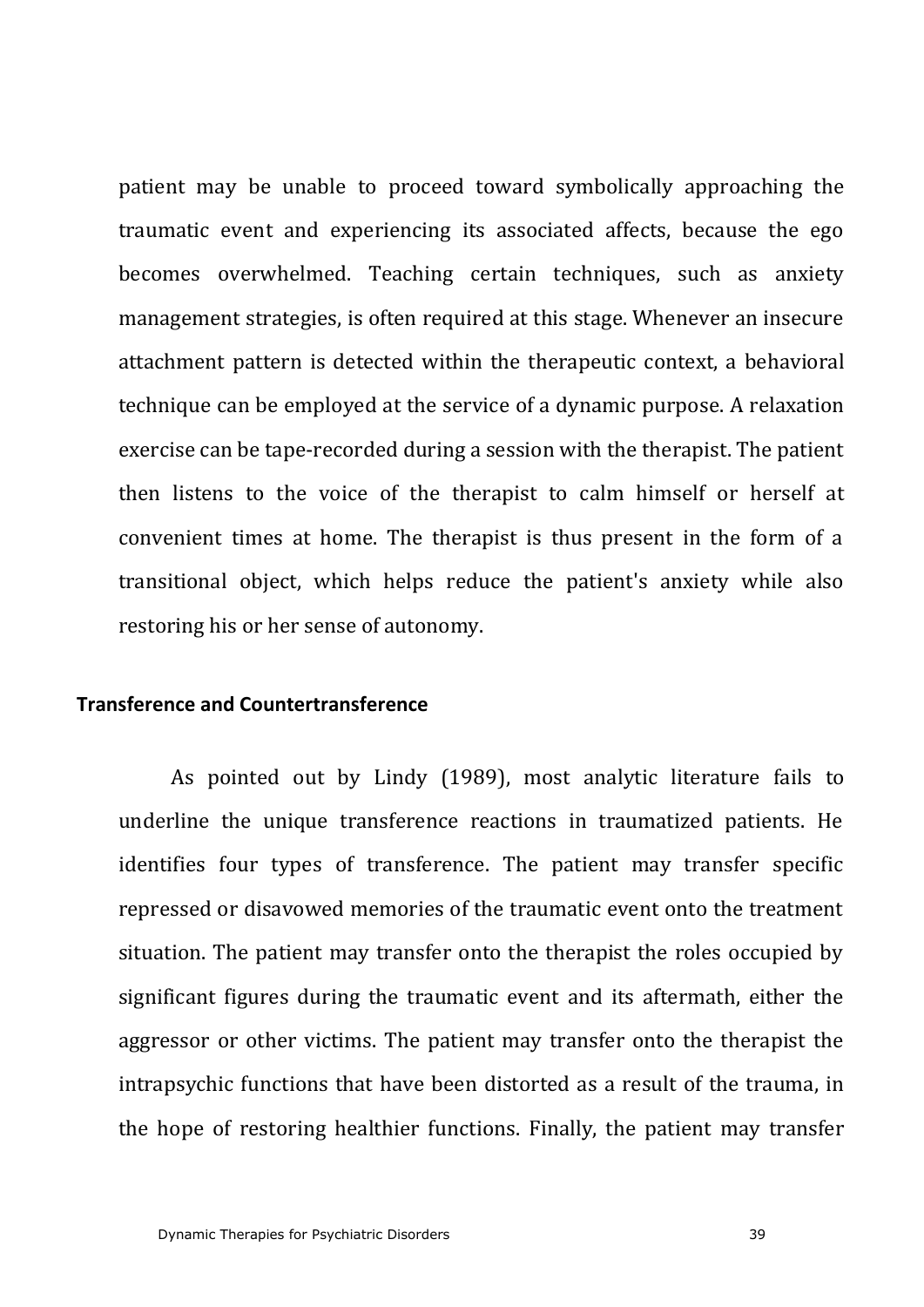patient may be unable to proceed toward symbolically approaching the traumatic event and experiencing its associated affects, because the ego becomes overwhelmed. Teaching certain techniques, such as anxiety management strategies, is often required at this stage. Whenever an insecure attachment pattern is detected within the therapeutic context, a behavioral technique can be employed at the service of a dynamic purpose. A relaxation exercise can be tape-recorded during a session with the therapist. The patient then listens to the voice of the therapist to calm himself or herself at convenient times at home. The therapist is thus present in the form of a transitional object, which helps reduce the patient's anxiety while also restoring his or her sense of autonomy.

#### **Transference and Countertransference**

As pointed out by Lindy (1989), most analytic literature fails to underline the unique transference reactions in traumatized patients. He identifies four types of transference. The patient may transfer specific repressed or disavowed memories of the traumatic event onto the treatment situation. The patient may transfer onto the therapist the roles occupied by significant figures during the traumatic event and its aftermath, either the aggressor or other victims. The patient may transfer onto the therapist the intrapsychic functions that have been distorted as a result of the trauma, in the hope of restoring healthier functions. Finally, the patient may transfer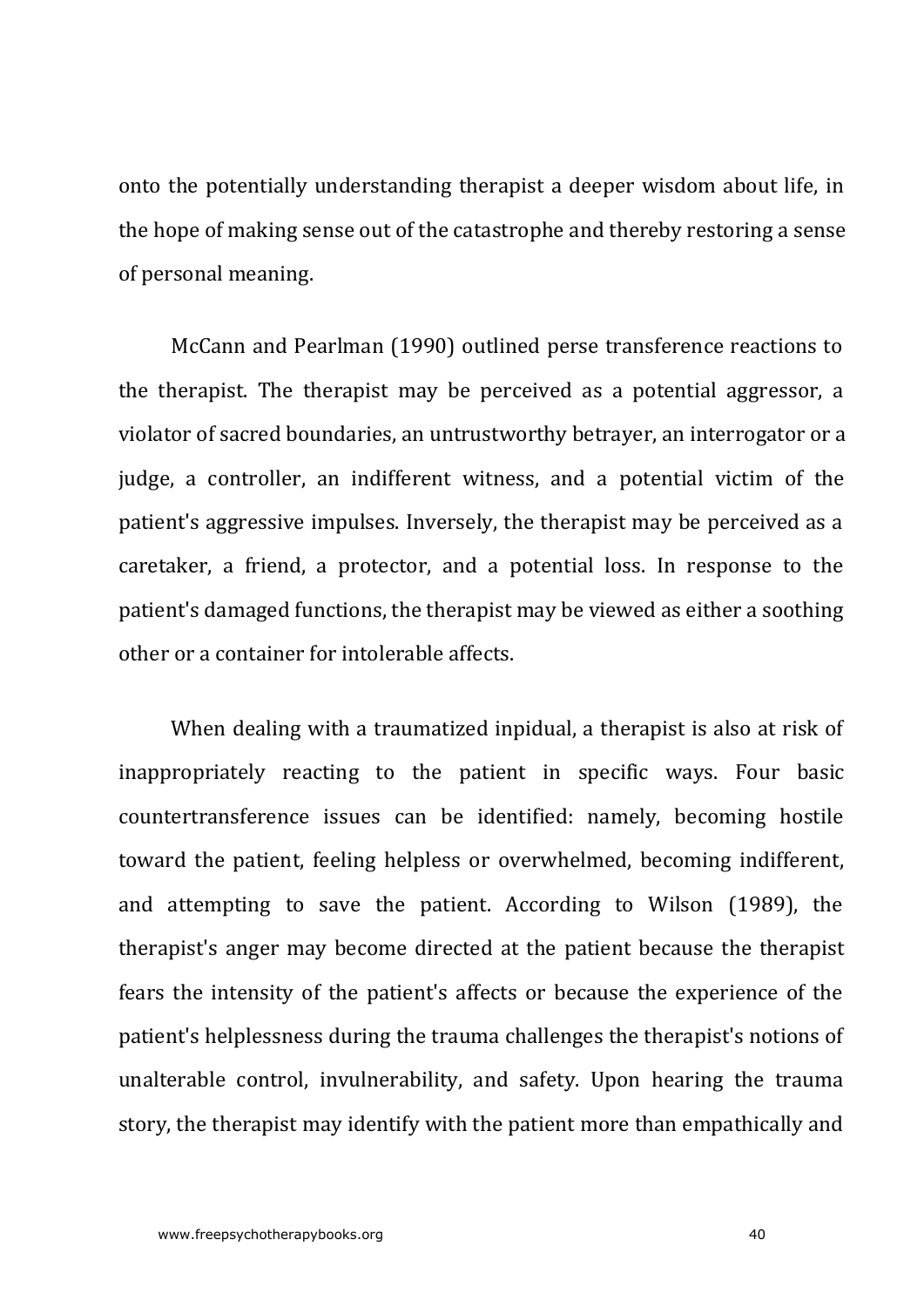onto the potentially understanding therapist a deeper wisdom about life, in the hope of making sense out of the catastrophe and thereby restoring a sense of personal meaning.

McCann and Pearlman (1990) outlined perse transference reactions to the therapist. The therapist may be perceived as a potential aggressor, a violator of sacred boundaries, an untrustworthy betrayer, an interrogator or a judge, a controller, an indifferent witness, and a potential victim of the patient's aggressive impulses. Inversely, the therapist may be perceived as a caretaker, a friend, a protector, and a potential loss. In response to the patient's damaged functions, the therapist may be viewed as either a soothing other or a container for intolerable affects.

When dealing with a traumatized inpidual, a therapist is also at risk of inappropriately reacting to the patient in specific ways. Four basic countertransference issues can be identified: namely, becoming hostile toward the patient, feeling helpless or overwhelmed, becoming indifferent, and attempting to save the patient. According to Wilson (1989), the therapist's anger may become directed at the patient because the therapist fears the intensity of the patient's affects or because the experience of the patient's helplessness during the trauma challenges the therapist's notions of unalterable control, invulnerability, and safety. Upon hearing the trauma story, the therapist may identify with the patient more than empathically and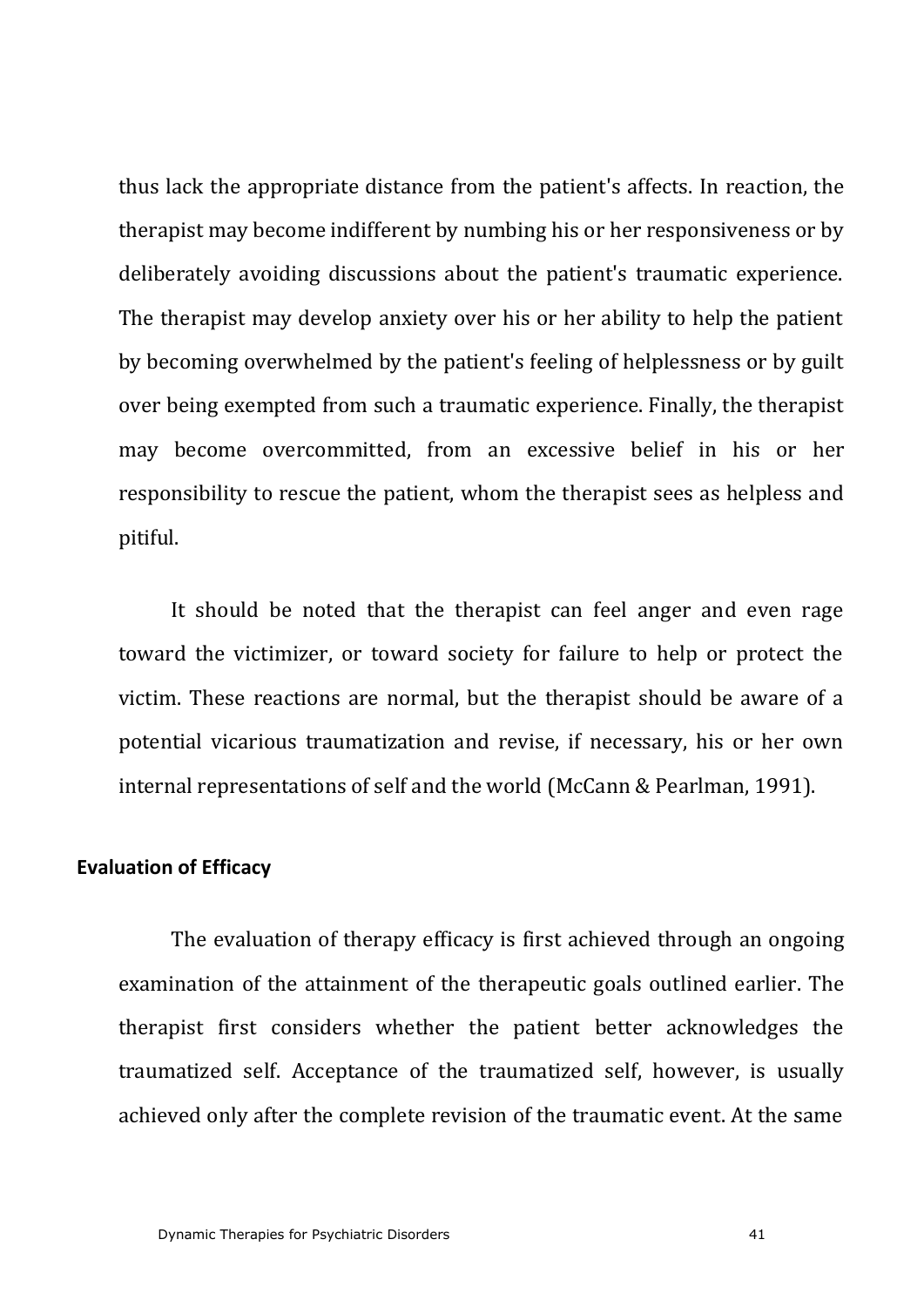thus lack the appropriate distance from the patient's affects. In reaction, the therapist may become indifferent by numbing his or her responsiveness or by deliberately avoiding discussions about the patient's traumatic experience. The therapist may develop anxiety over his or her ability to help the patient by becoming overwhelmed by the patient's feeling of helplessness or by guilt over being exempted from such a traumatic experience. Finally, the therapist may become overcommitted, from an excessive belief in his or her responsibility to rescue the patient, whom the therapist sees as helpless and pitiful.

It should be noted that the therapist can feel anger and even rage toward the victimizer, or toward society for failure to help or protect the victim. These reactions are normal, but the therapist should be aware of a potential vicarious traumatization and revise, if necessary, his or her own internal representations of self and the world (McCann & Pearlman, 1991).

#### **Evaluation of Efficacy**

The evaluation of therapy efficacy is first achieved through an ongoing examination of the attainment of the therapeutic goals outlined earlier. The therapist first considers whether the patient better acknowledges the traumatized self. Acceptance of the traumatized self, however, is usually achieved only after the complete revision of the traumatic event. At the same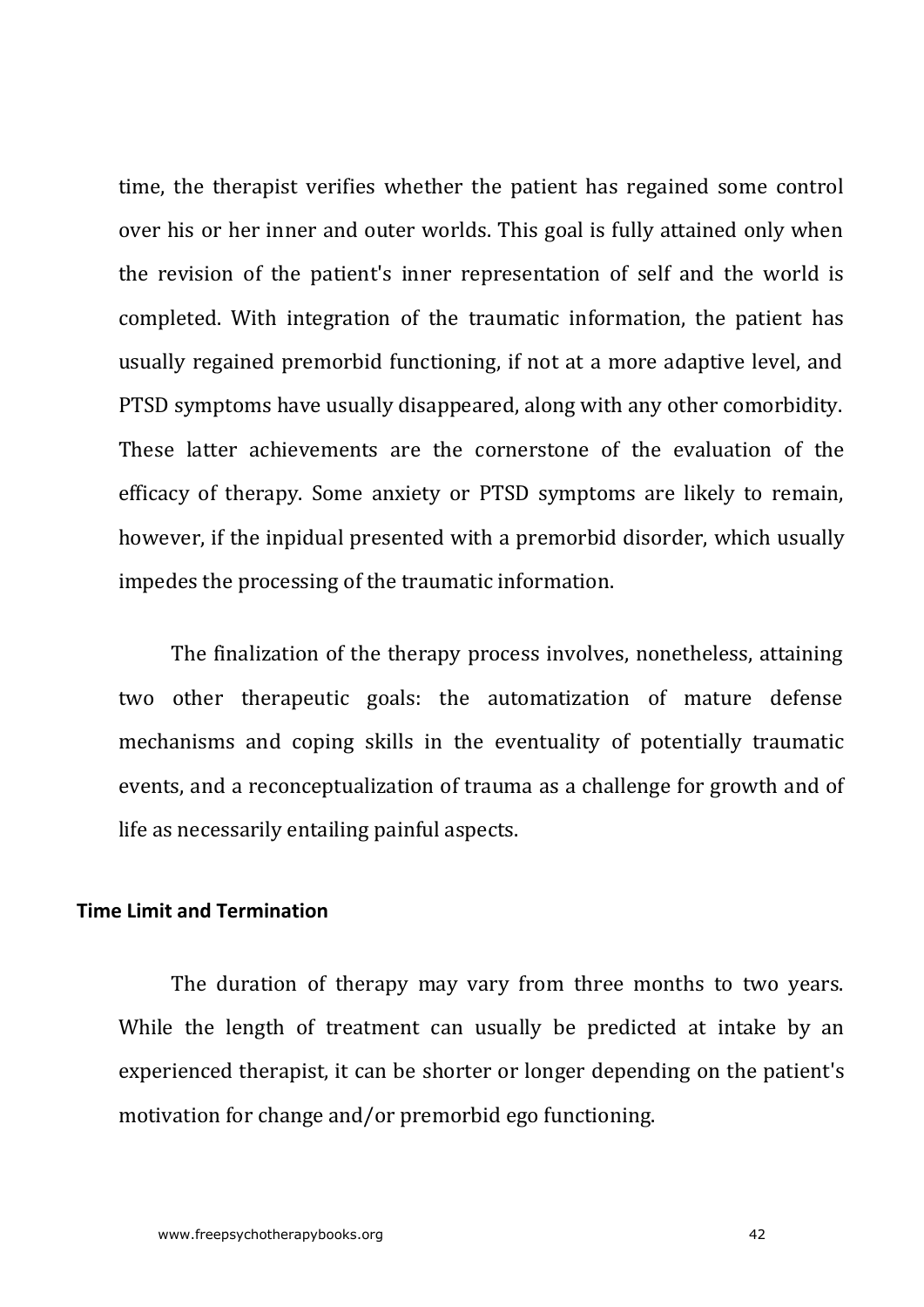time, the therapist verifies whether the patient has regained some control over his or her inner and outer worlds. This goal is fully attained only when the revision of the patient's inner representation of self and the world is completed. With integration of the traumatic information, the patient has usually regained premorbid functioning, if not at a more adaptive level, and PTSD symptoms have usually disappeared, along with any other comorbidity. These latter achievements are the cornerstone of the evaluation of the efficacy of therapy. Some anxiety or PTSD symptoms are likely to remain, however, if the inpidual presented with a premorbid disorder, which usually impedes the processing of the traumatic information.

The finalization of the therapy process involves, nonetheless, attaining two other therapeutic goals: the automatization of mature defense mechanisms and coping skills in the eventuality of potentially traumatic events, and a reconceptualization of trauma as a challenge for growth and of life as necessarily entailing painful aspects.

#### **Time Limit and Termination**

The duration of therapy may vary from three months to two years. While the length of treatment can usually be predicted at intake by an experienced therapist, it can be shorter or longer depending on the patient's motivation for change and/or premorbid ego functioning.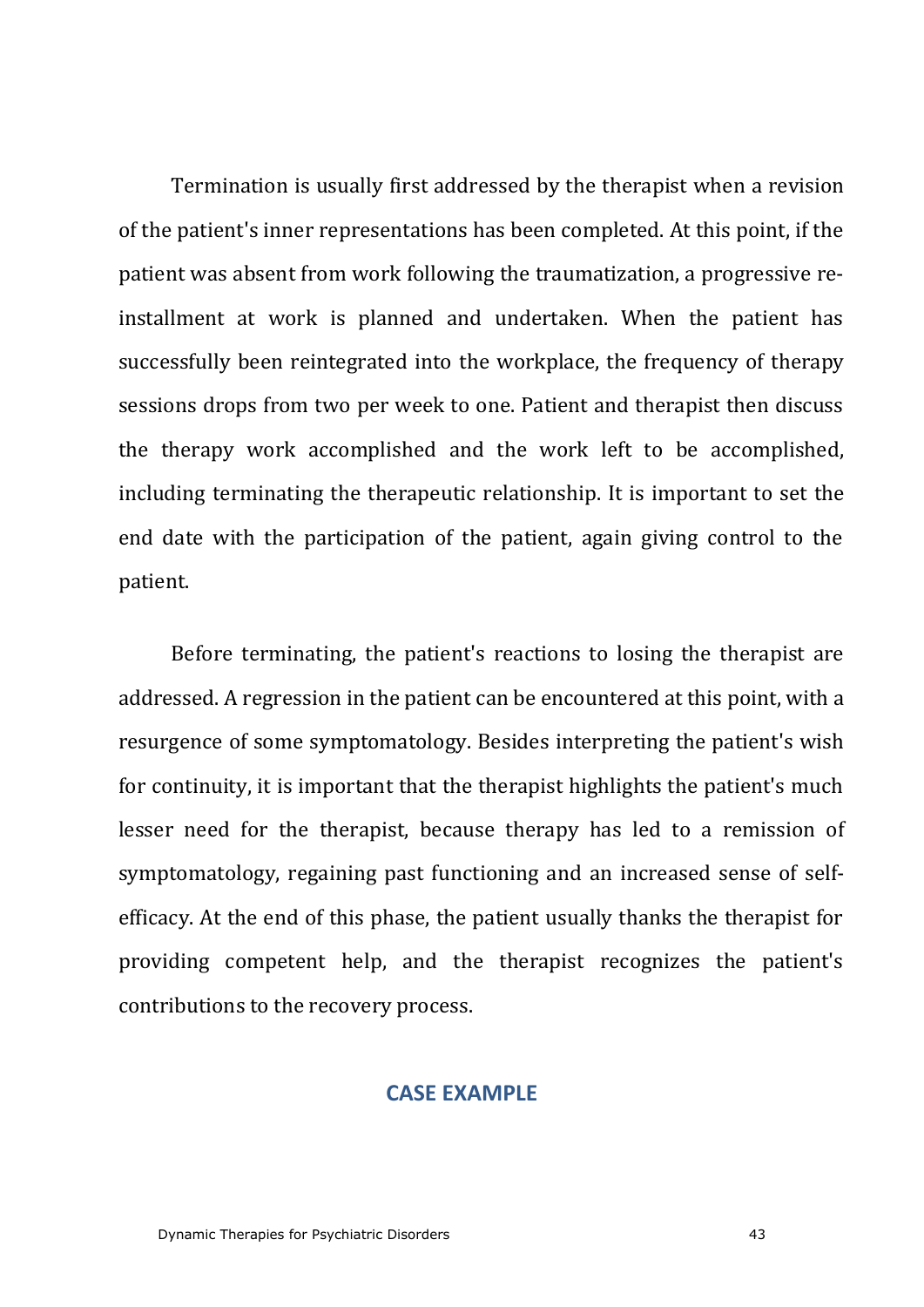Termination is usually first addressed by the therapist when a revision of the patient's inner representations has been completed. At this point, if the patient was absent from work following the traumatization, a progressive reinstallment at work is planned and undertaken. When the patient has successfully been reintegrated into the workplace, the frequency of therapy sessions drops from two per week to one. Patient and therapist then discuss the therapy work accomplished and the work left to be accomplished, including terminating the therapeutic relationship. It is important to set the end date with the participation of the patient, again giving control to the patient.

Before terminating, the patient's reactions to losing the therapist are addressed. A regression in the patient can be encountered at this point, with a resurgence of some symptomatology. Besides interpreting the patient's wish for continuity, it is important that the therapist highlights the patient's much lesser need for the therapist, because therapy has led to a remission of symptomatology, regaining past functioning and an increased sense of selfefficacy. At the end of this phase, the patient usually thanks the therapist for providing competent help, and the therapist recognizes the patient's contributions to the recovery process.

#### <span id="page-42-0"></span>**CASE EXAMPLE**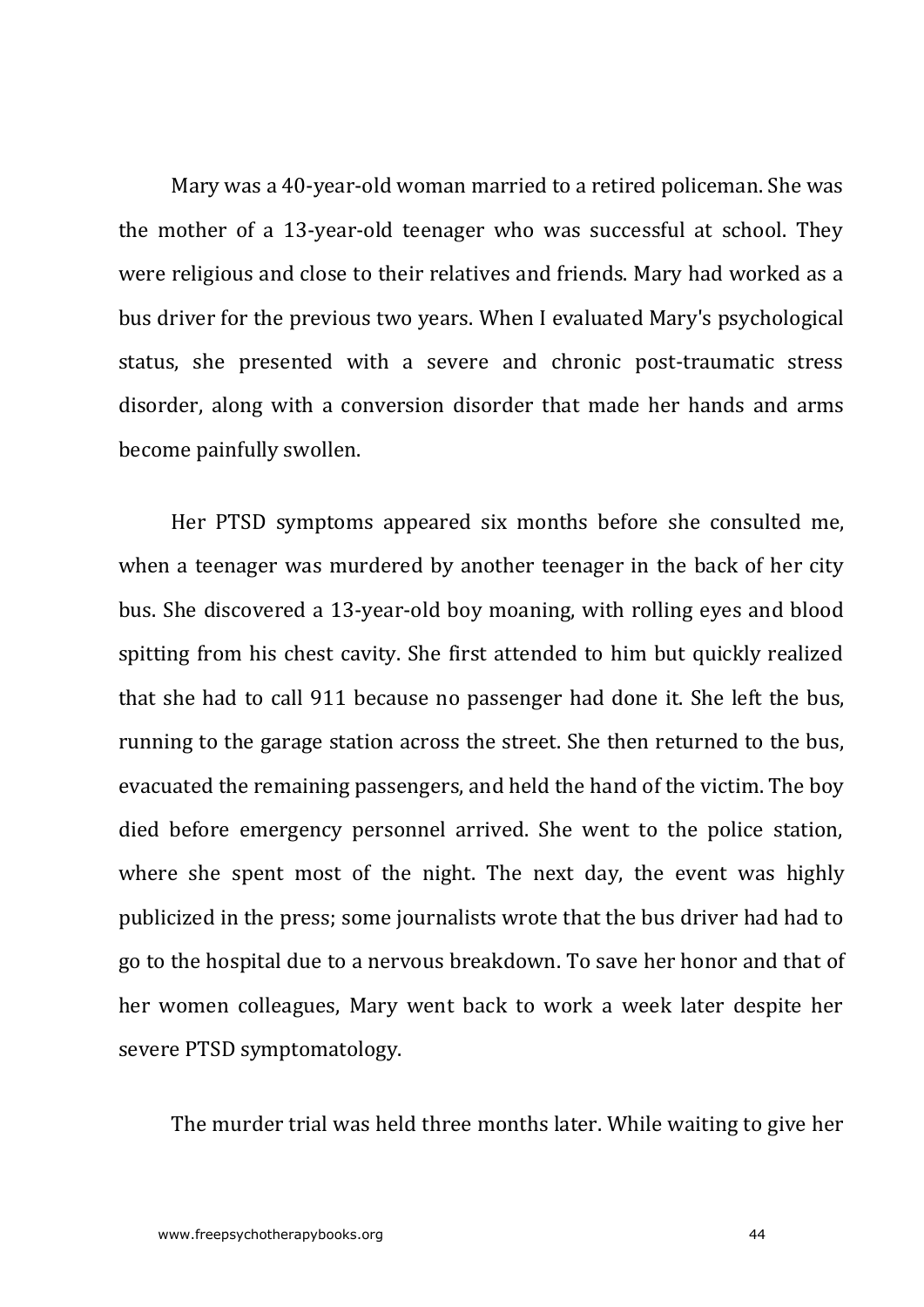Mary was a 40-year-old woman married to a retired policeman. She was the mother of a 13-year-old teenager who was successful at school. They were religious and close to their relatives and friends. Mary had worked as a bus driver for the previous two years. When I evaluated Mary's psychological status, she presented with a severe and chronic post-traumatic stress disorder, along with a conversion disorder that made her hands and arms become painfully swollen.

Her PTSD symptoms appeared six months before she consulted me. when a teenager was murdered by another teenager in the back of her city bus. She discovered a 13-year-old boy moaning, with rolling eyes and blood spitting from his chest cavity. She first attended to him but quickly realized that she had to call 911 because no passenger had done it. She left the bus, running to the garage station across the street. She then returned to the bus, evacuated the remaining passengers, and held the hand of the victim. The boy died before emergency personnel arrived. She went to the police station, where she spent most of the night. The next day, the event was highly publicized in the press; some journalists wrote that the bus driver had had to go to the hospital due to a nervous breakdown. To save her honor and that of her women colleagues, Mary went back to work a week later despite her severe PTSD symptomatology.

The murder trial was held three months later. While waiting to give her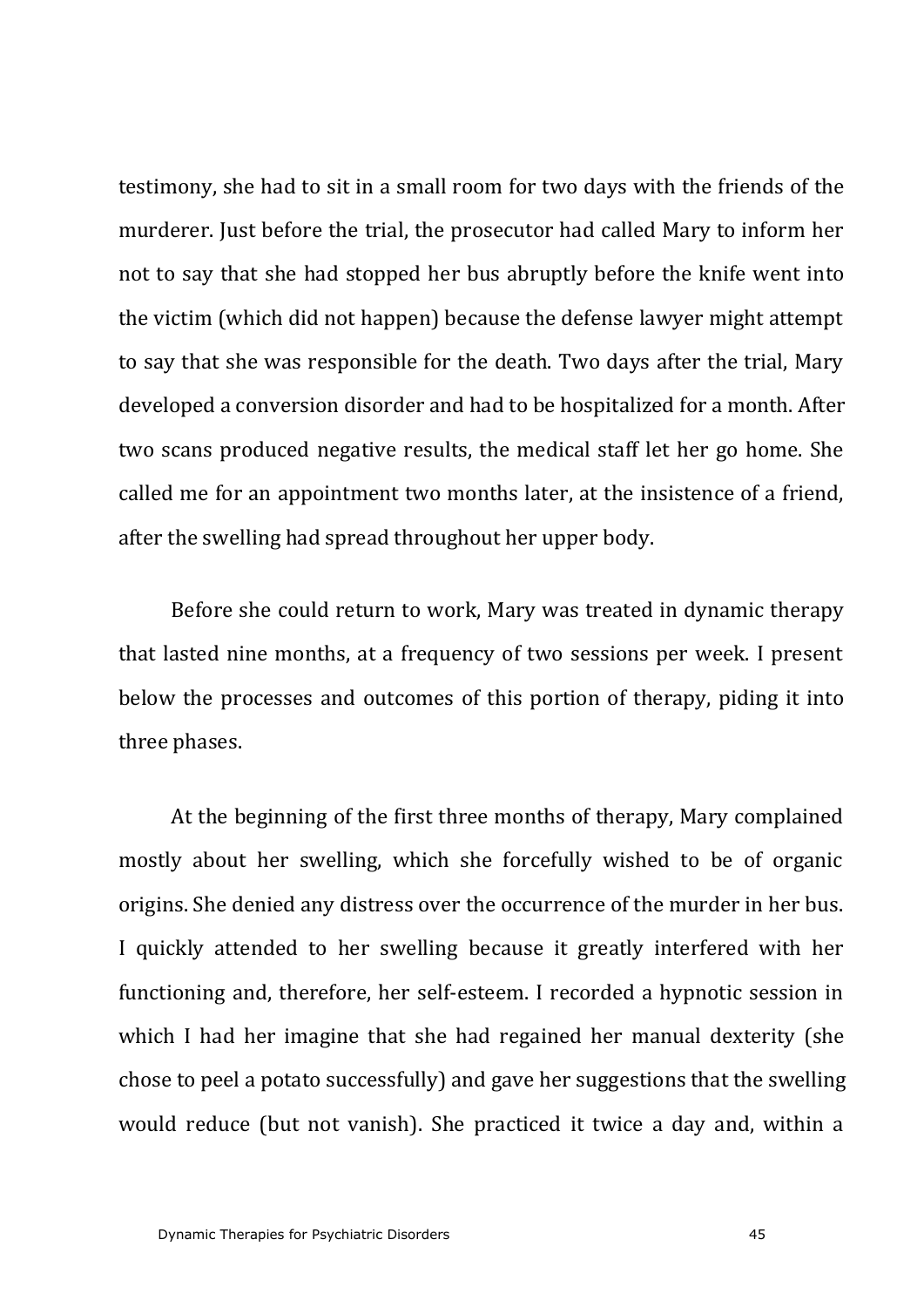testimony, she had to sit in a small room for two days with the friends of the murderer. Just before the trial, the prosecutor had called Mary to inform her not to say that she had stopped her bus abruptly before the knife went into the victim (which did not happen) because the defense lawyer might attempt to say that she was responsible for the death. Two days after the trial, Mary developed a conversion disorder and had to be hospitalized for a month. After two scans produced negative results, the medical staff let her go home. She called me for an appointment two months later, at the insistence of a friend, after the swelling had spread throughout her upper body.

Before she could return to work, Mary was treated in dynamic therapy that lasted nine months, at a frequency of two sessions per week. I present below the processes and outcomes of this portion of therapy, piding it into three phases.

At the beginning of the first three months of therapy. Mary complained mostly about her swelling, which she forcefully wished to be of organic origins. She denied any distress over the occurrence of the murder in her bus. I quickly attended to her swelling because it greatly interfered with her functioning and, therefore, her self-esteem. I recorded a hypnotic session in which I had her imagine that she had regained her manual dexterity (she chose to peel a potato successfully) and gave her suggestions that the swelling would reduce (but not vanish). She practiced it twice a day and, within a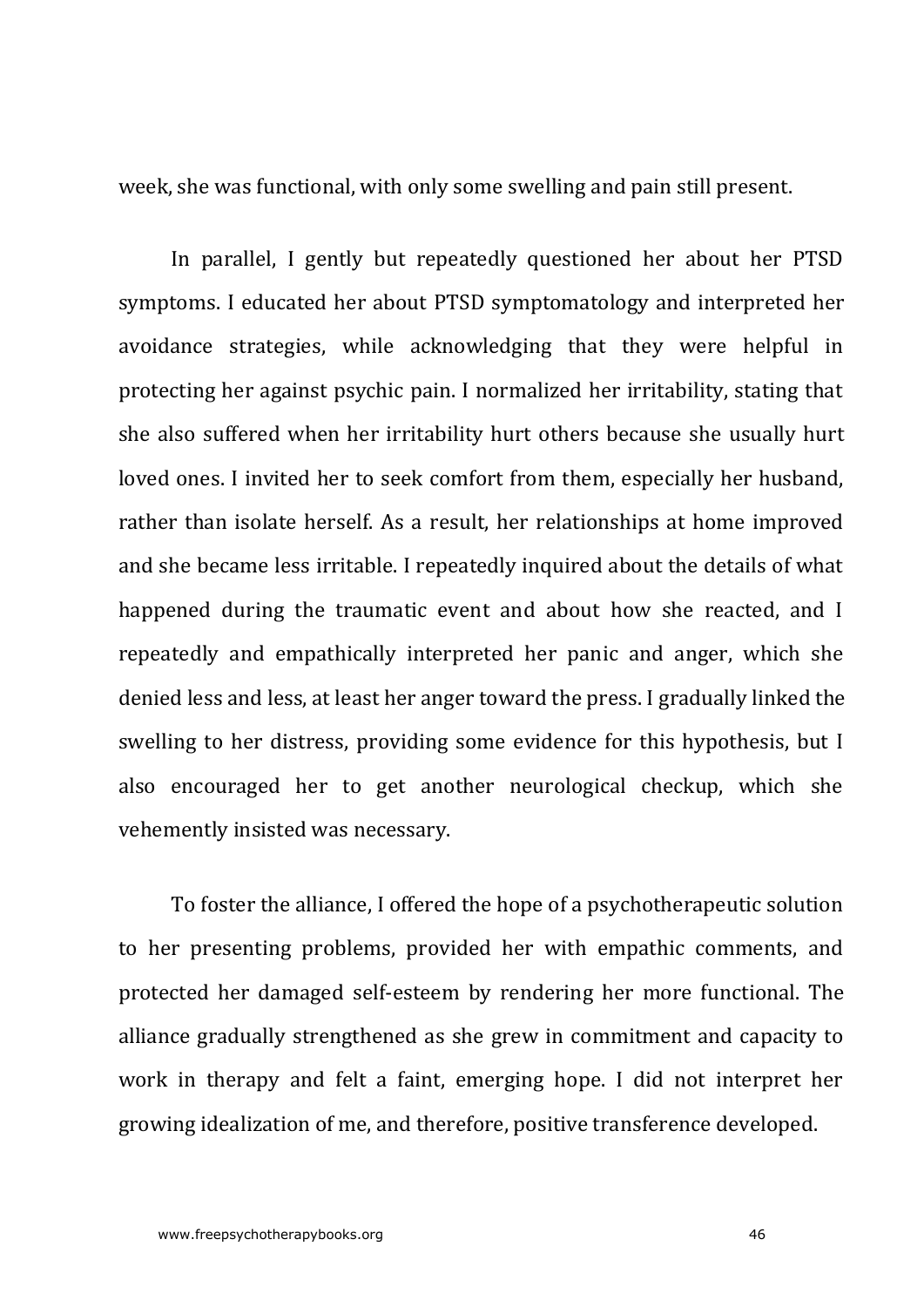week, she was functional, with only some swelling and pain still present.

In parallel, I gently but repeatedly questioned her about her PTSD symptoms. I educated her about PTSD symptomatology and interpreted her avoidance strategies, while acknowledging that they were helpful in protecting her against psychic pain. I normalized her irritability, stating that she also suffered when her irritability hurt others because she usually hurt loved ones. I invited her to seek comfort from them, especially her husband, rather than isolate herself. As a result, her relationships at home improved and she became less irritable. I repeatedly inquired about the details of what happened during the traumatic event and about how she reacted, and I repeatedly and empathically interpreted her panic and anger, which she denied less and less, at least her anger toward the press. I gradually linked the swelling to her distress, providing some evidence for this hypothesis, but I also encouraged her to get another neurological checkup, which she vehemently insisted was necessary.

To foster the alliance, I offered the hope of a psychotherapeutic solution to her presenting problems, provided her with empathic comments, and protected her damaged self-esteem by rendering her more functional. The alliance gradually strengthened as she grew in commitment and capacity to work in therapy and felt a faint, emerging hope. I did not interpret her growing idealization of me, and therefore, positive transference developed.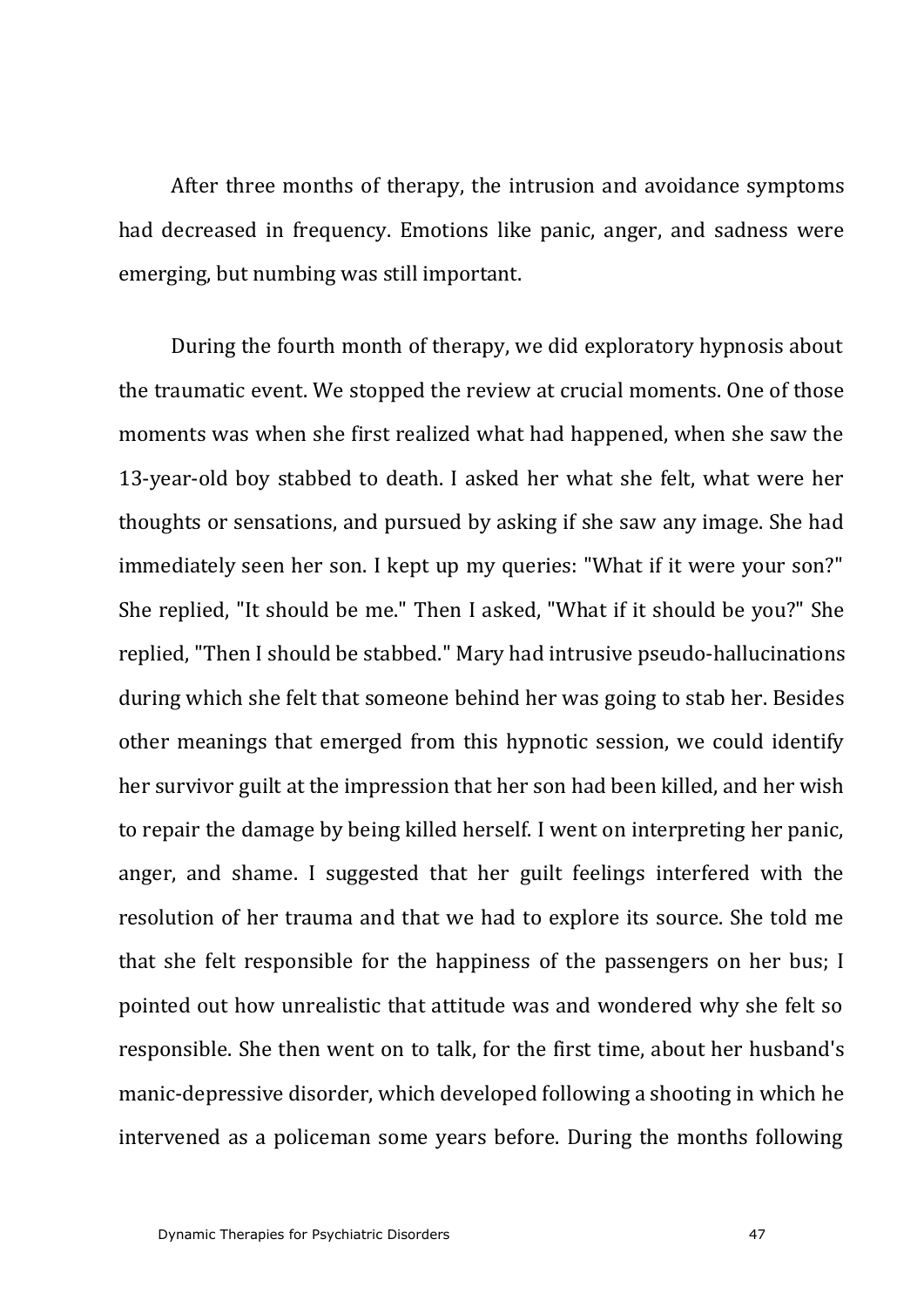After three months of therapy, the intrusion and avoidance symptoms had decreased in frequency. Emotions like panic, anger, and sadness were emerging, but numbing was still important.

During the fourth month of therapy, we did exploratory hypnosis about the traumatic event. We stopped the review at crucial moments. One of those moments was when she first realized what had happened, when she saw the 13-year-old boy stabbed to death. I asked her what she felt, what were her thoughts or sensations, and pursued by asking if she saw any image. She had immediately seen her son. I kept up my queries: "What if it were your son?" She replied, "It should be me." Then I asked, "What if it should be you?" She replied, "Then I should be stabbed." Mary had intrusive pseudo-hallucinations during which she felt that someone behind her was going to stab her. Besides other meanings that emerged from this hypnotic session, we could identify her survivor guilt at the impression that her son had been killed, and her wish to repair the damage by being killed herself. I went on interpreting her panic, anger, and shame. I suggested that her guilt feelings interfered with the resolution of her trauma and that we had to explore its source. She told me that she felt responsible for the happiness of the passengers on her bus; I pointed out how unrealistic that attitude was and wondered why she felt so responsible. She then went on to talk, for the first time, about her husband's manic-depressive disorder, which developed following a shooting in which he intervened as a policeman some vears before. During the months following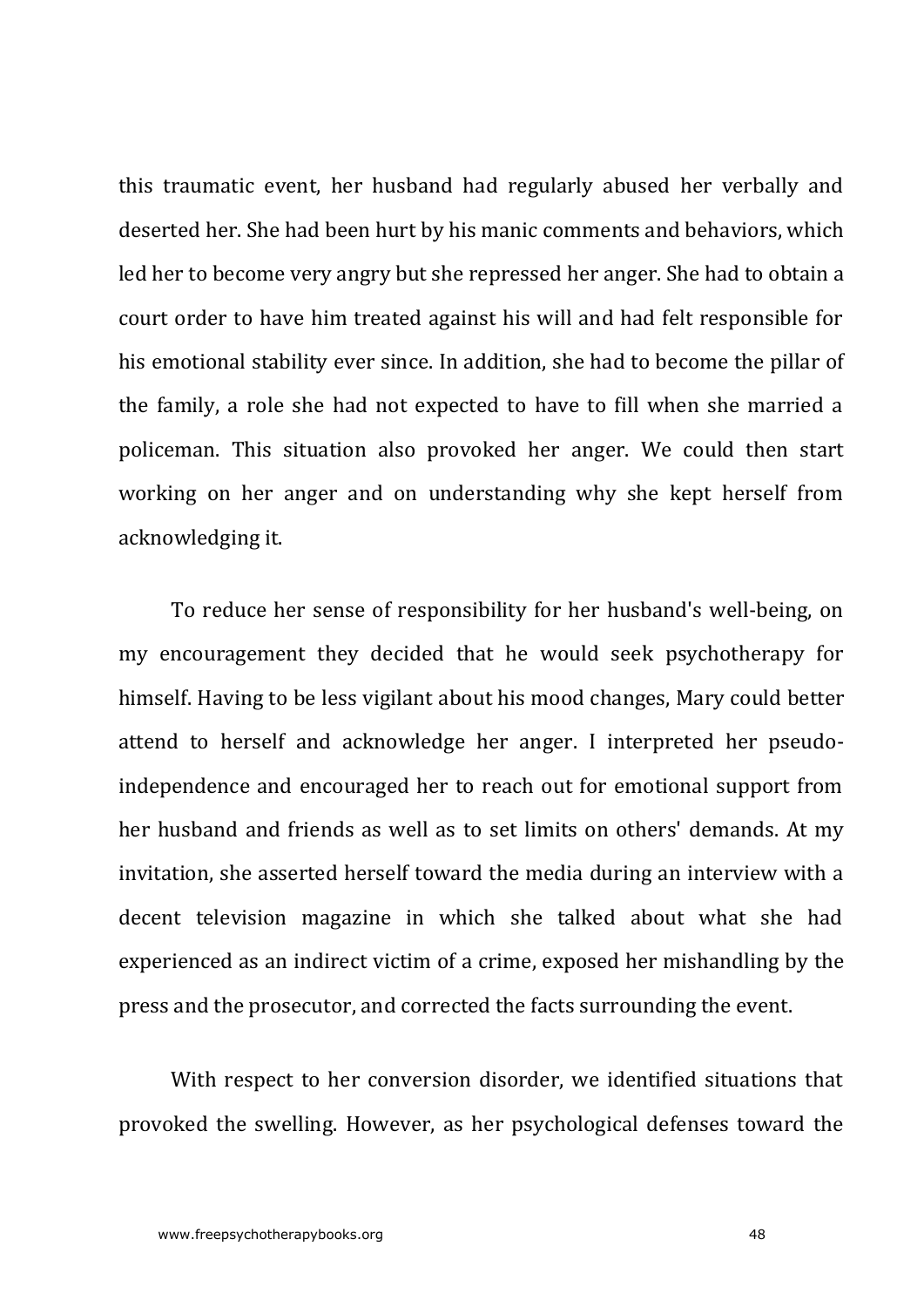this traumatic event, her husband had regularly abused her verbally and deserted her. She had been hurt by his manic comments and behaviors, which led her to become very angry but she repressed her anger. She had to obtain a court order to have him treated against his will and had felt responsible for his emotional stability ever since. In addition, she had to become the pillar of the family, a role she had not expected to have to fill when she married a policeman. This situation also provoked her anger. We could then start working on her anger and on understanding why she kept herself from acknowledging it.

To reduce her sense of responsibility for her husband's well-being, on my encouragement they decided that he would seek psychotherapy for himself. Having to be less vigilant about his mood changes. Mary could better attend to herself and acknowledge her anger. I interpreted her pseudoindependence and encouraged her to reach out for emotional support from her husband and friends as well as to set limits on others' demands. At my invitation, she asserted herself toward the media during an interview with a decent television magazine in which she talked about what she had experienced as an indirect victim of a crime, exposed her mishandling by the press and the prosecutor, and corrected the facts surrounding the event.

With respect to her conversion disorder, we identified situations that provoked the swelling. However, as her psychological defenses toward the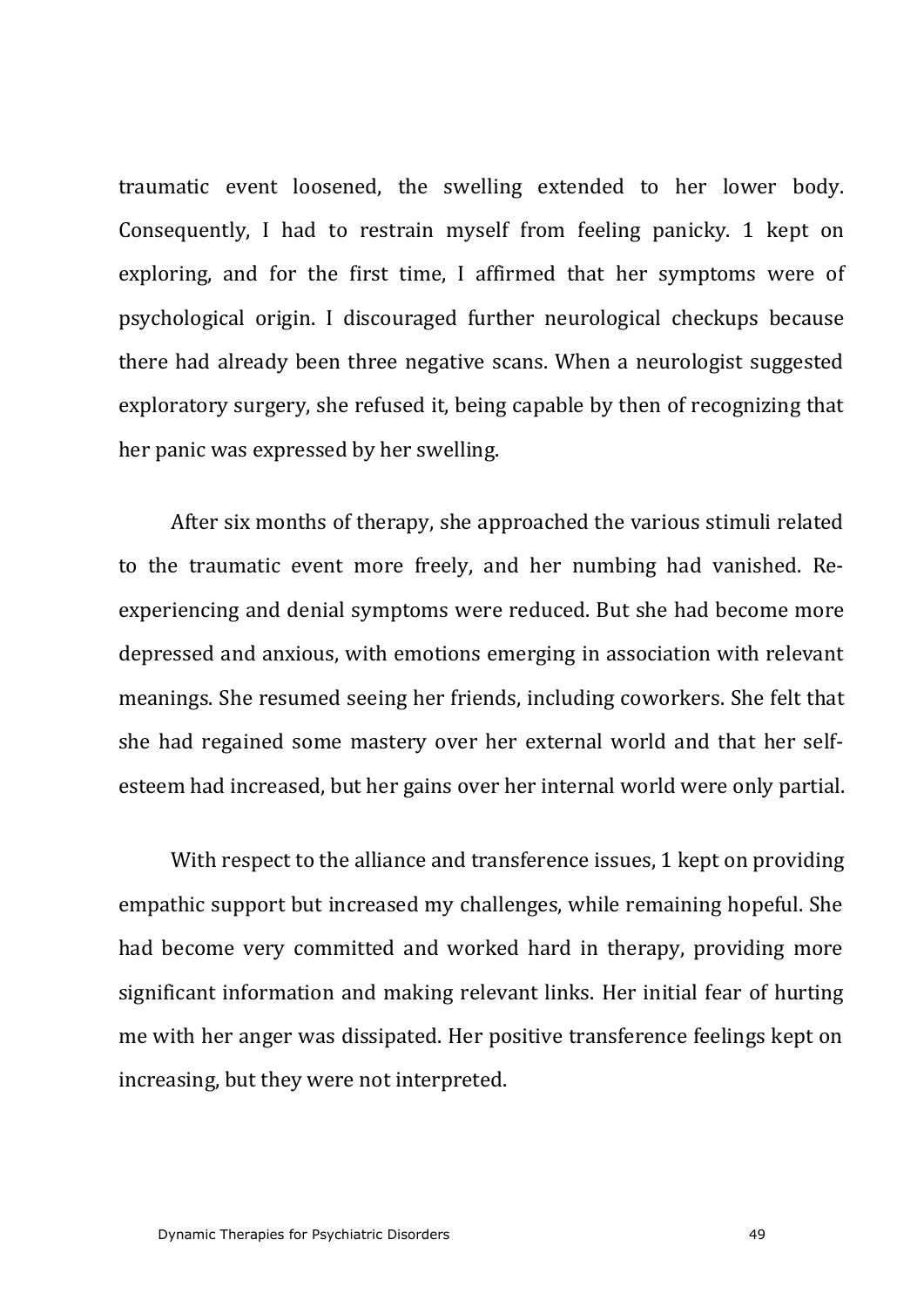traumatic event loosened, the swelling extended to her lower body. Consequently, I had to restrain myself from feeling panicky. 1 kept on exploring, and for the first time, I affirmed that her symptoms were of psychological origin. I discouraged further neurological checkups because there had already been three negative scans. When a neurologist suggested exploratory surgery, she refused it, being capable by then of recognizing that her panic was expressed by her swelling.

After six months of therapy, she approached the various stimuli related to the traumatic event more freely, and her numbing had vanished. Reexperiencing and denial symptoms were reduced. But she had become more depressed and anxious, with emotions emerging in association with relevant meanings. She resumed seeing her friends, including coworkers. She felt that she had regained some mastery over her external world and that her selfesteem had increased, but her gains over her internal world were only partial.

With respect to the alliance and transference issues, 1 kept on providing empathic support but increased my challenges, while remaining hopeful. She had become very committed and worked hard in therapy, providing more significant information and making relevant links. Her initial fear of hurting me with her anger was dissipated. Her positive transference feelings kept on increasing, but they were not interpreted.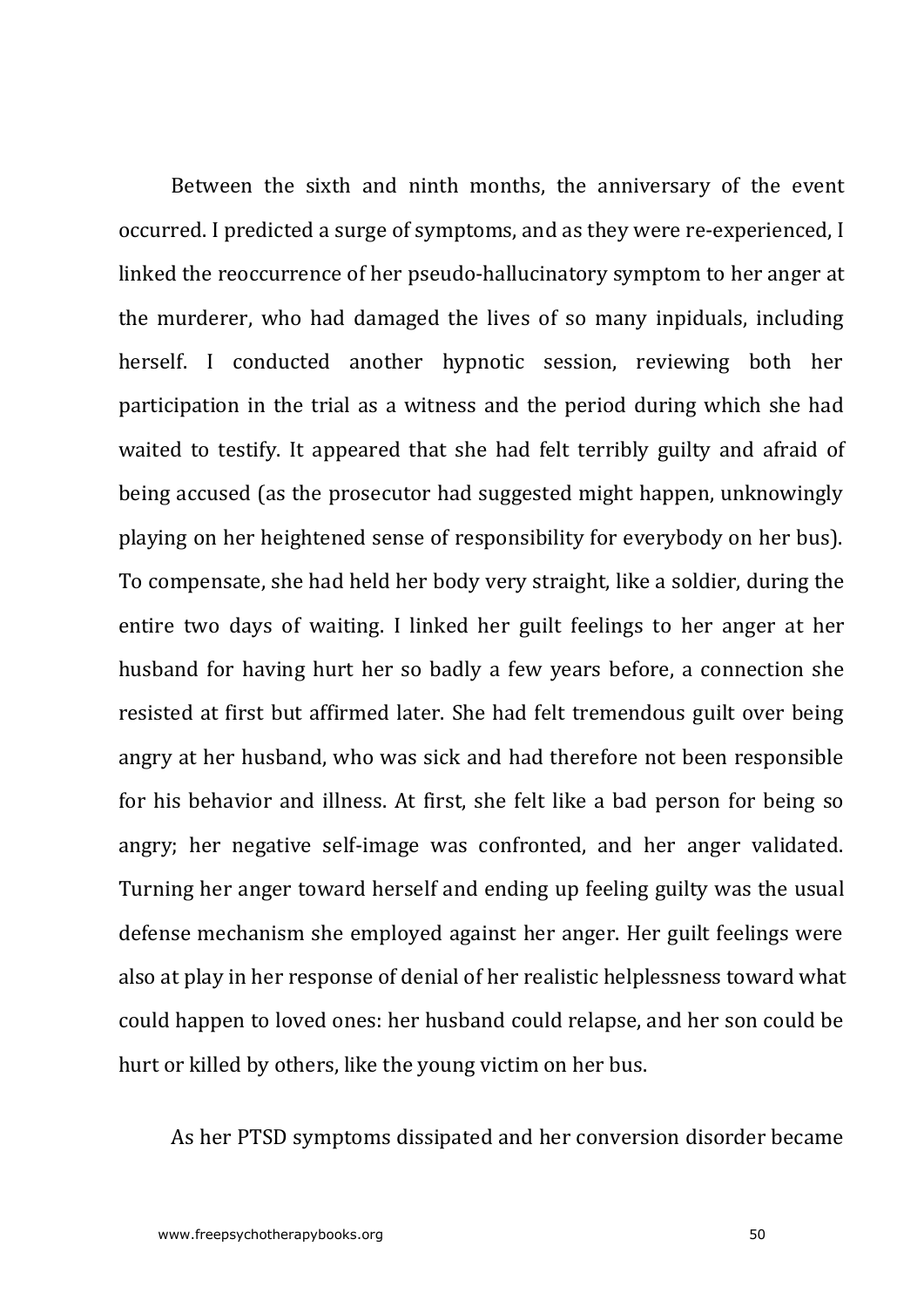Between the sixth and ninth months, the anniversary of the event occurred. I predicted a surge of symptoms, and as they were re-experienced, I linked the reoccurrence of her pseudo-hallucinatory symptom to her anger at the murderer, who had damaged the lives of so many inpiduals, including herself. I conducted another hypnotic session, reviewing both her participation in the trial as a witness and the period during which she had waited to testify. It appeared that she had felt terribly guilty and afraid of being accused (as the prosecutor had suggested might happen, unknowingly playing on her heightened sense of responsibility for everybody on her bus). To compensate, she had held her body very straight, like a soldier, during the entire two days of waiting. I linked her guilt feelings to her anger at her husband for having hurt her so badly a few years before, a connection she resisted at first but affirmed later. She had felt tremendous guilt over being angry at her husband, who was sick and had therefore not been responsible for his behavior and illness. At first, she felt like a bad person for being so angry; her negative self-image was confronted, and her anger validated. Turning her anger toward herself and ending up feeling guilty was the usual defense mechanism she employed against her anger. Her guilt feelings were also at play in her response of denial of her realistic helplessness toward what could happen to loved ones: her husband could relapse, and her son could be hurt or killed by others, like the young victim on her bus.

As her PTSD symptoms dissipated and her conversion disorder became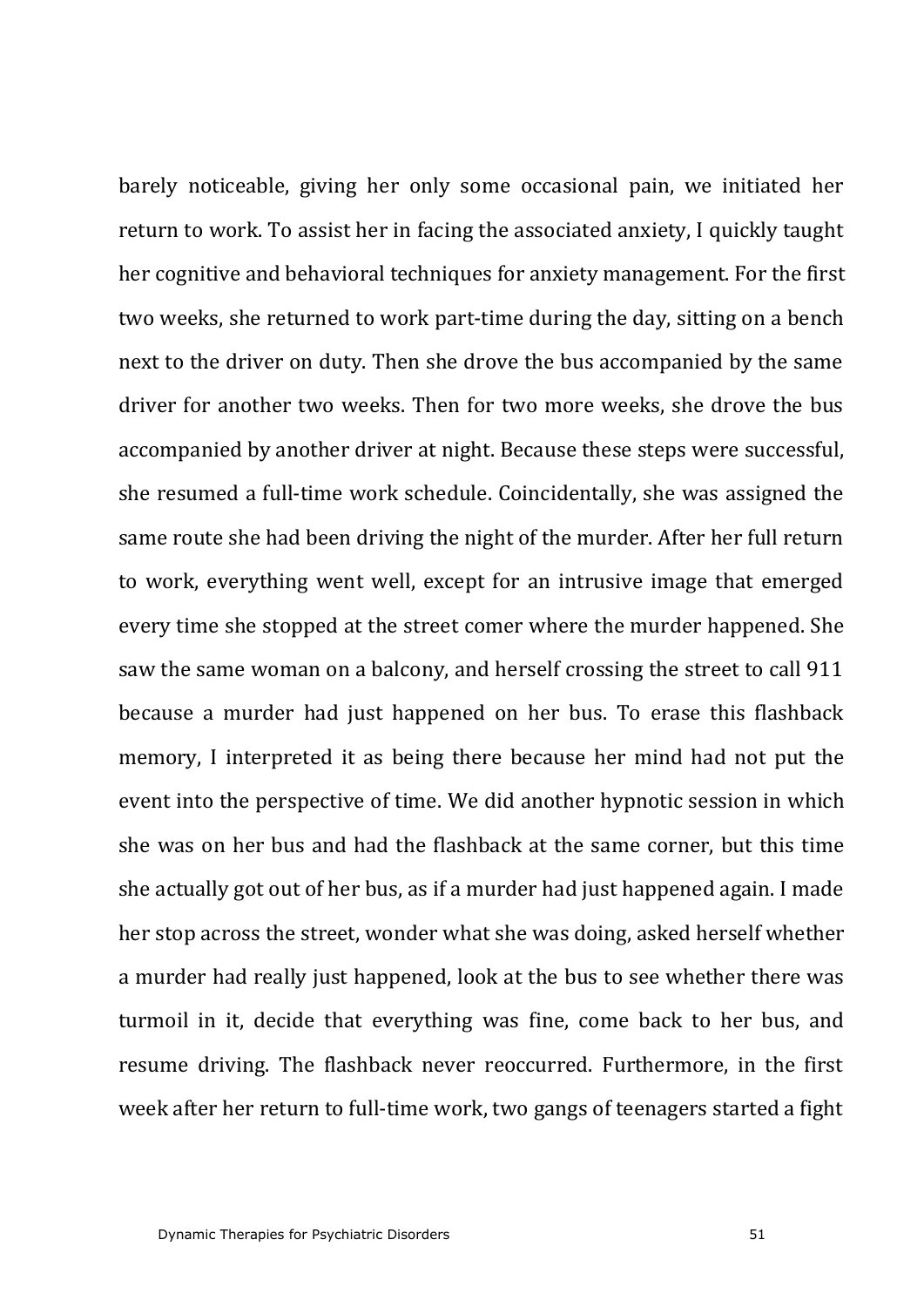barely noticeable, giving her only some occasional pain, we initiated her return to work. To assist her in facing the associated anxiety, I quickly taught her cognitive and behavioral techniques for anxiety management. For the first two weeks, she returned to work part-time during the day, sitting on a bench next to the driver on duty. Then she drove the bus accompanied by the same driver for another two weeks. Then for two more weeks, she drove the bus accompanied by another driver at night. Because these steps were successful, she resumed a full-time work schedule. Coincidentally, she was assigned the same route she had been driving the night of the murder. After her full return to work, everything went well, except for an intrusive image that emerged every time she stopped at the street comer where the murder happened. She saw the same woman on a balcony, and herself crossing the street to call 911 because a murder had just happened on her bus. To erase this flashback memory. I interpreted it as being there because her mind had not put the event into the perspective of time. We did another hypnotic session in which she was on her bus and had the flashback at the same corner, but this time she actually got out of her bus, as if a murder had just happened again. I made her stop across the street, wonder what she was doing, asked herself whether a murder had really just happened, look at the bus to see whether there was turmoil in it, decide that everything was fine, come back to her bus, and resume driving. The flashback never reoccurred. Furthermore, in the first week after her return to full-time work, two gangs of teenagers started a fight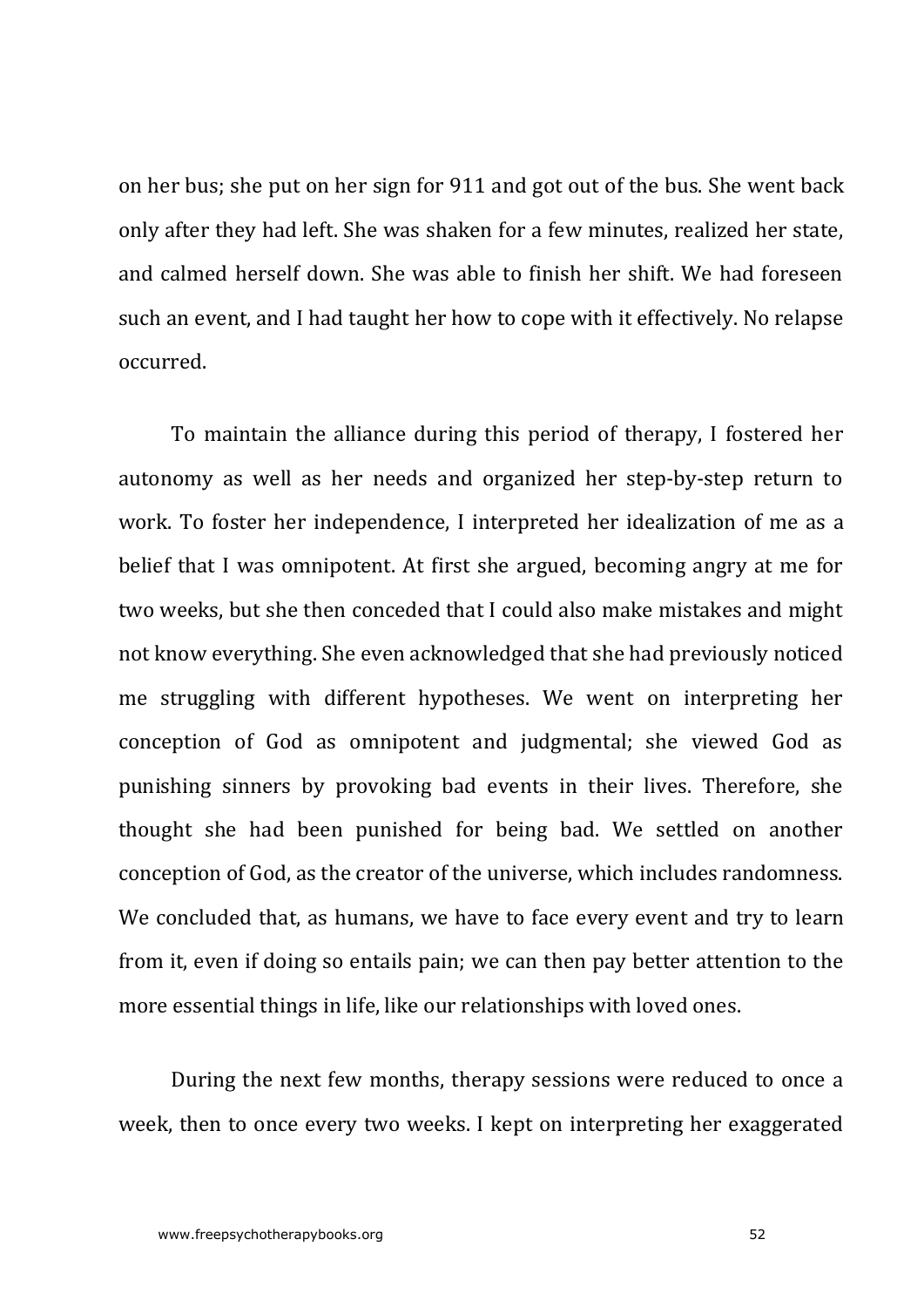on her bus; she put on her sign for 911 and got out of the bus. She went back only after they had left. She was shaken for a few minutes, realized her state, and calmed herself down. She was able to finish her shift. We had foreseen such an event, and I had taught her how to cope with it effectively. No relapse occurred.

To maintain the alliance during this period of therapy, I fostered her autonomy as well as her needs and organized her step-by-step return to work. To foster her independence. I interpreted her idealization of me as a belief that I was omnipotent. At first she argued, becoming angry at me for two weeks, but she then conceded that I could also make mistakes and might not know everything. She even acknowledged that she had previously noticed me struggling with different hypotheses. We went on interpreting her conception of God as omnipotent and judgmental; she viewed God as punishing sinners by provoking bad events in their lives. Therefore, she thought she had been punished for being bad. We settled on another conception of God, as the creator of the universe, which includes randomness. We concluded that, as humans, we have to face every event and try to learn from it, even if doing so entails pain; we can then pay better attention to the more essential things in life, like our relationships with loved ones.

During the next few months, therapy sessions were reduced to once a week, then to once every two weeks. I kept on interpreting her exaggerated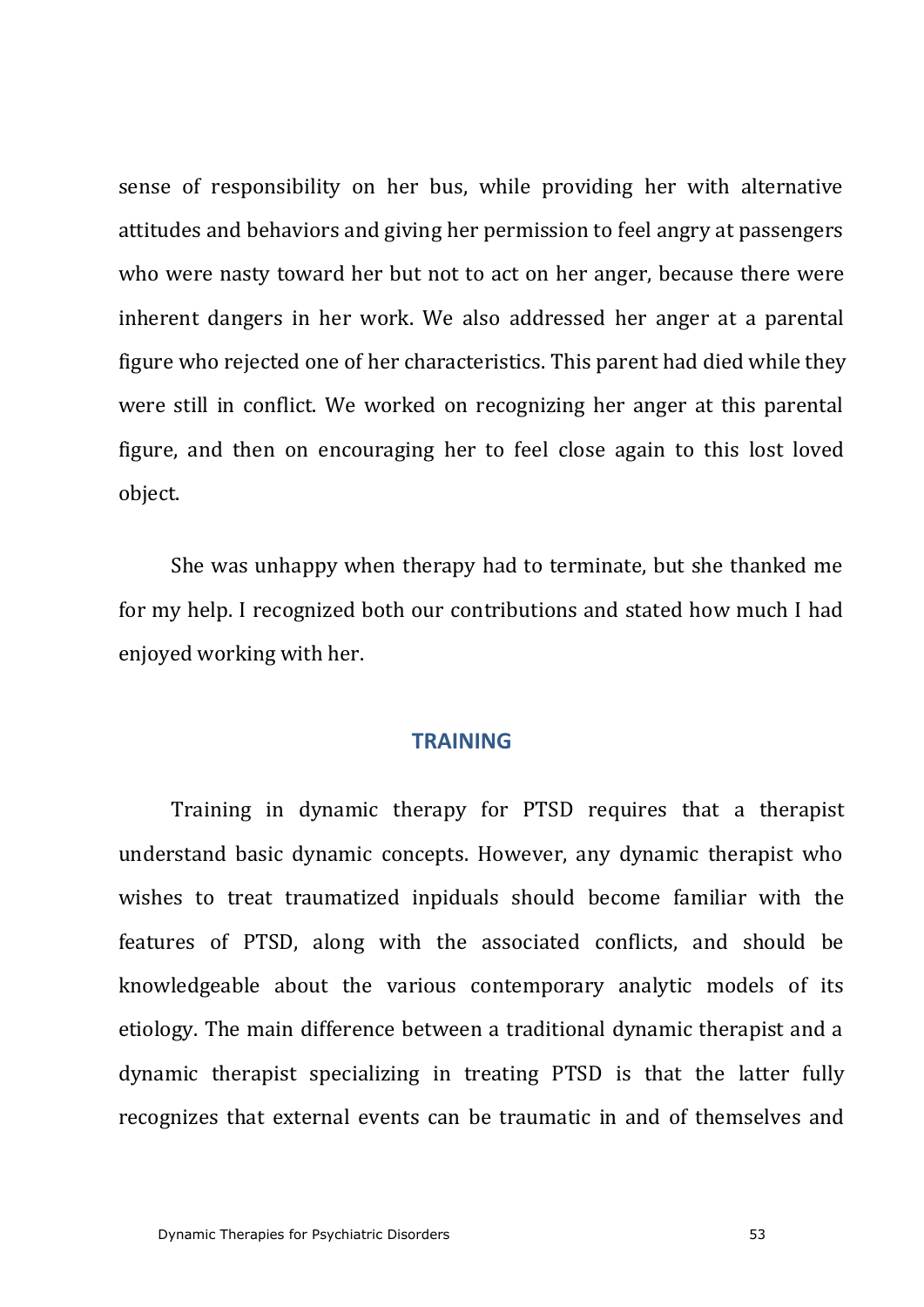sense of responsibility on her bus, while providing her with alternative attitudes and behaviors and giving her permission to feel angry at passengers who were nasty toward her but not to act on her anger, because there were inherent dangers in her work. We also addressed her anger at a parental figure who rejected one of her characteristics. This parent had died while they were still in conflict. We worked on recognizing her anger at this parental figure, and then on encouraging her to feel close again to this lost loved object.

She was unhappy when therapy had to terminate, but she thanked me for my help. I recognized both our contributions and stated how much I had enjoyed working with her.

#### **TRAINING**

<span id="page-52-0"></span>Training in dynamic therapy for PTSD requires that a therapist understand basic dynamic concepts. However, any dynamic therapist who wishes to treat traumatized inpiduals should become familiar with the features of PTSD, along with the associated conflicts, and should be knowledgeable about the various contemporary analytic models of its etiology. The main difference between a traditional dynamic therapist and a dynamic therapist specializing in treating PTSD is that the latter fully recognizes that external events can be traumatic in and of themselves and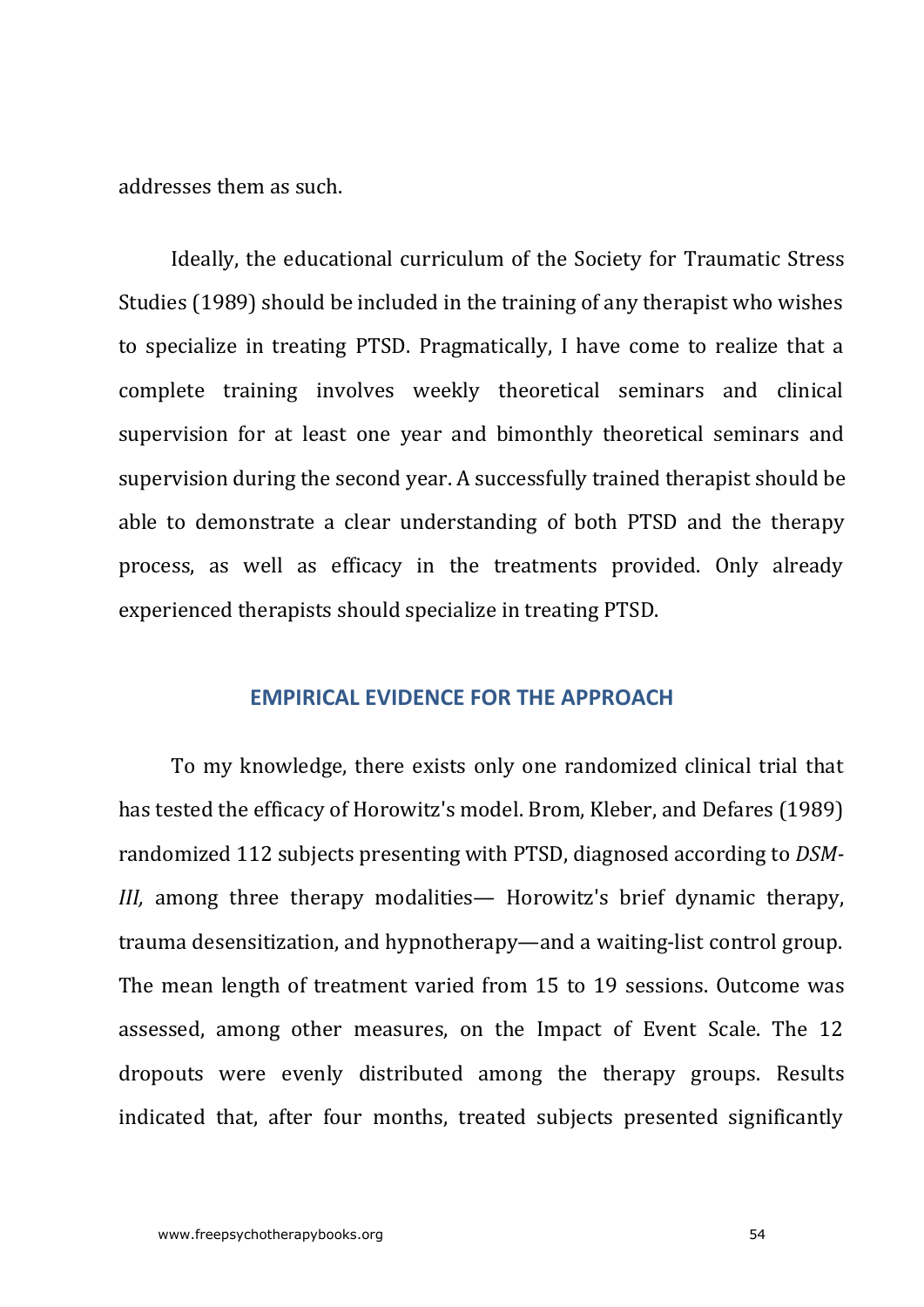addresses them as such

Ideally, the educational curriculum of the Society for Traumatic Stress Studies (1989) should be included in the training of any therapist who wishes to specialize in treating PTSD. Pragmatically, I have come to realize that a complete training involves weekly theoretical seminars and clinical supervision for at least one year and bimonthly theoretical seminars and supervision during the second year. A successfully trained therapist should be able to demonstrate a clear understanding of both PTSD and the therapy process, as well as efficacy in the treatments provided. Only already experienced therapists should specialize in treating PTSD.

#### **EMPIRICAL EVIDENCE FOR THE APPROACH**

<span id="page-53-0"></span>To my knowledge, there exists only one randomized clinical trial that has tested the efficacy of Horowitz's model. Brom, Kleber, and Defares (1989) randomized 112 subjects presenting with PTSD, diagnosed according to *DSM*-*III*, among three therapy modalities— Horowitz's brief dynamic therapy, trauma desensitization, and hypnotherapy—and a waiting-list control group. The mean length of treatment varied from 15 to 19 sessions. Outcome was assessed, among other measures, on the Impact of Event Scale. The 12 dropouts were evenly distributed among the therapy groups. Results indicated that, after four months, treated subjects presented significantly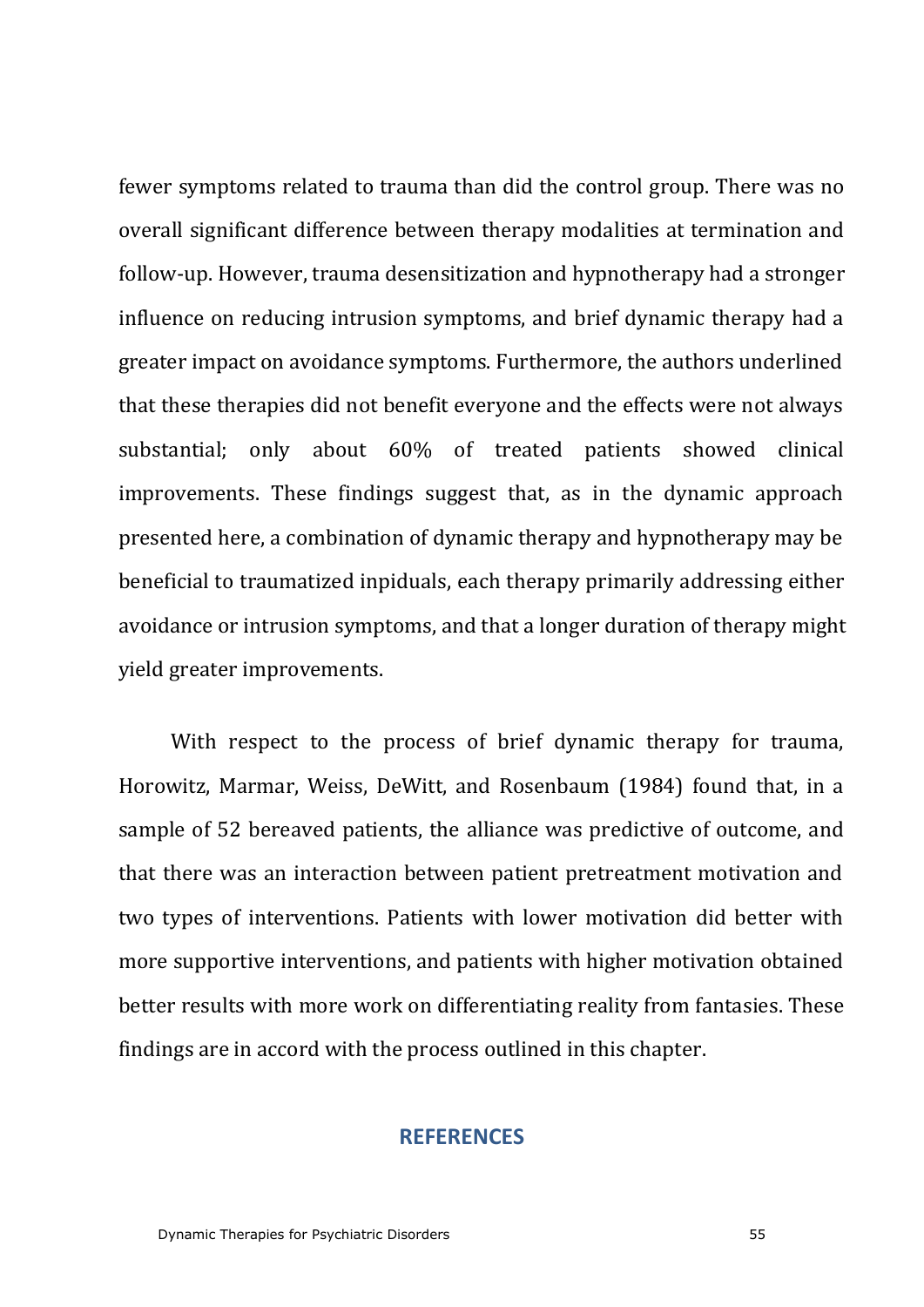fewer symptoms related to trauma than did the control group. There was no overall significant difference between therapy modalities at termination and follow-up. However, trauma desensitization and hypnotherapy had a stronger influence on reducing intrusion symptoms, and brief dynamic therapy had a greater impact on avoidance symptoms. Furthermore, the authors underlined that these therapies did not benefit everyone and the effects were not always substantial; only about 60% of treated patients showed clinical improvements. These findings suggest that, as in the dynamic approach presented here, a combination of dynamic therapy and hypnotherapy may be beneficial to traumatized inpiduals, each therapy primarily addressing either avoidance or intrusion symptoms, and that a longer duration of therapy might yield greater improvements.

With respect to the process of brief dynamic therapy for trauma, Horowitz, Marmar, Weiss, DeWitt, and Rosenbaum (1984) found that, in a sample of 52 bereaved patients, the alliance was predictive of outcome, and that there was an interaction between patient pretreatment motivation and two types of interventions. Patients with lower motivation did better with more supportive interventions, and patients with higher motivation obtained better results with more work on differentiating reality from fantasies. These findings are in accord with the process outlined in this chapter.

#### <span id="page-54-0"></span>**REFERENCES**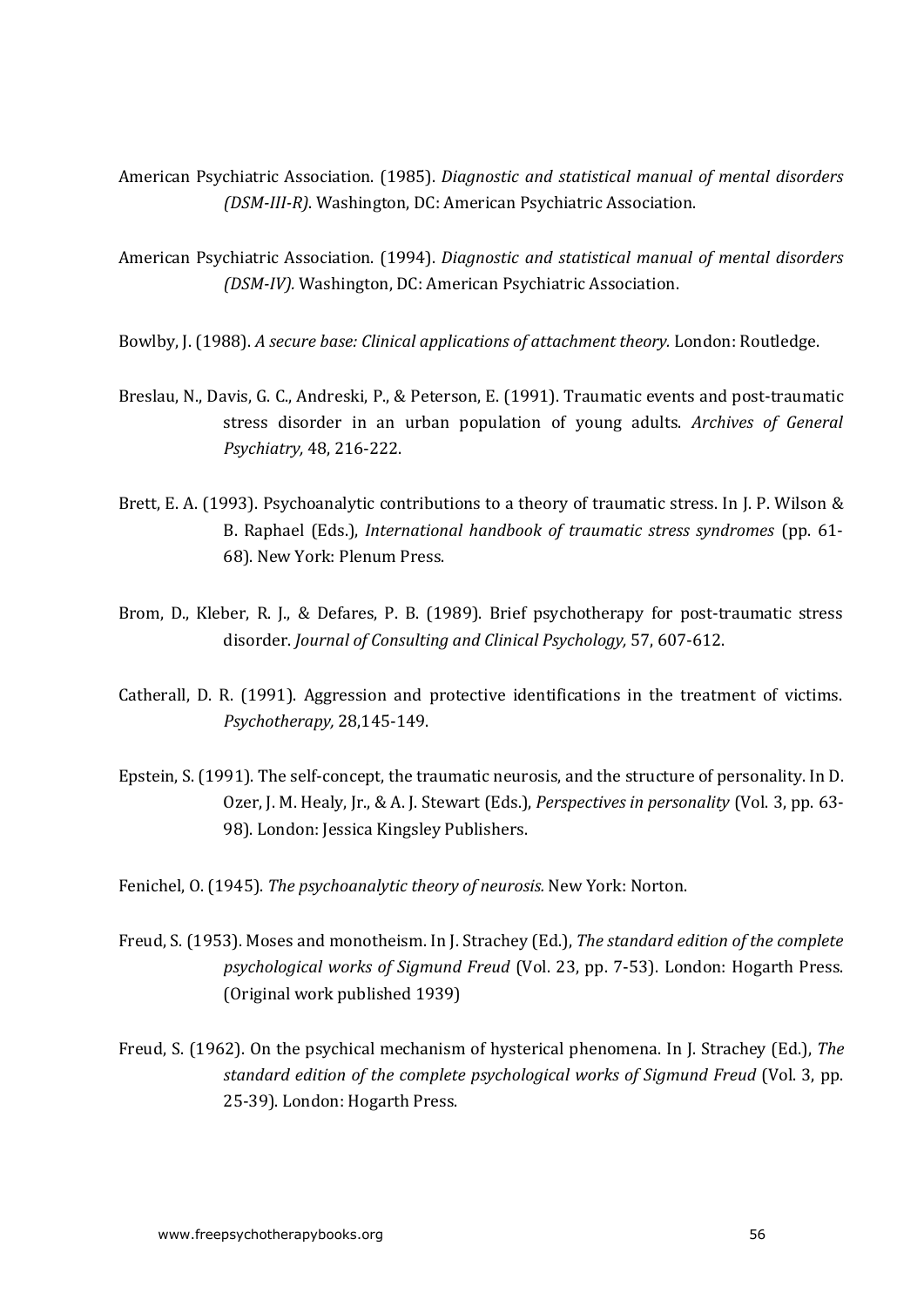- American Psychiatric Association. (1985). *Diagnostic and statistical manual of mental disorders (DSM-III-R)*. Washington, DC: American Psychiatric Association.
- American Psychiatric Association. (1994). *Diagnostic and statistical manual of mental disorders (DSM-IV).* Washington, DC: American Psychiatric Association.
- Bowlby, J. (1988). *A secure base: Clinical applications of attachment theory.* London: Routledge.
- Breslau, N., Davis, G. C., Andreski, P., & Peterson, E. (1991). Traumatic events and post-traumatic stress disorder in an urban population of young adults. *Archives of General Psychiatry,* 48, 216-222.
- Brett, E. A. (1993). Psychoanalytic contributions to a theory of traumatic stress. In J. P. Wilson & B. Raphael (Eds.), *International handbook of traumatic stress syndromes* (pp. 61-68). New York: Plenum Press.
- Brom, D., Kleber, R. J., & Defares, P. B. (1989). Brief psychotherapy for post-traumatic stress disorder. *Journal of Consulting and Clinical Psychology*, 57, 607-612.
- Catherall, D. R. (1991). Aggression and protective identifications in the treatment of victims. *Psychotherapy,* 28,145-149.
- Epstein, S. (1991). The self-concept, the traumatic neurosis, and the structure of personality. In D. Ozer, J. M. Healy, Jr., & A. J. Stewart (Eds.), *Perspectives in personality* (Vol. 3, pp. 63-98). London: Jessica Kingsley Publishers.
- Fenichel, O. (1945). *The psychoanalytic theory of neurosis.* New York: Norton.
- Freud, S. (1953). Moses and monotheism. In J. Strachey (Ed.), *The standard edition of the complete psychological works of Sigmund Freud* (Vol. 23, pp. 7-53). London: Hogarth Press. (Original work published 1939)
- Freud, S. (1962). On the psychical mechanism of hysterical phenomena. In J. Strachey (Ed.), *The standard edition of the complete psychological works of Sigmund Freud* (Vol. 3, pp. 25-39). London: Hogarth Press.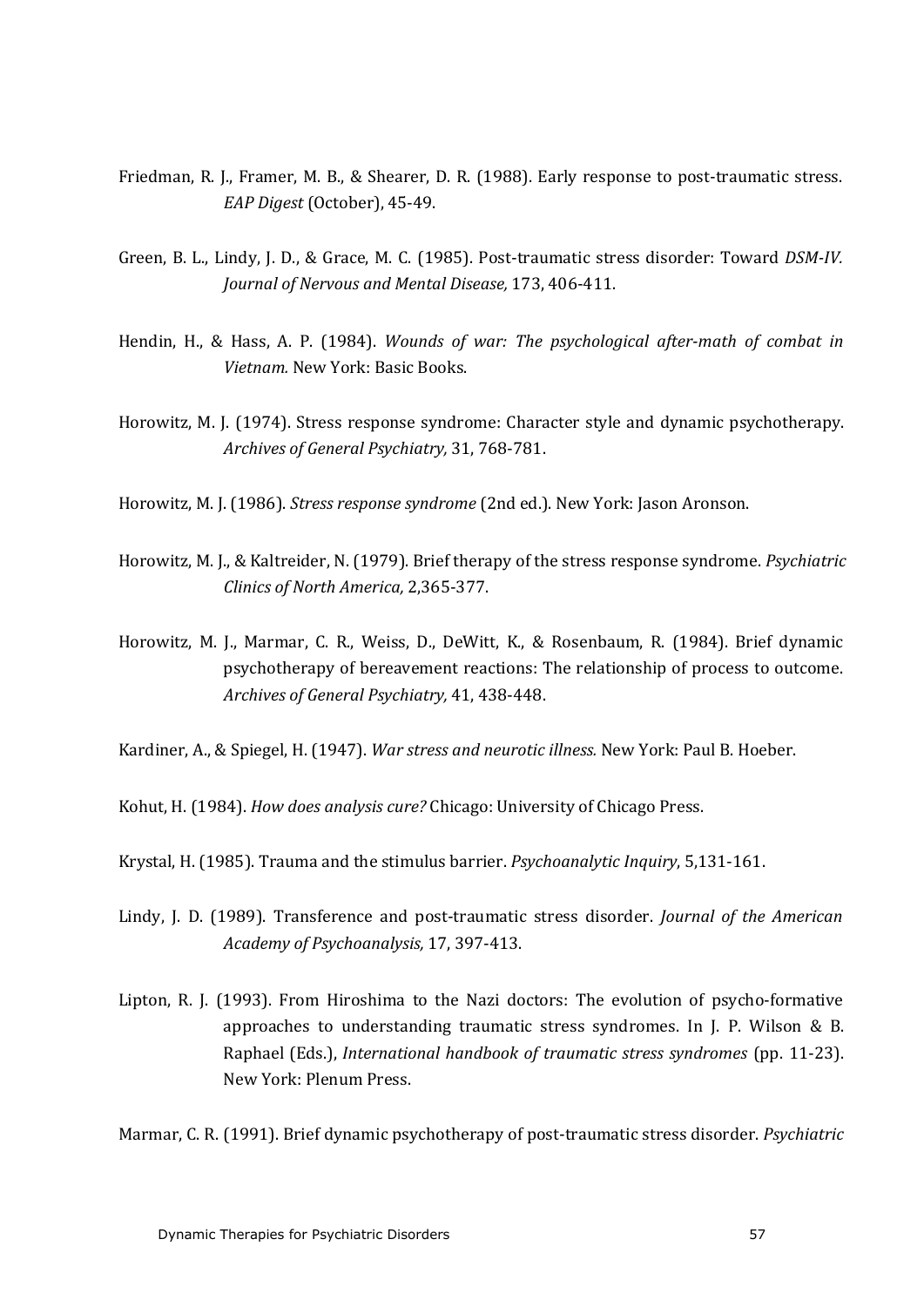- Friedman, R. J., Framer, M. B., & Shearer, D. R. (1988). Early response to post-traumatic stress. *EAP Digest* (October), 45-49.
- Green, B. L., Lindy, J. D., & Grace, M. C. (1985). Post-traumatic stress disorder: Toward *DSM-IV. Journal of Nervous and Mental Disease,* 173, 406-411.
- Hendin, H., & Hass, A. P. (1984). *Wounds of war: The psychological after-math of combat in Vietnam.* New York: Basic Books.
- Horowitz, M. J. (1974). Stress response syndrome: Character style and dynamic psychotherapy. *Archives of General Psychiatry,* 31, 768-781.

Horowitz, M. J. (1986). *Stress response syndrome* (2nd ed.). New York: Jason Aronson.

- Horowitz, M. J., & Kaltreider, N. (1979). Brief therapy of the stress response syndrome. *Psychiatric Clinics of North America,* 2,365-377.
- Horowitz, M. J., Marmar, C. R., Weiss, D., DeWitt, K., & Rosenbaum, R. (1984). Brief dynamic psychotherapy of bereavement reactions: The relationship of process to outcome. *Archives of General Psychiatry,* 41, 438-448.

Kardiner, A., & Spiegel, H. (1947). *War stress and neurotic illness*. New York: Paul B. Hoeber.

Kohut, H. (1984). *How does analysis cure?* Chicago: University of Chicago Press.

Krystal, H. (1985). Trauma and the stimulus barrier. *Psychoanalytic Inquiry*, 5,131-161.

- Lindy, J. D. (1989). Transference and post-traumatic stress disorder. *Journal of the American Academy of Psychoanalysis,* 17, 397-413.
- Lipton, R. J. (1993). From Hiroshima to the Nazi doctors: The evolution of psycho-formative approaches to understanding traumatic stress syndromes. In J. P. Wilson & B. Raphael (Eds.), *International handbook of traumatic stress syndromes* (pp. 11-23). New York: Plenum Press.

Marmar, C. R. (1991). Brief dynamic psychotherapy of post-traumatic stress disorder. *Psychiatric*